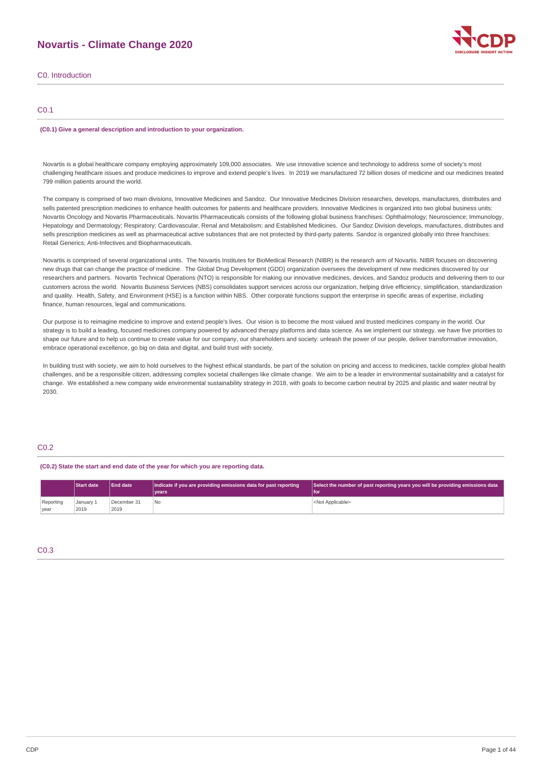# **Novartis - Climate Change 2020**

| C <sub>0</sub> . Introduction |  |
|-------------------------------|--|
|                               |  |

## C0.1

#### **(C0.1) Give a general description and introduction to your organization.**

Novartis is a global healthcare company employing approximately 109,000 associates. We use innovative science and technology to address some of society's most challenging healthcare issues and produce medicines to improve and extend people's lives. In 2019 we manufactured 72 billion doses of medicine and our medicines treated 799 million patients around the world.

The company is comprised of two main divisions, Innovative Medicines and Sandoz. Our Innovative Medicines Division researches, develops, manufactures, distributes and sells patented prescription medicines to enhance health outcomes for patients and healthcare providers. Innovative Medicines is organized into two global business units: Novartis Oncology and Novartis Pharmaceuticals. Novartis Pharmaceuticals consists of the following global business franchises: Ophthalmology; Neuroscience; Immunology, Hepatology and Dermatology; Respiratory; Cardiovascular, Renal and Metabolism; and Established Medicines. Our Sandoz Division develops, manufactures, distributes and sells prescription medicines as well as pharmaceutical active substances that are not protected by third-party patents. Sandoz is organized globally into three franchises: Retail Generics; Anti-Infectives and Biopharmaceuticals.

Novartis is comprised of several organizational units. The Novartis Institutes for BioMedical Research (NIBR) is the research arm of Novartis. NIBR focuses on discovering new drugs that can change the practice of medicine. The Global Drug Development (GDD) organization oversees the development of new medicines discovered by our researchers and partners. Novartis Technical Operations (NTO) is responsible for making our innovative medicines, devices, and Sandoz products and delivering them to our customers across the world. Novartis Business Services (NBS) consolidates support services across our organization, helping drive efficiency, simplification, standardization and quality. Health, Safety, and Environment (HSE) is a function within NBS. Other corporate functions support the enterprise in specific areas of expertise, including finance, human resources, legal and communications.

Our purpose is to reimagine medicine to improve and extend people's lives. Our vision is to become the most valued and trusted medicines company in the world. Our strategy is to build a leading, focused medicines company powered by advanced therapy platforms and data science. As we implement our strategy, we have five priorities to shape our future and to help us continue to create value for our company, our shareholders and society: unleash the power of our people, deliver transformative innovation, embrace operational excellence, go big on data and digital, and build trust with society.

In building trust with society, we aim to hold ourselves to the highest ethical standards, be part of the solution on pricing and access to medicines, tackle complex global health challenges, and be a responsible citizen, addressing complex societal challenges like climate change. We aim to be a leader in environmental sustainability and a catalyst for change. We established a new company wide environmental sustainability strategy in 2018, with goals to become carbon neutral by 2025 and plastic and water neutral by 2030.

## C0.2

**(C0.2) State the start and end date of the year for which you are reporting data.**

|                   | <b>Start date</b> | <b>End date</b>     | Indicate if you are providing emissions data for past reporting<br>vears | Select the number of past reporting years you will be providing emissions data<br>l for |
|-------------------|-------------------|---------------------|--------------------------------------------------------------------------|-----------------------------------------------------------------------------------------|
| Reporting<br>vear | January 1<br>2019 | December 31<br>2019 | l No                                                                     | <not applicable=""></not>                                                               |

## C0.3

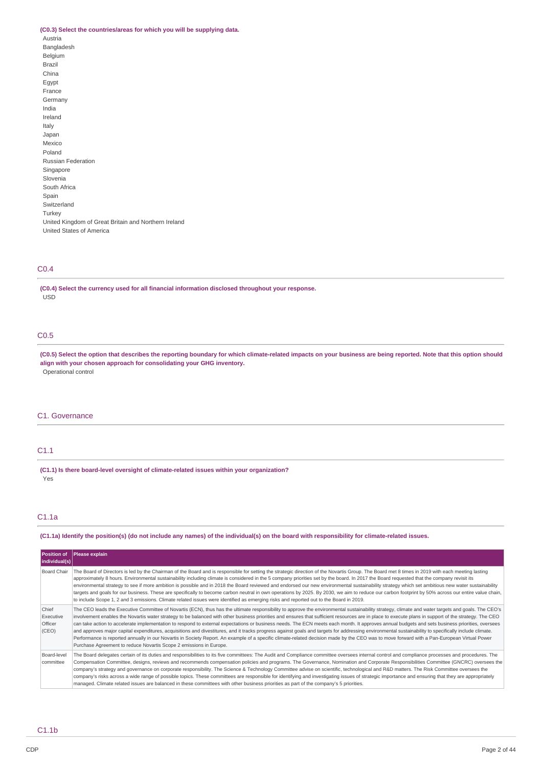# **(C0.3) Select the countries/areas for which you will be supplying data.**

| (CO.O) SCIECI LIIC COUNTRICSIALCAS TOI WINCH YOU WIN D |
|--------------------------------------------------------|
| Austria                                                |
| Bangladesh                                             |
| Belgium                                                |
| <b>Brazil</b>                                          |
| China                                                  |
| Eqypt                                                  |
| France                                                 |
| Germany                                                |
| India                                                  |
| Ireland                                                |
| Italy                                                  |
| Japan                                                  |
| Mexico                                                 |
| Poland                                                 |
| <b>Russian Federation</b>                              |
| Singapore                                              |
| Slovenia                                               |
| South Africa                                           |
| Spain                                                  |
| Switzerland                                            |
| Turkey                                                 |
| United Kingdom of Great Britain and Northern Ireland   |
| United States of America                               |

## C0.4

**(C0.4) Select the currency used for all financial information disclosed throughout your response.** .<br>USD

## C0.5

(C0.5) Select the option that describes the reporting boundary for which climate-related impacts on your business are being reported. Note that this option should **align with your chosen approach for consolidating your GHG inventory.** Operational control

## C1. Governance

## C1.1

**(C1.1) Is there board-level oversight of climate-related issues within your organization?** Yes

## C1.1a

## (C1.1a) Identify the position(s) (do not include any names) of the individual(s) on the board with responsibility for climate-related issues.

| <b>Position of</b><br>individual(s)    | Please explain                                                                                                                                                                                                                                                                                                                                                                                                                                                                                                                                                                                                                                                                                                                                                                                                                                                                                                                                                                                                                                                                               |
|----------------------------------------|----------------------------------------------------------------------------------------------------------------------------------------------------------------------------------------------------------------------------------------------------------------------------------------------------------------------------------------------------------------------------------------------------------------------------------------------------------------------------------------------------------------------------------------------------------------------------------------------------------------------------------------------------------------------------------------------------------------------------------------------------------------------------------------------------------------------------------------------------------------------------------------------------------------------------------------------------------------------------------------------------------------------------------------------------------------------------------------------|
| Board Chair                            | The Board of Directors is led by the Chairman of the Board and is responsible for setting the strategic direction of the Novartis Group. The Board met 8 times in 2019 with each meeting lasting<br>approximately 8 hours. Environmental sustainability including climate is considered in the 5 company priorities set by the board. In 2017 the Board requested that the company revisit its<br>environmental strategy to see if more ambition is possible and in 2018 the Board reviewed and endorsed our new environmental sustainability strategy which set ambitious new water sustainability<br>targets and goals for our business. These are specifically to become carbon neutral in own operations by 2025. By 2030, we aim to reduce our carbon footprint by 50% across our entire value chain,<br>to include Scope 1, 2 and 3 emissions. Climate related issues were identified as emerging risks and reported out to the Board in 2019.                                                                                                                                         |
| Chief<br>Executive<br>Officer<br>(CEO) | The CEO leads the Executive Committee of Novartis (ECN), thus has the ultimate responsibility to approve the environmental sustainability strategy, climate and water targets and goals. The CEO's<br>involvement enables the Novartis water strategy to be balanced with other business priorities and ensures that sufficient resources are in place to execute plans in support of the strategy. The CEO<br>can take action to accelerate implementation to respond to external expectations or business needs. The ECN meets each month. It approves annual budgets and sets business priorities, oversees<br>and approves major capital expenditures, acquisitions and divestitures, and it tracks progress against goals and targets for addressing environmental sustainability to specifically include climate.<br>Performance is reported annually in our Novartis in Society Report. An example of a specific climate-related decision made by the CEO was to move forward with a Pan-European Virtual Power<br>Purchase Agreement to reduce Novartis Scope 2 emissions in Europe. |
| Board-level<br>committee               | The Board delegates certain of its duties and responsibilities to its five committees: The Audit and Compliance committee oversees internal control and compliance processes and procedures. The<br>Compensation Committee, designs, reviews and recommends compensation policies and programs. The Governance, Nomination and Corporate Responsibilities Committee (GNCRC) oversees the<br>company's strategy and governance on corporate responsibility. The Science & Technology Committee advise on scientific, technological and R&D matters. The Risk Committee oversees the<br>company's risks across a wide range of possible topics. These committees are responsible for identifying and investigating issues of strategic importance and ensuring that they are appropriately<br>managed. Climate related issues are balanced in these committees with other business priorities as part of the company's 5 priorities.                                                                                                                                                           |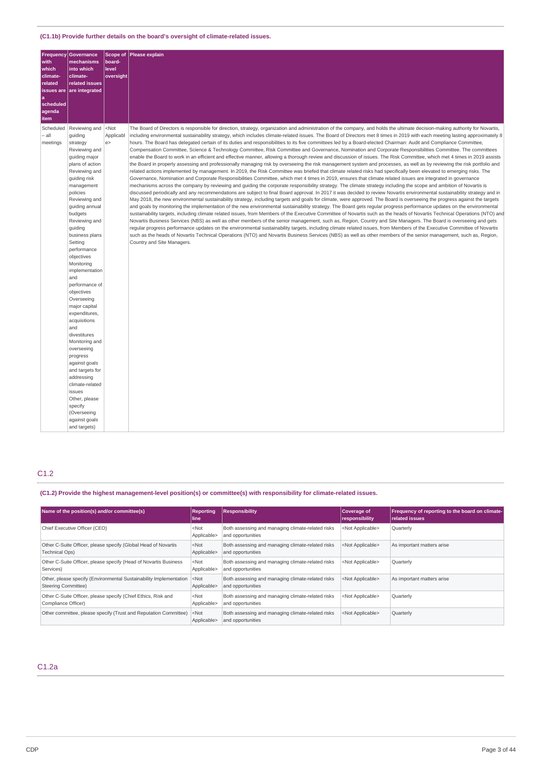| Frequency<br>with<br>which<br>climate-<br>related<br>issues are<br>۱a<br>scheduled<br>agenda<br>item | Governance<br>mechanisms<br>into which<br>climate-<br>related issues<br>are integrated                                                                                                                                                                                                                                                                                                                                                                                                                                                                                                                                                                        | board-<br>level<br>oversight         | Scope of Please explain                                                                                                                                                                                                                                                                                                                                                                                                                                                                                                                                                                                                                                                                                                                                                                                                                                                                                                                                                                                                                                                                                                                                                                                                                                                                                                                                                                                                                                                                                                                                                                                                                                                                                                                                                                                                                                                                                                                                                                                                                                                                                                                                                                                                                                                                                                                                                                                                                                                                                                                                                                                                                                                                                                                                                                                                                   |
|------------------------------------------------------------------------------------------------------|---------------------------------------------------------------------------------------------------------------------------------------------------------------------------------------------------------------------------------------------------------------------------------------------------------------------------------------------------------------------------------------------------------------------------------------------------------------------------------------------------------------------------------------------------------------------------------------------------------------------------------------------------------------|--------------------------------------|-------------------------------------------------------------------------------------------------------------------------------------------------------------------------------------------------------------------------------------------------------------------------------------------------------------------------------------------------------------------------------------------------------------------------------------------------------------------------------------------------------------------------------------------------------------------------------------------------------------------------------------------------------------------------------------------------------------------------------------------------------------------------------------------------------------------------------------------------------------------------------------------------------------------------------------------------------------------------------------------------------------------------------------------------------------------------------------------------------------------------------------------------------------------------------------------------------------------------------------------------------------------------------------------------------------------------------------------------------------------------------------------------------------------------------------------------------------------------------------------------------------------------------------------------------------------------------------------------------------------------------------------------------------------------------------------------------------------------------------------------------------------------------------------------------------------------------------------------------------------------------------------------------------------------------------------------------------------------------------------------------------------------------------------------------------------------------------------------------------------------------------------------------------------------------------------------------------------------------------------------------------------------------------------------------------------------------------------------------------------------------------------------------------------------------------------------------------------------------------------------------------------------------------------------------------------------------------------------------------------------------------------------------------------------------------------------------------------------------------------------------------------------------------------------------------------------------------------|
| Scheduled<br>all.<br>meetings                                                                        | Reviewing and<br>quiding<br>strategy<br>Reviewing and<br>guiding major<br>plans of action<br>Reviewing and<br>guiding risk<br>management<br>policies<br>Reviewing and<br>guiding annual<br>budgets<br>Reviewing and<br>guiding<br>business plans<br>Setting<br>performance<br>objectives<br>Monitoring<br>implementation<br>and<br>performance of<br>objectives<br>Overseeing<br>major capital<br>expenditures,<br>acquisitions<br>and<br>divestitures<br>Monitoring and<br>overseeing<br>progress<br>against goals<br>and targets for<br>addressing<br>climate-related<br>issues<br>Other, please<br>specify<br>(Overseeing<br>against goals<br>and targets) | $ $ <not<br>Applicabl<br/>e</not<br> | The Board of Directors is responsible for direction, strategy, organization and administration of the company, and holds the ultimate decision-making authority for Novartis,<br>including environmental sustainability strategy, which includes climate-related issues. The Board of Directors met 8 times in 2019 with each meeting lasting approximately 8<br>hours. The Board has delegated certain of its duties and responsibilities to its five committees led by a Board-elected Chairman: Audit and Compliance Committee,<br>Compensation Committee, Science & Technology Committee, Risk Committee and Governance, Nomination and Corporate Responsibilities Committee. The committees<br>enable the Board to work in an efficient and effective manner, allowing a thorough review and discussion of issues. The Risk Committee, which met 4 times in 2019 assists<br>the Board in properly assessing and professionally managing risk by overseeing the risk management system and processes, as well as by reviewing the risk portfolio and<br>related actions implemented by management. In 2019, the Risk Committee was briefed that climate related risks had specifically been elevated to emerging risks. The<br>Governance, Nomination and Corporate Responsibilities Committee, which met 4 times in 2019, ensures that climate related issues are integrated in governance<br>mechanisms across the company by reviewing and guiding the corporate responsibility strategy. The climate strategy including the scope and ambition of Novartis is<br>discussed periodically and any recommendations are subject to final Board approval. In 2017 it was decided to review Novartis environmental sustainability strategy and in<br>May 2018, the new environmental sustainability strategy, including targets and goals for climate, were approved. The Board is overseeing the progress against the targets<br>and goals by monitoring the implementation of the new environmental sustainability strategy. The Board gets regular progress performance updates on the environmental<br>sustainability targets, including climate related issues, from Members of the Executive Committee of Novartis such as the heads of Novartis Technical Operations (NTO) and<br>Novartis Business Services (NBS) as well as other members of the senior management, such as, Region, Country and Site Managers. The Board is overseeing and gets<br>reqular progress performance updates on the environmental sustainability targets, including climate related issues, from Members of the Executive Committee of Novartis<br>such as the heads of Novartis Technical Operations (NTO) and Novartis Business Services (NBS) as well as other members of the senior management, such as, Region,<br>Country and Site Managers. |

C1.2

## **(C1.2) Provide the highest management-level position(s) or committee(s) with responsibility for climate-related issues.**

| Name of the position(s) and/or committee(s)                                               | <b>Reporting</b><br>line | <b>Responsibility</b>                                                  | <b>Coverage of</b><br>responsibility | Frequency of reporting to the board on climate-<br>related issues |
|-------------------------------------------------------------------------------------------|--------------------------|------------------------------------------------------------------------|--------------------------------------|-------------------------------------------------------------------|
| Chief Executive Officer (CEO)                                                             | $<$ Not<br>Applicable>   | Both assessing and managing climate-related risks<br>and opportunities | <not applicable=""></not>            | Quarterly                                                         |
| Other C-Suite Officer, please specify (Global Head of Novartis<br><b>Technical Ops)</b>   | $<$ Not<br>Applicable>   | Both assessing and managing climate-related risks<br>and opportunities | <not applicable=""></not>            | As important matters arise                                        |
| Other C-Suite Officer, please specify (Head of Novartis Business<br>Services)             | $<$ Not<br>Applicable>   | Both assessing and managing climate-related risks<br>and opportunities | <not applicable=""></not>            | Quarterly                                                         |
| Other, please specify (Environmental Sustainability Implementation<br>Steering Committee) | $<$ Not<br>Applicable>   | Both assessing and managing climate-related risks<br>and opportunities | <not applicable=""></not>            | As important matters arise                                        |
| Other C-Suite Officer, please specify (Chief Ethics, Risk and<br>Compliance Officer)      | $<$ Not<br>Applicable>   | Both assessing and managing climate-related risks<br>and opportunities | <not applicable=""></not>            | Quarterly                                                         |
| Other committee, please specify (Trust and Reputation Committee)                          | $<$ Not<br>Applicable>   | Both assessing and managing climate-related risks<br>and opportunities | <not applicable=""></not>            | Quarterly                                                         |

## C1.2a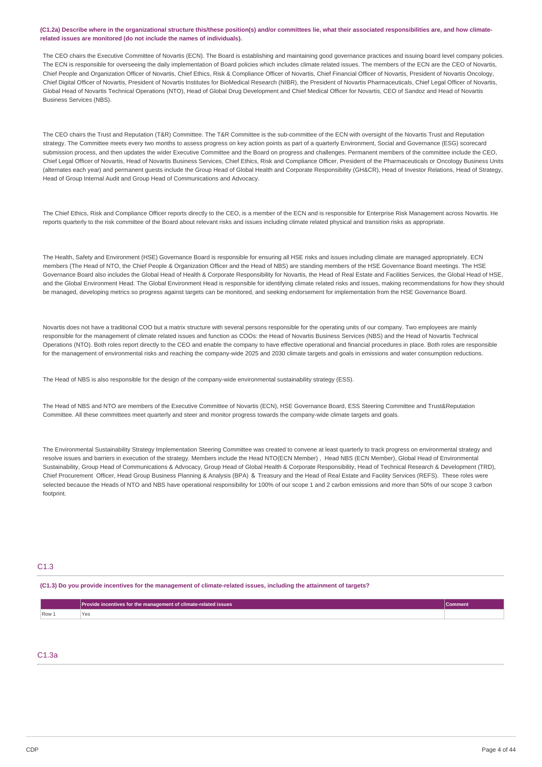### (C1.2a) Describe where in the organizational structure this/these position(s) and/or committees lie, what their associated responsibilities are, and how climate**related issues are monitored (do not include the names of individuals).**

The CEO chairs the Executive Committee of Novartis (ECN). The Board is establishing and maintaining good governance practices and issuing board level company policies. The ECN is responsible for overseeing the daily implementation of Board policies which includes climate related issues. The members of the ECN are the CEO of Novartis, Chief People and Organization Officer of Novartis, Chief Ethics, Risk & Compliance Officer of Novartis, Chief Financial Officer of Novartis, President of Novartis Oncology, Chief Digital Officer of Novartis, President of Novartis Institutes for BioMedical Research (NIBR), the President of Novartis Pharmaceuticals, Chief Legal Officer of Novartis, Global Head of Novartis Technical Operations (NTO), Head of Global Drug Development and Chief Medical Officer for Novartis, CEO of Sandoz and Head of Novartis Business Services (NBS).

The CEO chairs the Trust and Reputation (T&R) Committee. The T&R Committee is the sub-committee of the ECN with oversight of the Novartis Trust and Reputation strategy. The Committee meets every two months to assess progress on key action points as part of a quarterly Environment, Social and Governance (ESG) scorecard submission process, and then updates the wider Executive Committee and the Board on progress and challenges. Permanent members of the committee include the CEO, Chief Legal Officer of Novartis, Head of Novartis Business Services, Chief Ethics, Risk and Compliance Officer, President of the Pharmaceuticals or Oncology Business Units (alternates each year) and permanent guests include the Group Head of Global Health and Corporate Responsibility (GH&CR), Head of Investor Relations, Head of Strategy, Head of Group Internal Audit and Group Head of Communications and Advocacy.

The Chief Ethics, Risk and Compliance Officer reports directly to the CEO, is a member of the ECN and is responsible for Enterprise Risk Management across Novartis. He reports quarterly to the risk committee of the Board about relevant risks and issues including climate related physical and transition risks as appropriate.

The Health, Safety and Environment (HSE) Governance Board is responsible for ensuring all HSE risks and issues including climate are managed appropriately. ECN members (The Head of NTO, the Chief People & Organization Officer and the Head of NBS) are standing members of the HSE Governance Board meetings. The HSE Governance Board also includes the Global Head of Health & Corporate Responsibility for Novartis, the Head of Real Estate and Facilities Services, the Global Head of HSE, and the Global Environment Head. The Global Environment Head is responsible for identifying climate related risks and issues, making recommendations for how they should be managed, developing metrics so progress against targets can be monitored, and seeking endorsement for implementation from the HSE Governance Board.

Novartis does not have a traditional COO but a matrix structure with several persons responsible for the operating units of our company. Two employees are mainly responsible for the management of climate related issues and function as COOs: the Head of Novartis Business Services (NBS) and the Head of Novartis Technical Operations (NTO). Both roles report directly to the CEO and enable the company to have effective operational and financial procedures in place. Both roles are responsible for the management of environmental risks and reaching the company-wide 2025 and 2030 climate targets and goals in emissions and water consumption reductions.

The Head of NBS is also responsible for the design of the company-wide environmental sustainability strategy (ESS).

The Head of NBS and NTO are members of the Executive Committee of Novartis (ECN), HSE Governance Board, ESS Steering Committee and Trust&Reputation Committee. All these committees meet quarterly and steer and monitor progress towards the company-wide climate targets and goals.

The Environmental Sustainability Strategy Implementation Steering Committee was created to convene at least quarterly to track progress on environmental strategy and resolve issues and barriers in execution of the strategy. Members include the Head NTO(ECN Member) , Head NBS (ECN Member), Global Head of Environmental Sustainability, Group Head of Communications & Advocacy, Group Head of Global Health & Corporate Responsibility, Head of Technical Research & Development (TRD), Chief Procurement Officer, Head Group Business Planning & Analysis (BPA) & Treasury and the Head of Real Estate and Facility Services (REFS). These roles were selected because the Heads of NTO and NBS have operational responsibility for 100% of our scope 1 and 2 carbon emissions and more than 50% of our scope 3 carbon footprint.

## C1.3

#### (C1.3) Do you provide incentives for the management of climate-related issues, including the attainment of targets?

|         | Provide incentives for the management of climate-related issues | ∍omment |
|---------|-----------------------------------------------------------------|---------|
| $Row_+$ | ٧c                                                              |         |

## C1.3a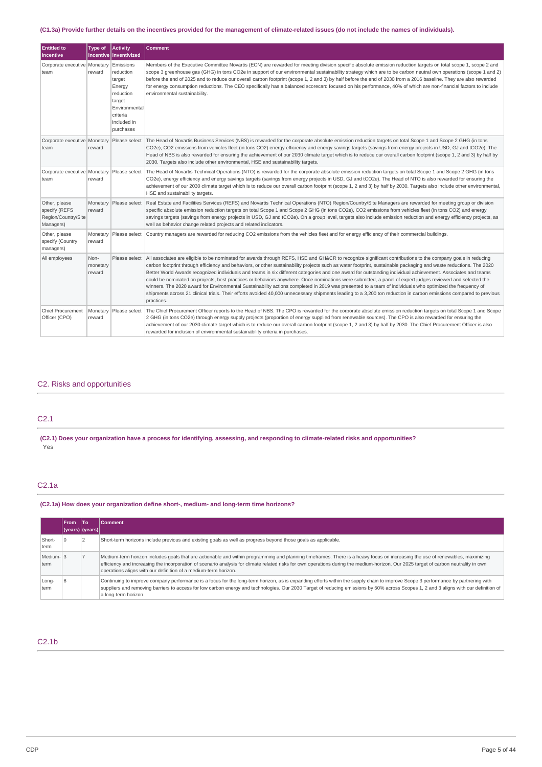## (C1.3a) Provide further details on the incentives provided for the management of climate-related issues (do not include the names of individuals).

| <b>Entitled to</b><br>incentive                                    | <b>Type of</b>             | Activity<br>incentive   inventivized                                                                                       | <b>Comment</b>                                                                                                                                                                                                                                                                                                                                                                                                                                                                                                                                                                                                                                                                                                                                                                                                                                                                                                                                                                                             |
|--------------------------------------------------------------------|----------------------------|----------------------------------------------------------------------------------------------------------------------------|------------------------------------------------------------------------------------------------------------------------------------------------------------------------------------------------------------------------------------------------------------------------------------------------------------------------------------------------------------------------------------------------------------------------------------------------------------------------------------------------------------------------------------------------------------------------------------------------------------------------------------------------------------------------------------------------------------------------------------------------------------------------------------------------------------------------------------------------------------------------------------------------------------------------------------------------------------------------------------------------------------|
| Corporate executive   Monetary<br>team                             | reward                     | Emissions<br>reduction<br>target<br>Energy<br>reduction<br>target<br>Environmental<br>criteria<br>included in<br>purchases | Members of the Executive Committee Novartis (ECN) are rewarded for meeting division specific absolute emission reduction targets on total scope 1, scope 2 and<br>scope 3 greenhouse gas (GHG) in tons CO2e in support of our environmental sustainability strategy which are to be carbon neutral own operations (scope 1 and 2)<br>before the end of 2025 and to reduce our overall carbon footprint (scope 1, 2 and 3) by half before the end of 2030 from a 2016 baseline. They are also rewarded<br>for energy consumption reductions. The CEO specifically has a balanced scorecard focused on his performance, 40% of which are non-financial factors to include<br>environmental sustainability.                                                                                                                                                                                                                                                                                                   |
| Corporate executive Monetary<br>team                               | reward                     | Please select                                                                                                              | The Head of Novartis Business Services (NBS) is rewarded for the corporate absolute emission reduction targets on total Scope 1 and Scope 2 GHG (in tons<br>CO2e), CO2 emissions from vehicles fleet (in tons CO2) energy efficiency and energy savings targets (savings from energy projects in USD, GJ and tCO2e). The<br>Head of NBS is also rewarded for ensuring the achievement of our 2030 climate target which is to reduce our overall carbon footprint (scope 1, 2 and 3) by half by<br>2030. Targets also include other environmental, HSE and sustainability targets.                                                                                                                                                                                                                                                                                                                                                                                                                          |
| Corporate executive   Monetary   Please select<br>team             | reward                     |                                                                                                                            | The Head of Novartis Technical Operations (NTO) is rewarded for the corporate absolute emission reduction targets on total Scope 1 and Scope 2 GHG (in tons<br>CO2e), energy efficiency and energy savings targets (savings from energy projects in USD, GJ and tCO2e). The Head of NTO is also rewarded for ensuring the<br>achievement of our 2030 climate target which is to reduce our overall carbon footprint (scope 1, 2 and 3) by half by 2030. Targets also include other environmental,<br>HSE and sustainability targets.                                                                                                                                                                                                                                                                                                                                                                                                                                                                       |
| Other, please<br>specify (REFS<br>Region/Country/Site<br>Managers) | reward                     | Monetary Please select                                                                                                     | Real Estate and Facilities Services (REFS) and Novartis Technical Operations (NTO) Region/Country/Site Managers are rewarded for meeting group or division<br>specific absolute emission reduction targets on total Scope 1 and Scope 2 GHG (in tons CO2e), CO2 emissions from vehicles fleet (in tons CO2) and energy<br>savings targets (savings from energy projects in USD, GJ and tCO2e). On a group level, targets also include emission reduction and energy efficiency projects, as<br>well as behavior change related projects and related indicators.                                                                                                                                                                                                                                                                                                                                                                                                                                            |
| Other, please<br>specify (Country<br>managers)                     | Monetary<br>reward         | Please select                                                                                                              | Country managers are rewarded for reducing CO2 emissions from the vehicles fleet and for energy efficiency of their commercial buildings.                                                                                                                                                                                                                                                                                                                                                                                                                                                                                                                                                                                                                                                                                                                                                                                                                                                                  |
| All employees                                                      | Non-<br>monetary<br>reward | Please select                                                                                                              | All associates are eligible to be nominated for awards through REFS, HSE and GH&CR to recognize significant contributions to the company goals in reducing<br>carbon footprint through efficiency and behaviors, or other sustainability projects such as water footprint, sustainable packaging and waste reductions. The 2020<br>Better World Awards recognized individuals and teams in six different categories and one award for outstanding individual achievement. Associates and teams<br>could be nominated on projects, best practices or behaviors anywhere. Once nominations were submitted, a panel of expert judges reviewed and selected the<br>winners. The 2020 award for Environmental Sustainability actions completed in 2019 was presented to a team of individuals who optimized the frequency of<br>shipments across 21 clinical trials. Their efforts avoided 40,000 unnecessary shipments leading to a 3,200 ton reduction in carbon emissions compared to previous<br>practices. |
| <b>Chief Procurement</b><br>Officer (CPO)                          | Monetary<br>reward         |                                                                                                                            | Please select  The Chief Procurement Officer reports to the Head of NBS. The CPO is rewarded for the corporate absolute emission reduction targets on total Scope 1 and Scope<br>2 GHG (in tons CO2e) through energy supply projects (proportion of energy supplied from renewable sources). The CPO is also rewarded for ensuring the<br>achievement of our 2030 climate target which is to reduce our overall carbon footprint (scope 1, 2 and 3) by half by 2030. The Chief Procurement Officer is also<br>rewarded for inclusion of environmental sustainability criteria in purchases.                                                                                                                                                                                                                                                                                                                                                                                                                |

## C2. Risks and opportunities

## C2.1

(C2.1) Does your organization have a process for identifying, assessing, and responding to climate-related risks and opportunities? Yes

# C2.1a

# **(C2.1a) How does your organization define short-, medium- and long-term time horizons?**

|                   | <b>From</b> | lTo             | <b>Comment</b>                                                                                                                                                                                                                                                                                                                                                                                                                           |
|-------------------|-------------|-----------------|------------------------------------------------------------------------------------------------------------------------------------------------------------------------------------------------------------------------------------------------------------------------------------------------------------------------------------------------------------------------------------------------------------------------------------------|
|                   |             | (years) (years) |                                                                                                                                                                                                                                                                                                                                                                                                                                          |
| Short-<br>term    |             |                 | Short-term horizons include previous and existing goals as well as progress beyond those goals as applicable.                                                                                                                                                                                                                                                                                                                            |
| Medium-13<br>term |             |                 | Medium-term horizon includes goals that are actionable and within programming and planning timeframes. There is a heavy focus on increasing the use of renewables, maximizing<br>efficiency and increasing the incorporation of scenario analysis for climate related risks for own operations during the medium-horizon. Our 2025 target of carbon neutrality in own<br>operations aligns with our definition of a medium-term horizon. |
| Long-<br>term     |             |                 | Continuing to improve company performance is a focus for the long-term horizon, as is expanding efforts within the supply chain to improve Scope 3 performance by partnering with<br>suppliers and removing barriers to access for low carbon energy and technologies. Our 2030 Target of reducing emissions by 50% across Scopes 1, 2 and 3 aligns with our definition of<br>a long-term horizon.                                       |

## C2.1b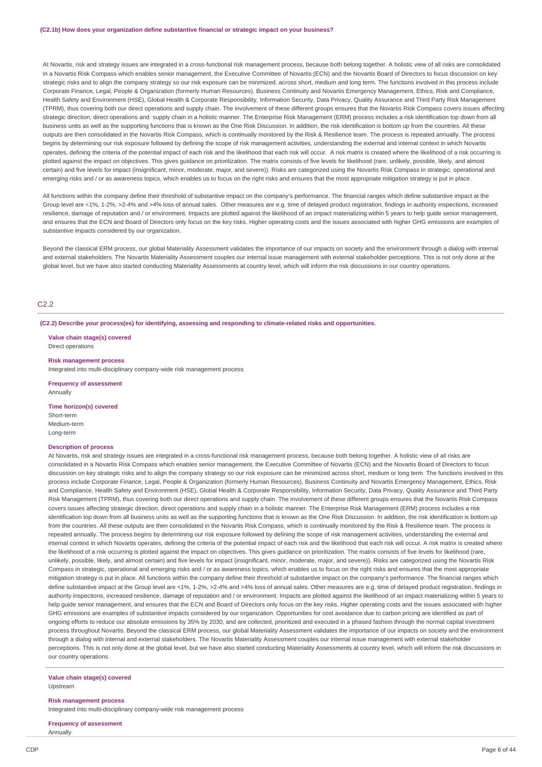At Novartis, risk and strategy issues are integrated in a cross-functional risk management process, because both belong together. A holistic view of all risks are consolidated in a Novartis Risk Compass which enables senior management, the Executive Committee of Novartis (ECN) and the Novartis Board of Directors to focus discussion on key strategic risks and to align the company strategy so our risk exposure can be minimized. across short, medium and long term. The functions involved in this process include Corporate Finance, Legal, People & Organization (formerly Human Resources), Business Continuity and Novartis Emergency Management, Ethics, Risk and Compliance, Health Safety and Environment (HSE), Global Health & Corporate Responsibility, Information Security, Data Privacy, Quality Assurance and Third Party Risk Management (TPRM), thus covering both our direct operations and supply chain. The involvement of these different groups ensures that the Novartis Risk Compass covers issues affecting strategic direction, direct operations and supply chain in a holistic manner. The Enterprise Risk Management (ERM) process includes a risk identification top down from all business units as well as the supporting functions that is known as the One Risk Discussion. In addition, the risk identification is bottom up from the countries. All these outputs are then consolidated in the Novartis Risk Compass, which is continually monitored by the Risk & Resilience team. The process is repeated annually. The process begins by determining our risk exposure followed by defining the scope of risk management activities, understanding the external and internal context in which Novartis operates, defining the criteria of the potential impact of each risk and the likelihood that each risk will occur. A risk matrix is created where the likelihood of a risk occurring is plotted against the impact on objectives. This gives guidance on prioritization. The matrix consists of five levels for likelihood (rare, unlikely, possible, likely, and almost certain) and five levels for impact (insignificant, minor, moderate, major, and severe)). Risks are categorized using the Novartis Risk Compass in strategic, operational and emerging risks and / or as awareness topics, which enables us to focus on the right risks and ensures that the most appropriate mitigation strategy is put in place.

All functions within the company define their threshold of substantive impact on the company's performance. The financial ranges which define substantive impact at the Group level are <1%, 1-2%, >2-4% and >4% loss of annual sales. Other measures are e.g. time of delayed product registration, findings in authority inspections, increased resilience, damage of reputation and / or environment. Impacts are plotted against the likelihood of an impact materializing within 5 years to help quide senior management, and ensures that the ECN and Board of Directors only focus on the key risks. Higher operating costs and the issues associated with higher GHG emissions are examples of substantive impacts considered by our organization.

Beyond the classical ERM process, our global Materiality Assessment validates the importance of our impacts on society and the environment through a dialog with internal and external stakeholders. The Novartis Materiality Assessment couples our internal issue management with external stakeholder perceptions. This is not only done at the global level, but we have also started conducting Materiality Assessments at country level, which will inform the risk discussions in our country operations.

## C2.2

**(C2.2) Describe your process(es) for identifying, assessing and responding to climate-related risks and opportunities.**

**Value chain stage(s) covered** Direct operations

#### **Risk management process**

Integrated into multi-disciplinary company-wide risk management process

**Frequency of assessment** Annually

#### **Time horizon(s) covered**

Short-term Medium-term Long-term

#### **Description of process**

At Novartis, risk and strategy issues are integrated in a cross-functional risk management process, because both belong together. A holistic view of all risks are consolidated in a Novartis Risk Compass which enables senior management, the Executive Committee of Novartis (ECN) and the Novartis Board of Directors to focus discussion on key strategic risks and to align the company strategy so our risk exposure can be minimized across short, medium or long term. The functions involved in this process include Corporate Finance, Legal, People & Organization (formerly Human Resources), Business Continuity and Novartis Emergency Management, Ethics, Risk and Compliance, Health Safety and Environment (HSE), Global Health & Corporate Responsibility, Information Security, Data Privacy, Quality Assurance and Third Party Risk Management (TPRM), thus covering both our direct operations and supply chain. The involvement of these different groups ensures that the Novartis Risk Compass covers issues affecting strategic direction, direct operations and supply chain in a holistic manner. The Enterprise Risk Management (ERM) process includes a risk identification top down from all business units as well as the supporting functions that is known as the One Risk Discussion. In addition, the risk identification is bottom up from the countries. All these outputs are then consolidated in the Novartis Risk Compass, which is continually monitored by the Risk & Resilience team. The process is repeated annually. The process begins by determining our risk exposure followed by defining the scope of risk management activities, understanding the external and internal context in which Novartis operates, defining the criteria of the potential impact of each risk and the likelihood that each risk will occur. A risk matrix is created where the likelihood of a risk occurring is plotted against the impact on objectives. This gives guidance on prioritization. The matrix consists of five levels for likelihood (rare, unlikely, possible, likely, and almost certain) and five levels for impact (insignificant, minor, moderate, major, and severe)). Risks are categorized using the Novartis Risk Compass in strategic, operational and emerging risks and / or as awareness topics, which enables us to focus on the right risks and ensures that the most appropriate mitigation strategy is put in place. All functions within the company define their threshold of substantive impact on the company's performance. The financial ranges which define substantive impact at the Group level are <1%, 1-2%, >2-4% and >4% loss of annual sales. Other measures are e.g. time of delayed product registration, findings in authority inspections, increased resilience, damage of reputation and / or environment. Impacts are plotted against the likelihood of an impact materializing within 5 years to help quide senior management, and ensures that the ECN and Board of Directors only focus on the key risks. Higher operating costs and the issues associated with higher GHG emissions are examples of substantive impacts considered by our organization. Opportunities for cost avoidance due to carbon pricing are identified as part of ongoing efforts to reduce our absolute emissions by 35% by 2030, and are collected, prioritized and executed in a phased fashion through the normal capital investment process throughout Novartis. Beyond the classical ERM process, our global Materiality Assessment validates the importance of our impacts on society and the environment through a dialog with internal and external stakeholders. The Novartis Materiality Assessment couples our internal issue management with external stakeholder perceptions. This is not only done at the global level, but we have also started conducting Materiality Assessments at country level, which will inform the risk discussions in our country operations.

## **Value chain stage(s) covered**

Upstream

**Risk management process** Integrated into multi-disciplinary company-wide risk management process

**Frequency of assessment** Annually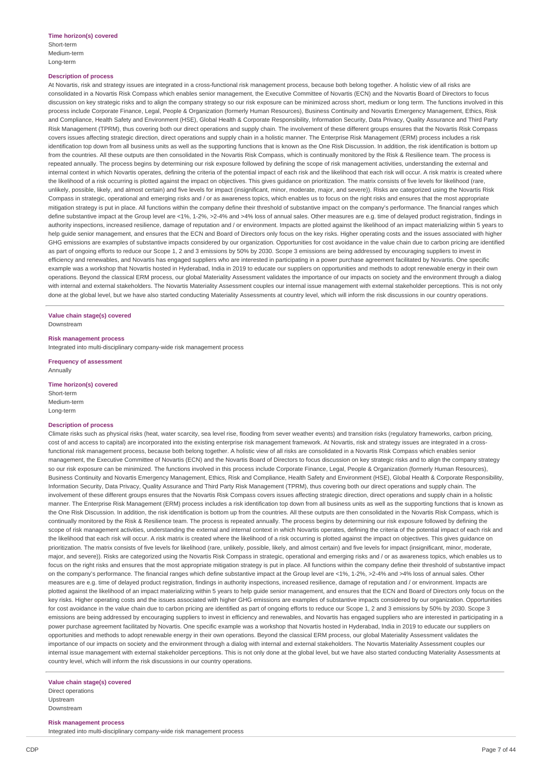#### **Description of process**

At Novartis, risk and strategy issues are integrated in a cross-functional risk management process, because both belong together. A holistic view of all risks are consolidated in a Novartis Risk Compass which enables senior management, the Executive Committee of Novartis (ECN) and the Novartis Board of Directors to focus discussion on key strategic risks and to align the company strategy so our risk exposure can be minimized across short, medium or long term. The functions involved in this process include Corporate Finance, Legal, People & Organization (formerly Human Resources), Business Continuity and Novartis Emergency Management, Ethics, Risk and Compliance, Health Safety and Environment (HSE), Global Health & Corporate Responsibility, Information Security, Data Privacy, Quality Assurance and Third Party Risk Management (TPRM), thus covering both our direct operations and supply chain. The involvement of these different groups ensures that the Novartis Risk Compass covers issues affecting strategic direction, direct operations and supply chain in a holistic manner. The Enterprise Risk Management (ERM) process includes a risk identification top down from all business units as well as the supporting functions that is known as the One Risk Discussion. In addition, the risk identification is bottom up from the countries. All these outputs are then consolidated in the Novartis Risk Compass, which is continually monitored by the Risk & Resilience team. The process is repeated annually. The process begins by determining our risk exposure followed by defining the scope of risk management activities, understanding the external and internal context in which Novartis operates, defining the criteria of the potential impact of each risk and the likelihood that each risk will occur. A risk matrix is created where the likelihood of a risk occurring is plotted against the impact on objectives. This gives guidance on prioritization. The matrix consists of five levels for likelihood (rare, unlikely, possible, likely, and almost certain) and five levels for impact (insignificant, minor, moderate, major, and severe)). Risks are categorized using the Novartis Risk Compass in strategic, operational and emerging risks and / or as awareness topics, which enables us to focus on the right risks and ensures that the most appropriate mitigation strategy is put in place. All functions within the company define their threshold of substantive impact on the company's performance. The financial ranges which define substantive impact at the Group level are <1%, 1-2%, >2-4% and >4% loss of annual sales. Other measures are e.g. time of delayed product registration, findings in authority inspections, increased resilience, damage of reputation and / or environment. Impacts are plotted against the likelihood of an impact materializing within 5 years to help guide senior management, and ensures that the ECN and Board of Directors only focus on the key risks. Higher operating costs and the issues associated with higher GHG emissions are examples of substantive impacts considered by our organization. Opportunities for cost avoidance in the value chain due to carbon pricing are identified as part of ongoing efforts to reduce our Scope 1, 2 and 3 emissions by 50% by 2030. Scope 3 emissions are being addressed by encouraging suppliers to invest in efficiency and renewables, and Novartis has engaged suppliers who are interested in participating in a power purchase agreement facilitated by Novartis. One specific example was a workshop that Novartis hosted in Hyderabad, India in 2019 to educate our suppliers on opportunities and methods to adopt renewable energy in their own operations. Beyond the classical ERM process, our global Materiality Assessment validates the importance of our impacts on society and the environment through a dialog with internal and external stakeholders. The Novartis Materiality Assessment couples our internal issue management with external stakeholder perceptions. This is not only done at the global level, but we have also started conducting Materiality Assessments at country level, which will inform the risk discussions in our country operations.

# **Value chain stage(s) covered**

Downstream

#### **Risk management process**

Integrated into multi-disciplinary company-wide risk management process

**Frequency of assessment** Annually

## **Time horizon(s) covered** Short-term

Medium-term Long-term

## **Description of process**

Climate risks such as physical risks (heat, water scarcity, sea level rise, flooding from sever weather events) and transition risks (regulatory frameworks, carbon pricing, cost of and access to capital) are incorporated into the existing enterprise risk management framework. At Novartis, risk and strategy issues are integrated in a crossfunctional risk management process, because both belong together. A holistic view of all risks are consolidated in a Novartis Risk Compass which enables senior management, the Executive Committee of Novartis (ECN) and the Novartis Board of Directors to focus discussion on key strategic risks and to align the company strategy so our risk exposure can be minimized. The functions involved in this process include Corporate Finance, Legal, People & Organization (formerly Human Resources) Business Continuity and Novartis Emergency Management, Ethics, Risk and Compliance, Health Safety and Environment (HSE), Global Health & Corporate Responsibility, Information Security, Data Privacy, Quality Assurance and Third Party Risk Management (TPRM), thus covering both our direct operations and supply chain. The involvement of these different groups ensures that the Novartis Risk Compass covers issues affecting strategic direction, direct operations and supply chain in a holistic manner. The Enterprise Risk Management (ERM) process includes a risk identification top down from all business units as well as the supporting functions that is known as the One Risk Discussion. In addition, the risk identification is bottom up from the countries. All these outputs are then consolidated in the Novartis Risk Compass, which is continually monitored by the Risk & Resilience team. The process is repeated annually. The process begins by determining our risk exposure followed by defining the scope of risk management activities, understanding the external and internal context in which Novartis operates, defining the criteria of the potential impact of each risk and the likelihood that each risk will occur. A risk matrix is created where the likelihood of a risk occurring is plotted against the impact on objectives. This gives guidance on prioritization. The matrix consists of five levels for likelihood (rare, unlikely, possible, likely, and almost certain) and five levels for impact (insignificant, minor, moderate, major, and severe)). Risks are categorized using the Novartis Risk Compass in strategic, operational and emerging risks and / or as awareness topics, which enables us to focus on the right risks and ensures that the most appropriate mitigation strategy is put in place. All functions within the company define their threshold of substantive impact on the company's performance. The financial ranges which define substantive impact at the Group level are <1%, 1-2%, >2-4% and >4% loss of annual sales. Other measures are e.g. time of delayed product registration, findings in authority inspections, increased resilience, damage of reputation and / or environment. Impacts are plotted against the likelihood of an impact materializing within 5 years to help guide senior management, and ensures that the ECN and Board of Directors only focus on the key risks. Higher operating costs and the issues associated with higher GHG emissions are examples of substantive impacts considered by our organization. Opportunities for cost avoidance in the value chain due to carbon pricing are identified as part of ongoing efforts to reduce our Scope 1, 2 and 3 emissions by 50% by 2030. Scope 3 emissions are being addressed by encouraging suppliers to invest in efficiency and renewables, and Novartis has engaged suppliers who are interested in participating in a power purchase agreement facilitated by Novartis. One specific example was a workshop that Novartis hosted in Hyderabad, India in 2019 to educate our suppliers on opportunities and methods to adopt renewable energy in their own operations. Beyond the classical ERM process, our global Materiality Assessment validates the importance of our impacts on society and the environment through a dialog with internal and external stakeholders. The Novartis Materiality Assessment couples our internal issue management with external stakeholder perceptions. This is not only done at the global level, but we have also started conducting Materiality Assessments at country level, which will inform the risk discussions in our country operations.

#### **Value chain stage(s) covered** Direct operations Upstream

Downstream

#### **Risk management process**

Integrated into multi-disciplinary company-wide risk management process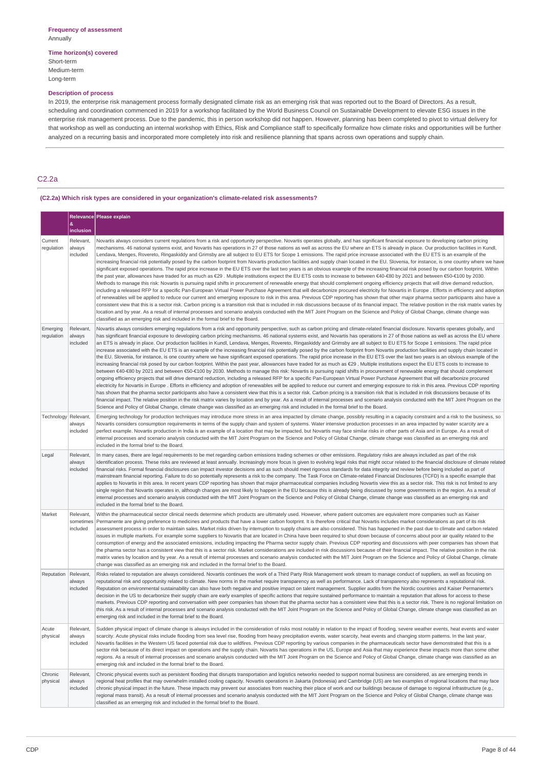### **Time horizon(s) covered** Short-term Medium-term

Long-term

## **Description of process**

In 2019, the enterprise risk management process formally designated climate risk as an emerging risk that was reported out to the Board of Directors. As a result, scheduling and coordination commenced in 2019 for a workshop facilitated by the World Business Council on Sustainable Development to elevate ESG issues in the enterprise risk management process. Due to the pandemic, this in person workshop did not happen. However, planning has been completed to pivot to virtual delivery for that workshop as well as conducting an internal workshop with Ethics, Risk and Compliance staff to specifically formalize how climate risks and opportunities will be further analyzed on a recurring basis and incorporated more completely into risk and resilience planning that spans across own operations and supply chain.

## C2.2a

## **(C2.2a) Which risk types are considered in your organization's climate-related risk assessments?**

|                        | &                                  | Relevance   Please explain                                                                                                                                                                                                                                                                                                                                                                                                                                                                                                                                                                                                                                                                                                                                                                                                                                                                                                                                                                                                                                                                                                                                                                                                                                                                                                                                                                                                                                                                                                                                                                                                                                                                                                                                                                                                                                                                                                                                                                                                                                                                                                                                                                                                                                                               |
|------------------------|------------------------------------|------------------------------------------------------------------------------------------------------------------------------------------------------------------------------------------------------------------------------------------------------------------------------------------------------------------------------------------------------------------------------------------------------------------------------------------------------------------------------------------------------------------------------------------------------------------------------------------------------------------------------------------------------------------------------------------------------------------------------------------------------------------------------------------------------------------------------------------------------------------------------------------------------------------------------------------------------------------------------------------------------------------------------------------------------------------------------------------------------------------------------------------------------------------------------------------------------------------------------------------------------------------------------------------------------------------------------------------------------------------------------------------------------------------------------------------------------------------------------------------------------------------------------------------------------------------------------------------------------------------------------------------------------------------------------------------------------------------------------------------------------------------------------------------------------------------------------------------------------------------------------------------------------------------------------------------------------------------------------------------------------------------------------------------------------------------------------------------------------------------------------------------------------------------------------------------------------------------------------------------------------------------------------------------|
|                        | inclusion                          |                                                                                                                                                                                                                                                                                                                                                                                                                                                                                                                                                                                                                                                                                                                                                                                                                                                                                                                                                                                                                                                                                                                                                                                                                                                                                                                                                                                                                                                                                                                                                                                                                                                                                                                                                                                                                                                                                                                                                                                                                                                                                                                                                                                                                                                                                          |
| Current<br>regulation  | Relevant,<br>always<br>included    | Novartis always considers current requlations from a risk and opportunity perspective. Novartis operates globally, and has significant financial exposure to developing carbon pricing<br>mechanisms. 46 national systems exist, and Novartis has operations in 27 of those nations as well as across the EU where an ETS is already in place. Our production facilities in Kundl,<br>Lendava, Menges, Rovereto, Ringaskiddy and Grimsby are all subject to EU ETS for Scope 1 emissions. The rapid price increase associated with the EU ETS is an example of the<br>increasing financial risk potentially posed by the carbon footprint from Novartis production facilities and supply chain located in the EU. Slovenia, for instance, is one country where we have<br>significant exposed operations. The rapid price increase in the EU ETS over the last two years is an obvious example of the increasing financial risk posed by our carbon footprint. Within<br>the past year, allowances have traded for as much as €29 . Multiple institutions expect the EU ETS costs to increase to between €40-€80 by 2021 and between €50-€100 by 2030.<br>Methods to manage this risk: Novartis is pursuing rapid shifts in procurement of renewable energy that should complement ongoing efficiency projects that will drive demand reduction,<br>including a released RFP for a specific Pan-European Virtual Power Purchase Agreement that will decarbonize procured electricity for Novartis in Europe. Efforts in efficiency and adoption<br>of renewables will be applied to reduce our current and emerging exposure to risk in this area. Previous CDP reporting has shown that other major pharma sector participants also have a<br>consistent view that this is a sector risk. Carbon pricing is a transition risk that is included in risk discussions because of its financial impact. The relative position in the risk matrix varies by<br>location and by year. As a result of internal processes and scenario analysis conducted with the MIT Joint Program on the Science and Policy of Global Change, climate change was<br>classified as an emerging risk and included in the formal brief to the Board.                                                            |
| Emerging<br>regulation | Relevant,<br>always<br>included    | Novartis always considers emerging regulations from a risk and opportunity perspective, such as carbon pricing and climate-related financial disclosure. Novartis operates globally, and<br>has significant financial exposure to developing carbon pricing mechanisms. 46 national systems exist, and Novartis has operations in 27 of those nations as well as across the EU where<br>an ETS is already in place. Our production facilities in Kundl, Lendava, Menges, Rovereto, Ringaskiddy and Grimsby are all subject to EU ETS for Scope 1 emissions. The rapid price<br>increase associated with the EU ETS is an example of the increasing financial risk potentially posed by the carbon footprint from Novartis production facilities and supply chain located in<br>the EU. Slovenia, for instance, is one country where we have significant exposed operations. The rapid price increase in the EU ETS over the last two years is an obvious example of the<br>increasing financial risk posed by our carbon footprint. Within the past year, allowances have traded for as much as €29 . Multiple institutions expect the EU ETS costs to increase to<br>between €40-€80 by 2021 and between €50-€100 by 2030. Methods to manage this risk: Novartis is pursuing rapid shifts in procurement of renewable energy that should complement<br>ongoing efficiency projects that will drive demand reduction, including a released RFP for a specific Pan-European Virtual Power Purchase Agreement that will decarbonize procured<br>electricity for Novartis in Europe . Efforts in efficiency and adoption of renewables will be applied to reduce our current and emerging exposure to risk in this area. Previous CDP reporting<br>has shown that the pharma sector participants also have a consistent view that this is a sector risk. Carbon pricing is a transition risk that is included in risk discussions because of its<br>financial impact. The relative position in the risk matrix varies by location and by year. As a result of internal processes and scenario analysis conducted with the MIT Joint Program on the<br>Science and Policy of Global Change, climate change was classified as an emerging risk and included in the formal brief to the Board. |
| Technology Relevant,   | always<br>included                 | Emerging technology for production techniques may introduce more stress in an area impacted by climate change, possibly resulting in a capacity constraint and a risk to the business, so<br>Novartis considers consumption requirements in terms of the supply chain and system of systems. Water intensive production processes in an area impacted by water scarcity are a<br>perfect example. Novartis production in India is an example of a location that may be impacted, but Novartis may face similar risks in other parts of Asia and in Europe. As a result of<br>internal processes and scenario analysis conducted with the MIT Joint Program on the Science and Policy of Global Change, climate change was classified as an emerging risk and<br>included in the formal brief to the Board.                                                                                                                                                                                                                                                                                                                                                                                                                                                                                                                                                                                                                                                                                                                                                                                                                                                                                                                                                                                                                                                                                                                                                                                                                                                                                                                                                                                                                                                                               |
| Legal                  | Relevant.<br>always<br>included    | In many cases, there are legal requirements to be met regarding carbon emissions trading schemes or other emissions. Regulatory risks are always included as part of the risk<br>identification process. These risks are reviewed at least annually. Increasingly more focus is given to evolving legal risks that might occur related to the financial disclosure of climate related<br>financial risks. Formal financial disclosures can impact investor decisions and as such should meet rigorous standards for data integrity and review before being included as part of<br>mainstream financial reporting. Failure to do so potentially represents a risk to the company. The Task Force on Climate-related Financial Disclosures (TCFD) is a specific example that<br>applies to Novartis in this area. In recent years CDP reporting has shown that major pharmaceutical companies including Novartis view this as a sector risk. This risk is not limited to any<br>single region that Novartis operates in, although changes are most likely to happen in the EU because this is already being discussed by some governments in the region. As a result of<br>internal processes and scenario analysis conducted with the MIT Joint Program on the Science and Policy of Global Change, climate change was classified as an emerging risk and<br>included in the formal brief to the Board.                                                                                                                                                                                                                                                                                                                                                                                                                                                                                                                                                                                                                                                                                                                                                                                                                                                                                   |
| Market                 | Relevant,<br>sometimes<br>included | Within the pharmaceutical sector clinical needs determine which products are ultimately used. However, where patient outcomes are equivalent more companies such as Kaiser<br>Permanente are giving preference to medicines and products that have a lower carbon footprint. It is therefore critical that Novartis includes market considerations as part of its risk<br>assessment process in order to maintain sales. Market risks driven by interruption to supply chains are also considered. This has happened in the past due to climate and carbon related<br>issues in multiple markets. For example some suppliers to Novartis that are located in China have been required to shut down because of concerns about poor air quality related to the<br>consumption of energy and the associated emissions, including impacting the Pharma sector supply chain. Previous CDP reporting and discussions with peer companies has shown that<br>the pharma sector has a consistent view that this is a sector risk. Market considerations are included in risk discussions because of their financial impact. The relative position in the risk<br>matrix varies by location and by year. As a result of internal processes and scenario analysis conducted with the MIT Joint Program on the Science and Policy of Global Change, climate<br>change was classified as an emerging risk and included in the formal brief to the Board.                                                                                                                                                                                                                                                                                                                                                                                                                                                                                                                                                                                                                                                                                                                                                                                                                                              |
| Reputation             | Relevant,<br>always<br>included    | Risks related to reputation are always considered. Novartis continues the work of a Third Party Risk Management work stream to manage conduct of suppliers, as well as focusing on<br>reputational risk and opportunity related to climate. New norms in the market require transparency as well as performance. Lack of transparency also represents a reputational risk.<br>Reputation on environmental sustainability can also have both negative and positive impact on talent management. Supplier audits from the Nordic countries and Kaiser Permanente's<br>decision in the US to decarbonize their supply chain are early examples of specific actions that require sustained performance to maintain a reputation that allows for access to these<br>markets. Previous CDP reporting and conversation with peer companies has shown that the pharma sector has a consistent view that this is a sector risk. There is no regional limitation on<br>this risk. As a result of internal processes and scenario analysis conducted with the MIT Joint Program on the Science and Policy of Global Change, climate change was classified as an<br>emerging risk and included in the formal brief to the Board.                                                                                                                                                                                                                                                                                                                                                                                                                                                                                                                                                                                                                                                                                                                                                                                                                                                                                                                                                                                                                                                                     |
| Acute<br>physical      | Relevant,<br>always<br>included    | Sudden physical impact of climate change is always included in the consideration of risks most notably in relation to the impact of flooding, severe weather events, heat events and water<br>scarcity. Acute physical risks include flooding from sea level rise, flooding from heavy precipitation events, water scarcity, heat events and changing storm patterns. In the last year,<br>Novartis facilities in the Western US faced potential risk due to wildfires. Previous CDP reporting by various companies in the pharmaceuticals sector have demonstrated that this is a<br>sector risk because of its direct impact on operations and the supply chain. Novartis has operations in the US, Europe and Asia that may experience these impacts more than some other<br>regions. As a result of internal processes and scenario analysis conducted with the MIT Joint Program on the Science and Policy of Global Change, climate change was classified as an<br>emerging risk and included in the formal brief to the Board.                                                                                                                                                                                                                                                                                                                                                                                                                                                                                                                                                                                                                                                                                                                                                                                                                                                                                                                                                                                                                                                                                                                                                                                                                                                    |
| Chronic<br>physical    | Relevant,<br>always<br>included    | Chronic physical events such as persistent flooding that disrupts transportation and logistics networks needed to support normal business are considered, as are emerging trends in<br>regional heat profiles that may overwhelm installed cooling capacity. Novartis operations in Jakarta (Indonesia) and Cambridge (US) are two examples of regional locations that may face<br>chronic physical impact in the future. These impacts may prevent our associates from reaching their place of work and our buildings because of damage to regional infrastructure (e.g.,<br>regional mass transit). As a result of internal processes and scenario analysis conducted with the MIT Joint Program on the Science and Policy of Global Change, climate change was<br>classified as an emerging risk and included in the formal brief to the Board.                                                                                                                                                                                                                                                                                                                                                                                                                                                                                                                                                                                                                                                                                                                                                                                                                                                                                                                                                                                                                                                                                                                                                                                                                                                                                                                                                                                                                                       |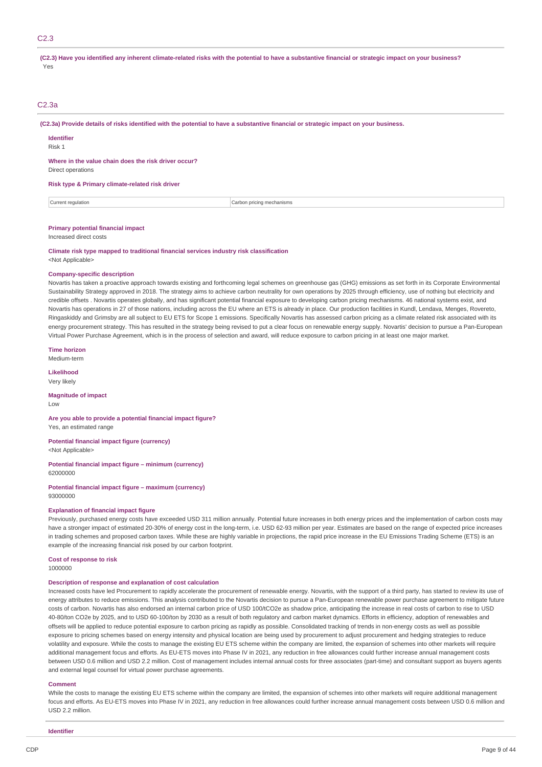## C2.3

#### (C2.3) Have you identified any inherent climate-related risks with the potential to have a substantive financial or strategic impact on your business? Yes

## C2.3a

(C2.3a) Provide details of risks identified with the potential to have a substantive financial or strategic impact on your business.

**Identifier**

Risk 1

**Where in the value chain does the risk driver occur?**

Direct operations

#### **Risk type & Primary climate-related risk driver**

Current regulation **Current regulation** Current regulation **Carbon pricing mechanisms** 

#### **Primary potential financial impact**

Increased direct costs

**Climate risk type mapped to traditional financial services industry risk classification** <Not Applicable>

#### **Company-specific description**

Novartis has taken a proactive approach towards existing and forthcoming legal schemes on greenhouse gas (GHG) emissions as set forth in its Corporate Environmental Sustainability Strategy approved in 2018. The strategy aims to achieve carbon neutrality for own operations by 2025 through efficiency, use of nothing but electricity and credible offsets . Novartis operates globally, and has significant potential financial exposure to developing carbon pricing mechanisms. 46 national systems exist, and Novartis has operations in 27 of those nations, including across the EU where an ETS is already in place. Our production facilities in Kundl, Lendava, Menges, Rovereto, Ringaskiddy and Grimsby are all subject to EU ETS for Scope 1 emissions. Specifically Novartis has assessed carbon pricing as a climate related risk associated with its energy procurement strategy. This has resulted in the strategy being revised to put a clear focus on renewable energy supply. Novartis' decision to pursue a Pan-European Virtual Power Purchase Agreement, which is in the process of selection and award, will reduce exposure to carbon pricing in at least one major market.

**Time horizon**

Medium-term

**Likelihood** Very likely

**Magnitude of impact**

Low

**Are you able to provide a potential financial impact figure?** Yes, an estimated range

**Potential financial impact figure (currency)** <Not Applicable>

**Potential financial impact figure – minimum (currency)** 62000000

**Potential financial impact figure – maximum (currency)** 93000000

#### **Explanation of financial impact figure**

Previously, purchased energy costs have exceeded USD 311 million annually. Potential future increases in both energy prices and the implementation of carbon costs may have a stronger impact of estimated 20-30% of energy cost in the long-term, i.e. USD 62-93 million per year. Estimates are based on the range of expected price increases in trading schemes and proposed carbon taxes. While these are highly variable in projections, the rapid price increase in the EU Emissions Trading Scheme (ETS) is an example of the increasing financial risk posed by our carbon footprint.

**Cost of response to risk**

1000000

## **Description of response and explanation of cost calculation**

Increased costs have led Procurement to rapidly accelerate the procurement of renewable energy. Novartis, with the support of a third party, has started to review its use of energy attributes to reduce emissions. This analysis contributed to the Novartis decision to pursue a Pan-European renewable power purchase agreement to mitigate future costs of carbon. Novartis has also endorsed an internal carbon price of USD 100/tCO2e as shadow price, anticipating the increase in real costs of carbon to rise to USD 40-80/ton CO2e by 2025, and to USD 60-100/ton by 2030 as a result of both regulatory and carbon market dynamics. Efforts in efficiency, adoption of renewables and offsets will be applied to reduce potential exposure to carbon pricing as rapidly as possible. Consolidated tracking of trends in non-energy costs as well as possible exposure to pricing schemes based on energy intensity and physical location are being used by procurement to adjust procurement and hedging strategies to reduce volatility and exposure. While the costs to manage the existing EU ETS scheme within the company are limited, the expansion of schemes into other markets will require additional management focus and efforts. As EU-ETS moves into Phase IV in 2021, any reduction in free allowances could further increase annual management costs between USD 0.6 million and USD 2.2 million. Cost of management includes internal annual costs for three associates (part-time) and consultant support as buyers agents and external legal counsel for virtual power purchase agreements.

#### **Comment**

While the costs to manage the existing EU ETS scheme within the company are limited, the expansion of schemes into other markets will require additional management focus and efforts. As EU-ETS moves into Phase IV in 2021, any reduction in free allowances could further increase annual management costs between USD 0.6 million and USD 2.2 million.

**Identifie**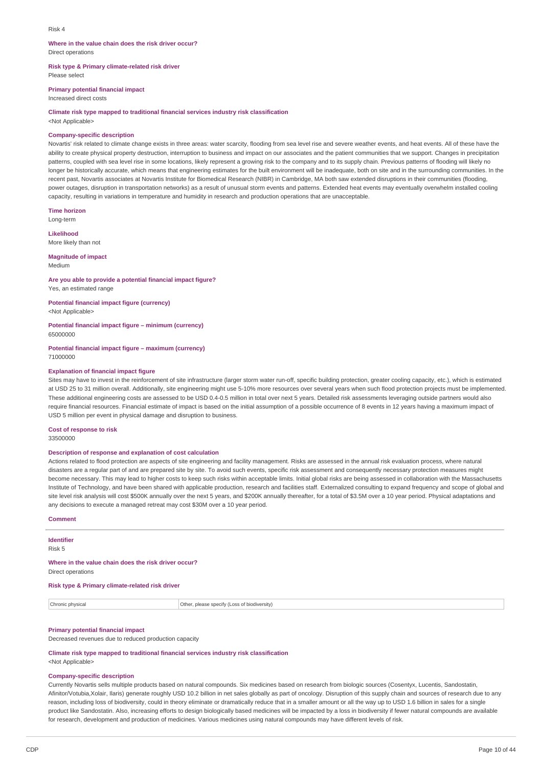#### Risk 4

#### **Where in the value chain does the risk driver occur?** Direct operations

**Risk type & Primary climate-related risk driver** Please select

**Primary potential financial impact**

Increased direct costs

**Climate risk type mapped to traditional financial services industry risk classification** <Not Applicable>

# **Company-specific description**

Novartis' risk related to climate change exists in three areas: water scarcity, flooding from sea level rise and severe weather events, and heat events. All of these have the ability to create physical property destruction, interruption to business and impact on our associates and the patient communities that we support. Changes in precipitation patterns, coupled with sea level rise in some locations, likely represent a growing risk to the company and to its supply chain. Previous patterns of flooding will likely no longer be historically accurate, which means that engineering estimates for the built environment will be inadequate, both on site and in the surrounding communities. In the recent past, Novartis associates at Novartis Institute for Biomedical Research (NIBR) in Cambridge, MA both saw extended disruptions in their communities (flooding, power outages, disruption in transportation networks) as a result of unusual storm events and patterns. Extended heat events may eventually overwhelm installed cooling capacity, resulting in variations in temperature and humidity in research and production operations that are unacceptable.

**Time horizon** Long-term

**Likelihood** More likely than not

**Magnitude of impact** Medium

**Are you able to provide a potential financial impact figure?** Yes, an estimated range

**Potential financial impact figure (currency)** <Not Applicable>

**Potential financial impact figure – minimum (currency)** 65000000

**Potential financial impact figure – maximum (currency)** 71000000

#### **Explanation of financial impact figure**

Sites may have to invest in the reinforcement of site infrastructure (larger storm water run-off, specific building protection, greater cooling capacity, etc.), which is estimated at USD 25 to 31 million overall. Additionally, site engineering might use 5-10% more resources over several years when such flood protection projects must be implemented. These additional engineering costs are assessed to be USD 0.4-0.5 million in total over next 5 years. Detailed risk assessments leveraging outside partners would also require financial resources. Financial estimate of impact is based on the initial assumption of a possible occurrence of 8 events in 12 years having a maximum impact of USD 5 million per event in physical damage and disruption to business.

**Cost of response to risk** 33500000

### **Description of response and explanation of cost calculation**

Actions related to flood protection are aspects of site engineering and facility management. Risks are assessed in the annual risk evaluation process, where natural disasters are a regular part of and are prepared site by site. To avoid such events, specific risk assessment and consequently necessary protection measures might become necessary. This may lead to higher costs to keep such risks within acceptable limits. Initial global risks are being assessed in collaboration with the Massachusetts Institute of Technology, and have been shared with applicable production, research and facilities staff. Externalized consulting to expand frequency and scope of global and site level risk analysis will cost \$500K annually over the next 5 years, and \$200K annually thereafter, for a total of \$3.5M over a 10 year period. Physical adaptations and any decisions to execute a managed retreat may cost \$30M over a 10 year period.

## **Comment**

**Identifier**

Risk 5

# **Where in the value chain does the risk driver occur?**

Direct operations

## **Risk type & Primary climate-related risk driver**

Chronic physical Other, please specify (Loss of biodiversity)

## **Primary potential financial impact**

Decreased revenues due to reduced production capacity

## **Climate risk type mapped to traditional financial services industry risk classification**

<Not Applicable>

## **Company-specific description**

Currently Novartis sells multiple products based on natural compounds. Six medicines based on research from biologic sources (Cosentyx, Lucentis, Sandostatin, Afinitor/Votubia,Xolair, Ilaris) generate roughly USD 10.2 billion in net sales globally as part of oncology. Disruption of this supply chain and sources of research due to any reason, including loss of biodiversity, could in theory eliminate or dramatically reduce that in a smaller amount or all the way up to USD 1.6 billion in sales for a single product like Sandostatin. Also, increasing efforts to design biologically based medicines will be impacted by a loss in biodiversity if fewer natural compounds are available for research, development and production of medicines. Various medicines using natural compounds may have different levels of risk.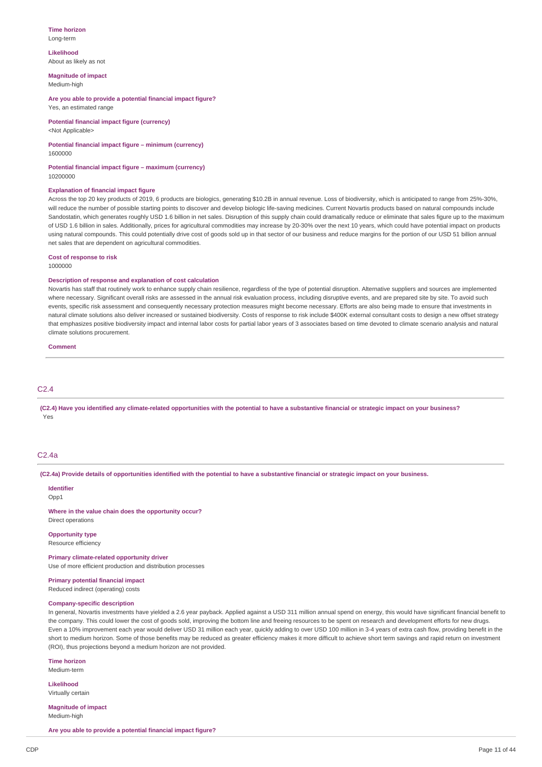#### **Time horizon** Long-term

**Likelihood**

About as likely as not

**Magnitude of impact** Medium-high

**Are you able to provide a potential financial impact figure?** Yes, an estimated range

**Potential financial impact figure (currency)** <Not Applicable>

## **Potential financial impact figure – minimum (currency)**

1600000

**Potential financial impact figure – maximum (currency)** 10200000

### **Explanation of financial impact figure**

Across the top 20 key products of 2019, 6 products are biologics, generating \$10.2B in annual revenue. Loss of biodiversity, which is anticipated to range from 25%-30%, will reduce the number of possible starting points to discover and develop biologic life-saving medicines. Current Novartis products based on natural compounds include Sandostatin, which generates roughly USD 1.6 billion in net sales. Disruption of this supply chain could dramatically reduce or eliminate that sales figure up to the maximum of USD 1.6 billion in sales. Additionally, prices for agricultural commodities may increase by 20-30% over the next 10 years, which could have potential impact on products using natural compounds. This could potentially drive cost of goods sold up in that sector of our business and reduce margins for the portion of our USD 51 billion annual net sales that are dependent on agricultural commodities.

#### **Cost of response to risk**

1000000

#### **Description of response and explanation of cost calculation**

Novartis has staff that routinely work to enhance supply chain resilience, regardless of the type of potential disruption. Alternative suppliers and sources are implemented where necessary. Significant overall risks are assessed in the annual risk evaluation process, including disruptive events, and are prepared site by site. To avoid such events, specific risk assessment and consequently necessary protection measures might become necessary. Efforts are also being made to ensure that investments in natural climate solutions also deliver increased or sustained biodiversity. Costs of response to risk include \$400K external consultant costs to design a new offset strategy that emphasizes positive biodiversity impact and internal labor costs for partial labor years of 3 associates based on time devoted to climate scenario analysis and natural climate solutions procurement.

**Comment**

## C2.4

(C2.4) Have you identified any climate-related opportunities with the potential to have a substantive financial or strategic impact on your business? Yes

## C2.4a

(C2.4a) Provide details of opportunities identified with the potential to have a substantive financial or strategic impact on your business.

#### **Identifier**

Opp<sub>1</sub>

**Where in the value chain does the opportunity occur?**

## Direct operations **Opportunity type**

Resource efficiency

#### **Primary climate-related opportunity driver**

Use of more efficient production and distribution processes

## **Primary potential financial impact**

Reduced indirect (operating) costs

## **Company-specific description**

In general, Novartis investments have yielded a 2.6 year payback. Applied against a USD 311 million annual spend on energy, this would have significant financial benefit to the company. This could lower the cost of goods sold, improving the bottom line and freeing resources to be spent on research and development efforts for new drugs. Even a 10% improvement each year would deliver USD 31 million each year, quickly adding to over USD 100 million in 3-4 years of extra cash flow, providing benefit in the short to medium horizon. Some of those benefits may be reduced as greater efficiency makes it more difficult to achieve short term savings and rapid return on investment (ROI), thus projections beyond a medium horizon are not provided.

**Time horizon** Medium-term

**Likelihood**

Virtually certain

**Magnitude of impact** Medium-high

**Are you able to provide a potential financial impact figure?**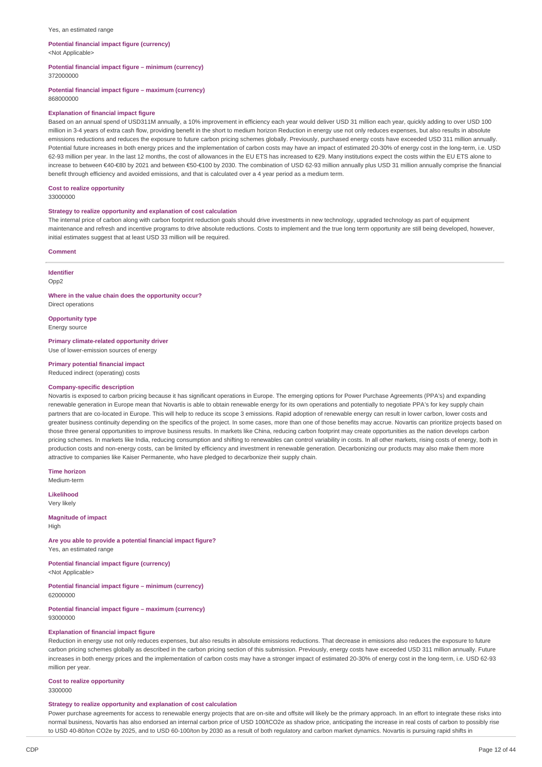#### Yes, an estimated range

### **Potential financial impact figure (currency)**

<Not Applicable>

**Potential financial impact figure – minimum (currency)**

372000000

**Potential financial impact figure – maximum (currency)** 868000000

### **Explanation of financial impact figure**

Based on an annual spend of USD311M annually, a 10% improvement in efficiency each year would deliver USD 31 million each year, quickly adding to over USD 100 million in 3-4 years of extra cash flow, providing benefit in the short to medium horizon Reduction in energy use not only reduces expenses, but also results in absolute emissions reductions and reduces the exposure to future carbon pricing schemes globally. Previously, purchased energy costs have exceeded USD 311 million annually. Potential future increases in both energy prices and the implementation of carbon costs may have an impact of estimated 20-30% of energy cost in the long-term, i.e. USD 62-93 million per year. In the last 12 months, the cost of allowances in the EU ETS has increased to €29. Many institutions expect the costs within the EU ETS alone to increase to between €40-€80 by 2021 and between €50-€100 by 2030. The combination of USD 62-93 million annually plus USD 31 million annually comprise the financial benefit through efficiency and avoided emissions, and that is calculated over a 4 year period as a medium term.

#### **Cost to realize opportunity**

33000000

#### **Strategy to realize opportunity and explanation of cost calculation**

The internal price of carbon along with carbon footprint reduction goals should drive investments in new technology, upgraded technology as part of equipment maintenance and refresh and incentive programs to drive absolute reductions. Costs to implement and the true long term opportunity are still being developed, however, initial estimates suggest that at least USD 33 million will be required.

#### **Comment**

**Identifier** Opp2

**Where in the value chain does the opportunity occur?**

Direct operations

**Opportunity type** Energy source

**Primary climate-related opportunity driver** Use of lower-emission sources of energy

**Primary potential financial impact**

# Reduced indirect (operating) costs

## **Company-specific description**

Novartis is exposed to carbon pricing because it has significant operations in Europe. The emerging options for Power Purchase Agreements (PPA's) and expanding renewable generation in Europe mean that Novartis is able to obtain renewable energy for its own operations and potentially to negotiate PPA's for key supply chain partners that are co-located in Europe. This will help to reduce its scope 3 emissions. Rapid adoption of renewable energy can result in lower carbon, lower costs and greater business continuity depending on the specifics of the project. In some cases, more than one of those benefits may accrue. Novartis can prioritize projects based on those three general opportunities to improve business results. In markets like China, reducing carbon footprint may create opportunities as the nation develops carbon pricing schemes. In markets like India, reducing consumption and shifting to renewables can control variability in costs. In all other markets, rising costs of energy, both in production costs and non-energy costs, can be limited by efficiency and investment in renewable generation. Decarbonizing our products may also make them more attractive to companies like Kaiser Permanente, who have pledged to decarbonize their supply chain.

**Time horizon** Medium-term

**Likelihood** Very likely

**Magnitude of impact** High

**Are you able to provide a potential financial impact figure?** Yes, an estimated range

**Potential financial impact figure (currency)** <Not Applicable>

**Potential financial impact figure – minimum (currency)** 62000000

**Potential financial impact figure – maximum (currency)** 93000000

### **Explanation of financial impact figure**

Reduction in energy use not only reduces expenses, but also results in absolute emissions reductions. That decrease in emissions also reduces the exposure to future carbon pricing schemes globally as described in the carbon pricing section of this submission. Previously, energy costs have exceeded USD 311 million annually. Future increases in both energy prices and the implementation of carbon costs may have a stronger impact of estimated 20-30% of energy cost in the long-term, i.e. USD 62-93 million per year.

## **Cost to realize opportunity**

3300000

### **Strategy to realize opportunity and explanation of cost calculation**

Power purchase agreements for access to renewable energy projects that are on-site and offsite will likely be the primary approach. In an effort to integrate these risks into normal business, Novartis has also endorsed an internal carbon price of USD 100/tCO2e as shadow price, anticipating the increase in real costs of carbon to possibly rise to USD 40-80/ton CO2e by 2025, and to USD 60-100/ton by 2030 as a result of both regulatory and carbon market dynamics. Novartis is pursuing rapid shifts in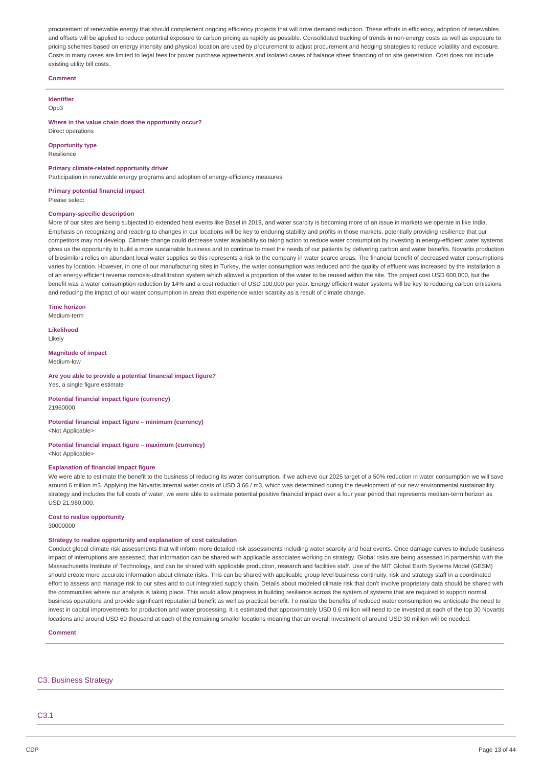procurement of renewable energy that should complement ongoing efficiency projects that will drive demand reduction. These efforts in efficiency, adoption of renewables and offsets will be applied to reduce potential exposure to carbon pricing as rapidly as possible. Consolidated tracking of trends in non-energy costs as well as exposure to pricing schemes based on energy intensity and physical location are used by procurement to adjust procurement and hedging strategies to reduce volatility and exposure. Costs in many cases are limited to legal fees for power purchase agreements and isolated cases of balance sheet financing of on site generation. Cost does not include existing utility bill costs.

#### **Comment**

#### **Identifier**  $Onn3$

### **Where in the value chain does the opportunity occur?**

Direct operations

**Opportunity type** Resilience

#### **Primary climate-related opportunity driver**

Participation in renewable energy programs and adoption of energy-efficiency measures

#### **Primary potential financial impact** Please select

### **Company-specific description**

More of our sites are being subjected to extended heat events like Basel in 2019, and water scarcity is becoming more of an issue in markets we operate in like India. Emphasis on recognizing and reacting to changes in our locations will be key to enduring stability and profits in those markets, potentially providing resilience that our competitors may not develop. Climate change could decrease water availability so taking action to reduce water consumption by investing in energy-efficient water systems gives us the opportunity to build a more sustainable business and to continue to meet the needs of our patients by delivering carbon and water benefits. Novartis production of biosimilars relies on abundant local water supplies so this represents a risk to the company in water scarce areas. The financial benefit of decreased water consumptions varies by location. However, in one of our manufacturing sites in Turkey, the water consumption was reduced and the quality of effluent was increased by the installation a of an energy-efficient reverse osmosis-ultrafiltration system which allowed a proportion of the water to be reused within the site. The project cost USD 600,000, but the benefit was a water consumption reduction by 14% and a cost reduction of USD 100,000 per year. Energy efficient water systems will be key to reducing carbon emissions and reducing the impact of our water consumption in areas that experience water scarcity as a result of climate change.

**Time horizon** Medium-term

**Likelihood**

Likely

#### **Magnitude of impact** Medium-low

#### **Are you able to provide a potential financial impact figure?** Yes, a single figure estimate

**Potential financial impact figure (currency)** 21960000

## **Potential financial impact figure – minimum (currency)** <Not Applicable>

**Potential financial impact figure – maximum (currency)** <Not Applicable>

#### **Explanation of financial impact figure**

We were able to estimate the benefit to the business of reducing its water consumption. If we achieve our 2025 target of a 50% reduction in water consumption we will save around 6 million m3. Applying the Novartis internal water costs of USD 3.66 / m3, which was determined during the development of our new environmental sustainability strategy and includes the full costs of water, we were able to estimate potential positive financial impact over a four year period that represents medium-term horizon as USD 21,960,000.

# **Cost to realize opportunity**

30000000

#### **Strategy to realize opportunity and explanation of cost calculation**

Conduct global climate risk assessments that will inform more detailed risk assessments including water scarcity and heat events. Once damage curves to include business impact of interruptions are assessed, that information can be shared with applicable associates working on strategy. Global risks are being assessed in partnership with the Massachusetts Institute of Technology, and can be shared with applicable production, research and facilities staff. Use of the MIT Global Earth Systems Model (GESM) should create more accurate information about climate risks. This can be shared with applicable group level business continuity, risk and strategy staff in a coordinated effort to assess and manage risk to our sites and to out integrated supply chain. Details about modeled climate risk that don't involve proprietary data should be shared with the communities where our analysis is taking place. This would allow progress in building resilience across the system of systems that are required to support normal business operations and provide significant reputational benefit as well as practical benefit. To realize the benefits of reduced water consumption we anticipate the need to invest in capital improvements for production and water processing. It is estimated that approximately USD 0.6 million will need to be invested at each of the top 30 Novartis locations and around USD 60 thousand at each of the remaining smaller locations meaning that an overall investment of around USD 30 million will be needed.

**Comment**

### C3. Business Strategy

C3.1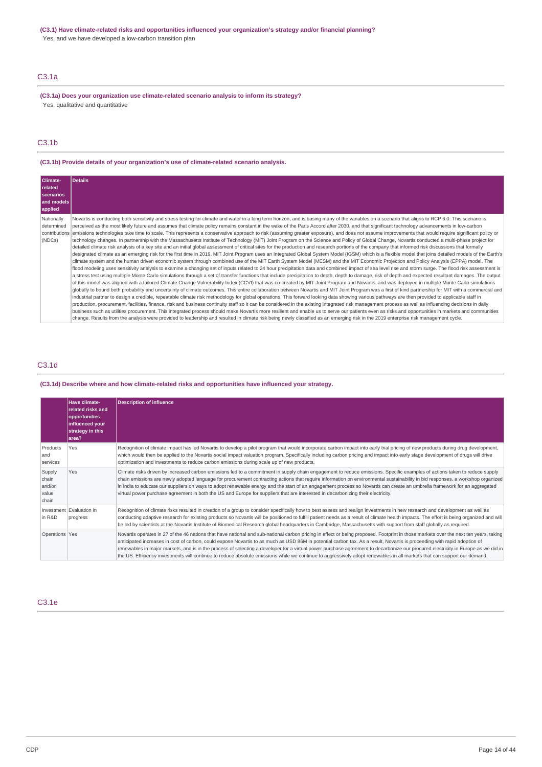## **(C3.1) Have climate-related risks and opportunities influenced your organization's strategy and/or financial planning?**

Yes, and we have developed a low-carbon transition plan

## C3.1a

**(C3.1a) Does your organization use climate-related scenario analysis to inform its strategy?** Yes, qualitative and quantitative

## C3.1b

## **(C3.1b) Provide details of your organization's use of climate-related scenario analysis.**

| Climate-<br>related<br>scenarios<br>and models<br>applied | Details                                                                                                                                                                                                                                                                                                                                                                                                                                                                                                                                                                                                                                                                                                                                                                                                                                                                                                                                                                                                                                                                                                                                                                                                                                                                                                                                                                                                                                                                                                                                                                                                                                                                                                                                                                                                                                                                                                                                                                                                                                                                                                                                                                                                                                                                                                                                                                                                                                                                                                                                                                                                                                                                                                                                                                                                                                                                                                                                                                                                                                                       |
|-----------------------------------------------------------|---------------------------------------------------------------------------------------------------------------------------------------------------------------------------------------------------------------------------------------------------------------------------------------------------------------------------------------------------------------------------------------------------------------------------------------------------------------------------------------------------------------------------------------------------------------------------------------------------------------------------------------------------------------------------------------------------------------------------------------------------------------------------------------------------------------------------------------------------------------------------------------------------------------------------------------------------------------------------------------------------------------------------------------------------------------------------------------------------------------------------------------------------------------------------------------------------------------------------------------------------------------------------------------------------------------------------------------------------------------------------------------------------------------------------------------------------------------------------------------------------------------------------------------------------------------------------------------------------------------------------------------------------------------------------------------------------------------------------------------------------------------------------------------------------------------------------------------------------------------------------------------------------------------------------------------------------------------------------------------------------------------------------------------------------------------------------------------------------------------------------------------------------------------------------------------------------------------------------------------------------------------------------------------------------------------------------------------------------------------------------------------------------------------------------------------------------------------------------------------------------------------------------------------------------------------------------------------------------------------------------------------------------------------------------------------------------------------------------------------------------------------------------------------------------------------------------------------------------------------------------------------------------------------------------------------------------------------------------------------------------------------------------------------------------------------|
| Nationally<br>determined<br>contributions<br>(NDCs)       | Novartis is conducting both sensitivity and stress testing for climate and water in a long term horizon, and is basing many of the variables on a scenario that aligns to RCP 6.0. This scenario is<br>perceived as the most likely future and assumes that climate policy remains constant in the wake of the Paris Accord after 2030, and that significant technology advancements in low-carbon<br>emissions technologies take time to scale. This represents a conservative approach to risk (assuming greater exposure), and does not assume improvements that would require significant policy or<br>technology changes. In partnership with the Massachusetts Institute of Technology (MIT) Joint Program on the Science and Policy of Global Change, Novartis conducted a multi-phase project for<br>detailed climate risk analysis of a key site and an initial global assessment of critical sites for the production and research portions of the company that informed risk discussions that formally<br>designated climate as an emerging risk for the first time in 2019. MIT Joint Program uses an Integrated Global System Model (IGSM) which is a flexible model that joins detailed models of the Earth's<br>climate system and the human driven economic system through combined use of the MIT Earth System Model (MESM) and the MIT Economic Projection and Policy Analysis (EPPA) model. The<br>flood modeling uses sensitivity analysis to examine a changing set of inputs related to 24 hour precipitation data and combined impact of sea level rise and storm surge. The flood risk assessment is<br>a stress test using multiple Monte Carlo simulations through a set of transfer functions that include precipitation to depth, depth to damage, risk of depth and expected resultant damages. The output<br>of this model was aligned with a tailored Climate Change Vulnerability Index (CCVI) that was co-created by MIT Joint Program and Novartis, and was deployed in multiple Monte Carlo simulations<br>globally to bound both probability and uncertainty of climate outcomes. This entire collaboration between Novartis and MIT Joint Program was a first of kind partnership for MIT with a commercial and<br>industrial partner to design a credible, repeatable climate risk methodology for global operations. This forward looking data showing various pathways are then provided to applicable staff in<br>production, procurement, facilities, finance, risk and business continuity staff so it can be considered in the existing integrated risk management process as well as influencing decisions in daily<br>business such as utilities procurement. This integrated process should make Novartis more resilient and enable us to serve our patients even as risks and opportunities in markets and communities<br>change. Results from the analysis were provided to leadership and resulted in climate risk being newly classified as an emerging risk in the 2019 enterprise risk management cycle. |

## C3.1d

## **(C3.1d) Describe where and how climate-related risks and opportunities have influenced your strategy.**

|                                             | <b>Have climate-</b><br>related risks and<br>opportunities<br>influenced your<br>strategy in this<br>area? | <b>Description of influence</b>                                                                                                                                                                                                                                                                                                                                                                                                                                                                                                                                                                                                                                                                                                   |
|---------------------------------------------|------------------------------------------------------------------------------------------------------------|-----------------------------------------------------------------------------------------------------------------------------------------------------------------------------------------------------------------------------------------------------------------------------------------------------------------------------------------------------------------------------------------------------------------------------------------------------------------------------------------------------------------------------------------------------------------------------------------------------------------------------------------------------------------------------------------------------------------------------------|
| Products<br>and<br>services                 | Yes                                                                                                        | Recognition of climate impact has led Novartis to develop a pilot program that would incorporate carbon impact into early trial pricing of new products during drug development,<br>which would then be applied to the Novartis social impact valuation program. Specifically including carbon pricing and impact into early stage development of drugs will drive<br>optimization and investments to reduce carbon emissions during scale up of new products.                                                                                                                                                                                                                                                                    |
| Supply<br>chain<br>and/or<br>value<br>chain | Yes                                                                                                        | Climate risks driven by increased carbon emissions led to a commitment in supply chain engagement to reduce emissions. Specific examples of actions taken to reduce supply<br>chain emissions are newly adopted language for procurement contracting actions that require information on environmental sustainability in bid responses, a workshop organized<br>in India to educate our suppliers on ways to adopt renewable energy and the start of an engagement process so Novartis can create an umbrella framework for an aggregated<br>virtual power purchase agreement in both the US and Europe for suppliers that are interested in decarbonizing their electricity.                                                     |
| in R&D                                      | Investment Evaluation in<br>progress                                                                       | Recognition of climate risks resulted in creation of a group to consider specifically how to best assess and realign investments in new research and development as well as<br>conducting adaptive research for existing products so Novartis will be positioned to fulfill patient needs as a result of climate health impacts. The effort is being organized and will<br>be led by scientists at the Novartis Institute of Biomedical Research global headquarters in Cambridge, Massachusetts with support from staff globally as required.                                                                                                                                                                                    |
| Operations Yes                              |                                                                                                            | Novartis operates in 27 of the 46 nations that have national and sub-national carbon pricing in effect or being proposed. Footprint in those markets over the next ten years, taking<br>anticipated increases in cost of carbon, could expose Novartis to as much as USD 86M in potential carbon tax. As a result, Novartis is proceeding with rapid adoption of<br>renewables in major markets, and is in the process of selecting a developer for a virtual power purchase agreement to decarbonize our procured electricity in Europe as we did in<br>the US. Efficiency investments will continue to reduce absolute emissions while we continue to aggressively adopt renewables in all markets that can support our demand. |

## C3.1e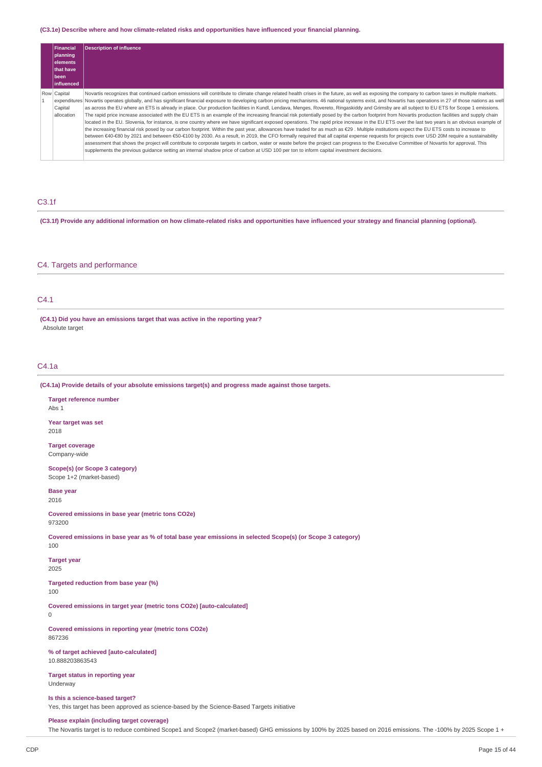## **(C3.1e) Describe where and how climate-related risks and opportunities have influenced your financial planning.**

| Financial<br>planning | Description of influence                                                                                                                                                                                                                                                                                                              |
|-----------------------|---------------------------------------------------------------------------------------------------------------------------------------------------------------------------------------------------------------------------------------------------------------------------------------------------------------------------------------|
| elements              |                                                                                                                                                                                                                                                                                                                                       |
| <b>Ithat have</b>     |                                                                                                                                                                                                                                                                                                                                       |
| l been                |                                                                                                                                                                                                                                                                                                                                       |
| <b>linfluenced</b>    |                                                                                                                                                                                                                                                                                                                                       |
| Row Capital           | Novartis recognizes that continued carbon emissions will contribute to climate change related health crises in the future, as well as exposing the company to carbon taxes in multiple markets.                                                                                                                                       |
|                       | expenditures Novartis operates globally, and has significant financial exposure to developing carbon pricing mechanisms. 46 national systems exist, and Novartis has operations in 27 of those nations as well                                                                                                                        |
| Capital               | as across the EU where an ETS is already in place. Our production facilities in Kundl, Lendava, Menges, Rovereto, Ringaskiddy and Grimsby are all subject to EU ETS for Scope 1 emissions.                                                                                                                                            |
| allocation            | The rapid price increase associated with the EU ETS is an example of the increasing financial risk potentially posed by the carbon footprint from Novartis production facilities and supply chain                                                                                                                                     |
|                       | located in the EU. Slovenia, for instance, is one country where we have significant exposed operations. The rapid price increase in the EU ETS over the last two years is an obvious example of                                                                                                                                       |
|                       | the increasing financial risk posed by our carbon footprint. Within the past year, allowances have traded for as much as €29. Multiple institutions expect the EU ETS costs to increase to                                                                                                                                            |
|                       | between €40-€80 by 2021 and between €50-€100 by 2030. As a result, in 2019, the CFO formally required that all capital expense requests for projects over USD 20M require a sustainability                                                                                                                                            |
|                       | assessment that shows the project will contribute to corporate targets in carbon, water or waste before the project can progress to the Executive Committee of Novartis for approval. This<br>supplements the previous quidance setting an internal shadow price of carbon at USD 100 per ton to inform capital investment decisions. |
|                       |                                                                                                                                                                                                                                                                                                                                       |

## C3.1f

(C3.1f) Provide any additional information on how climate-related risks and opportunities have influenced your strategy and financial planning (optional).

## C4. Targets and performance

## C4.1

**(C4.1) Did you have an emissions target that was active in the reporting year?** Absolute target

## C4.1a

**(C4.1a) Provide details of your absolute emissions target(s) and progress made against those targets.**

**Target reference number** Abs 1 **Year target was set** 2018

**Target coverage** Company-wide

**Scope(s) (or Scope 3 category)** Scope 1+2 (market-based)

**Base year**

2016

**Covered emissions in base year (metric tons CO2e)** 973200

Covered emissions in base year as % of total base year emissions in selected Scope(s) (or Scope 3 category) 100

**Target year** 2025

**Targeted reduction from base year (%)** 100

 $\Omega$ 

**Covered emissions in target year (metric tons CO2e) [auto-calculated]**

**Covered emissions in reporting year (metric tons CO2e)** 867236

**% of target achieved [auto-calculated]** 10.888203863543

**Target status in reporting year** Underway

#### **Is this a science-based target?**

Yes, this target has been approved as science-based by the Science-Based Targets initiative

#### **Please explain (including target coverage)**

The Novartis target is to reduce combined Scope1 and Scope2 (market-based) GHG emissions by 100% by 2025 based on 2016 emissions. The -100% by 2025 Scope 1 +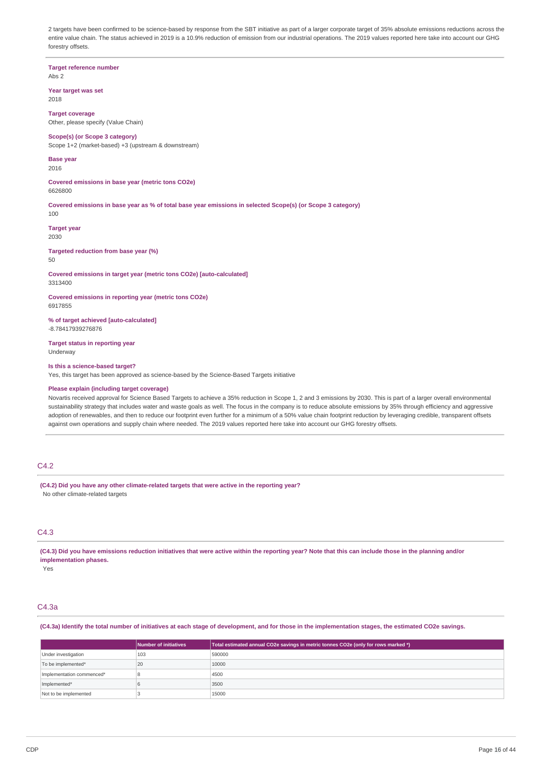2 targets have been confirmed to be science-based by response from the SBT initiative as part of a larger corporate target of 35% absolute emissions reductions across the entire value chain. The status achieved in 2019 is a 10.9% reduction of emission from our industrial operations. The 2019 values reported here take into account our GHG forestry offsets.

**Target reference number** Abs 2

**Year target was set**

2018

**Target coverage** Other, please specify (Value Chain)

## **Scope(s) (or Scope 3 category)**

Scope 1+2 (market-based) +3 (upstream & downstream)

#### **Base year** 2016

**Covered emissions in base year (metric tons CO2e)** 6626800

Covered emissions in base year as % of total base year emissions in selected Scope(s) (or Scope 3 category)

100

**Target year** 2030

**Targeted reduction from base year (%)**

50

**Covered emissions in target year (metric tons CO2e) [auto-calculated]** 3313400

**Covered emissions in reporting year (metric tons CO2e)** 6917855

**% of target achieved [auto-calculated]** -8.78417939276876

**Target status in reporting year** Underway

### **Is this a science-based target?**

Yes, this target has been approved as science-based by the Science-Based Targets initiative

## **Please explain (including target coverage)**

Novartis received approval for Science Based Targets to achieve a 35% reduction in Scope 1, 2 and 3 emissions by 2030. This is part of a larger overall environmental sustainability strategy that includes water and waste goals as well. The focus in the company is to reduce absolute emissions by 35% through efficiency and aggressive adoption of renewables, and then to reduce our footprint even further for a minimum of a 50% value chain footprint reduction by leveraging credible, transparent offsets against own operations and supply chain where needed. The 2019 values reported here take into account our GHG forestry offsets

## C4.2

**(C4.2) Did you have any other climate-related targets that were active in the reporting year?** No other climate-related targets

## C4.3

(C4.3) Did you have emissions reduction initiatives that were active within the reporting year? Note that this can include those in the planning and/or **implementation phases.**

Yes

# C4.3a

(C4.3a) Identify the total number of initiatives at each stage of development, and for those in the implementation stages, the estimated CO2e savings.

|                           | Number of initiatives | Total estimated annual CO2e savings in metric tonnes CO2e (only for rows marked *) |
|---------------------------|-----------------------|------------------------------------------------------------------------------------|
| Under investigation       | 103                   | 590000                                                                             |
| To be implemented*        | 20                    | 10000                                                                              |
| Implementation commenced* |                       | 4500                                                                               |
| Implemented*              |                       | 3500                                                                               |
| Not to be implemented     |                       | 15000                                                                              |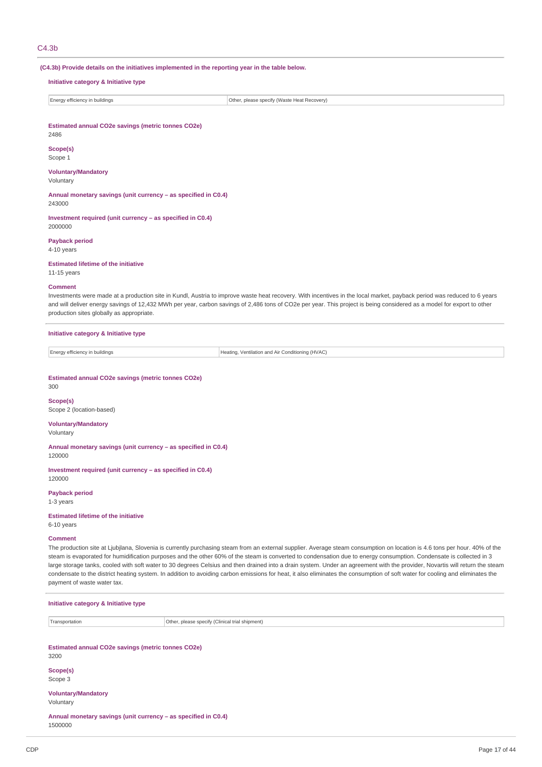### C4.3b

**(C4.3b) Provide details on the initiatives implemented in the reporting year in the table below.**

#### **Initiative category & Initiative type**

Energy efficiency in buildings **Other, please specify (Waste Heat Recovery)** Other, please specify (Waste Heat Recovery)

**Estimated annual CO2e savings (metric tonnes CO2e)**

## 2486 **Scope(s)**

Scope 1

## **Voluntary/Mandatory**

Voluntary

**Annual monetary savings (unit currency – as specified in C0.4)** 243000

**Investment required (unit currency – as specified in C0.4)** 2000000

**Payback period** 4-10 years

**Estimated lifetime of the initiative**

11-15 years

#### **Comment**

Investments were made at a production site in Kundl, Austria to improve waste heat recovery. With incentives in the local market, payback period was reduced to 6 years and will deliver energy savings of 12,432 MWh per year, carbon savings of 2,486 tons of CO2e per year. This project is being considered as a model for export to other production sites globally as appropriate.

#### **Initiative category & Initiative type**

Energy efficiency in buildings **Heating, Ventilation and Air Conditioning (HVAC)** 

#### **Estimated annual CO2e savings (metric tonnes CO2e)**

300

**Scope(s)** Scope 2 (location-based)

## **Voluntary/Mandatory**

Voluntary

**Annual monetary savings (unit currency – as specified in C0.4)**

120000

**Investment required (unit currency – as specified in C0.4)** 120000

**Payback period**

1-3 years

**Estimated lifetime of the initiative** 6-10 years

# **Comment**

The production site at Ljubjlana, Slovenia is currently purchasing steam from an external supplier. Average steam consumption on location is 4.6 tons per hour. 40% of the steam is evaporated for humidification purposes and the other 60% of the steam is converted to condensation due to energy consumption. Condensate is collected in 3 large storage tanks, cooled with soft water to 30 degrees Celsius and then drained into a drain system. Under an agreement with the provider, Novartis will return the steam condensate to the district heating system. In addition to avoiding carbon emissions for heat, it also eliminates the consumption of soft water for cooling and eliminates the payment of waste water tax.

| Initiative category & Initiative type                                     |                                                 |  |  |  |  |
|---------------------------------------------------------------------------|-------------------------------------------------|--|--|--|--|
| Transportation                                                            | Other, please specify (Clinical trial shipment) |  |  |  |  |
|                                                                           |                                                 |  |  |  |  |
| Estimated annual CO2e savings (metric tonnes CO2e)<br>3200                |                                                 |  |  |  |  |
| Scope(s)<br>Scope 3                                                       |                                                 |  |  |  |  |
| <b>Voluntary/Mandatory</b><br>Voluntary                                   |                                                 |  |  |  |  |
| Annual monetary savings (unit currency - as specified in C0.4)<br>1500000 |                                                 |  |  |  |  |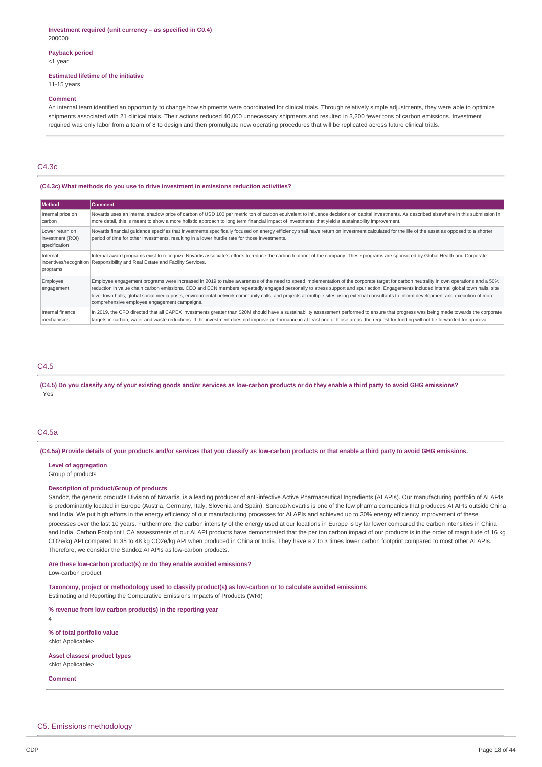#### **Investment required (unit currency – as specified in C0.4)** 200000

## **Payback period**

## <1 year

### **Estimated lifetime of the initiative**

11-15 years

#### **Comment**

An internal team identified an opportunity to change how shipments were coordinated for clinical trials. Through relatively simple adjustments, they were able to optimize shipments associated with 21 clinical trials. Their actions reduced 40,000 unnecessary shipments and resulted in 3,200 fewer tons of carbon emissions. Investment required was only labor from a team of 8 to design and then promulgate new operating procedures that will be replicated across future clinical trials.

## $C4.3c$

### **(C4.3c) What methods do you use to drive investment in emissions reduction activities?**

| Method                                               | <b>Comment</b>                                                                                                                                                                                                                                                                                                                                                                                                                                                                                                                                                                                                             |
|------------------------------------------------------|----------------------------------------------------------------------------------------------------------------------------------------------------------------------------------------------------------------------------------------------------------------------------------------------------------------------------------------------------------------------------------------------------------------------------------------------------------------------------------------------------------------------------------------------------------------------------------------------------------------------------|
| Internal price on                                    | Novartis uses an internal shadow price of carbon of USD 100 per metric ton of carbon equivalent to influence decisions on capital investments. As described elsewhere in this submission in                                                                                                                                                                                                                                                                                                                                                                                                                                |
| carbon                                               | more detail, this is meant to show a more holistic approach to long term financial impact of investments that yield a sustainability improvement.                                                                                                                                                                                                                                                                                                                                                                                                                                                                          |
| Lower return on<br>investment (ROI)<br>specification | Novartis financial quidance specifies that investments specifically focused on energy efficiency shall have return on investment calculated for the life of the asset as opposed to a shorter<br>period of time for other investments, resulting in a lower hurdle rate for those investments.                                                                                                                                                                                                                                                                                                                             |
| Internal                                             | Internal award programs exist to recognize Novartis associate's efforts to reduce the carbon footprint of the company. These programs are sponsored by Global Health and Corporate                                                                                                                                                                                                                                                                                                                                                                                                                                         |
| programs                                             | incentives/recognition Responsibility and Real Estate and Facility Services.                                                                                                                                                                                                                                                                                                                                                                                                                                                                                                                                               |
| Employee<br>engagement                               | Employee engagement programs were increased in 2019 to raise awareness of the need to speed implementation of the corporate target for carbon neutrality in own operations and a 50%<br>reduction in value chain carbon emissions. CEO and ECN members repeatedly engaged personally to stress support and spur action. Engagements included internal global town halls, site<br>level town halls, global social media posts, environmental network community calls, and projects at multiple sites using external consultants to inform development and execution of more<br>comprehensive employee engagement campaigns. |
| Internal finance                                     | In 2019, the CFO directed that all CAPEX investments greater than \$20M should have a sustainability assessment performed to ensure that progress was being made towards the corporate                                                                                                                                                                                                                                                                                                                                                                                                                                     |
| mechanisms                                           | targets in carbon, water and waste reductions. If the investment does not improve performance in at least one of those areas, the request for funding will not be forwarded for approval.                                                                                                                                                                                                                                                                                                                                                                                                                                  |

## C4.5

(C4.5) Do you classify any of your existing goods and/or services as low-carbon products or do they enable a third party to avoid GHG emissions? Yes

### C4.5a

(C4.5a) Provide details of your products and/or services that you classify as low-carbon products or that enable a third party to avoid GHG emissions.

#### **Level of aggregation**

Group of products

#### **Description of product/Group of products**

Sandoz, the generic products Division of Novartis, is a leading producer of anti-infective Active Pharmaceutical Ingredients (AI APIs). Our manufacturing portfolio of AI APIs is predominantly located in Europe (Austria, Germany, Italy, Slovenia and Spain). Sandoz/Novartis is one of the few pharma companies that produces AI APIs outside China and India. We put high efforts in the energy efficiency of our manufacturing processes for AI APIs and achieved up to 30% energy efficiency improvement of these processes over the last 10 years. Furthermore, the carbon intensity of the energy used at our locations in Europe is by far lower compared the carbon intensities in China and India. Carbon Footprint LCA assessments of our AI API products have demonstrated that the per ton carbon impact of our products is in the order of magnitude of 16 kg CO2e/kg API compared to 35 to 48 kg CO2e/kg API when produced in China or India. They have a 2 to 3 times lower carbon footprint compared to most other AI APIs. Therefore, we consider the Sandoz AI APIs as low-carbon products.

#### **Are these low-carbon product(s) or do they enable avoided emissions?** Low-carbon product

**Taxonomy, project or methodology used to classify product(s) as low-carbon or to calculate avoided emissions** Estimating and Reporting the Comparative Emissions Impacts of Products (WRI)

**% revenue from low carbon product(s) in the reporting year**

4

**% of total portfolio value** <Not Applicable>

**Asset classes/ product types** <Not Applicable>

**Comment**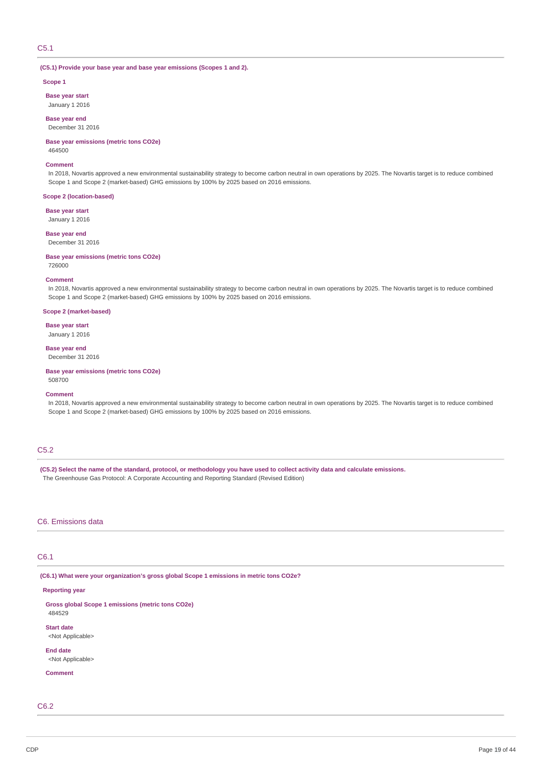## C5.1

### **(C5.1) Provide your base year and base year emissions (Scopes 1 and 2).**

#### **Scope 1**

**Base year start** January 1 2016

**Base year end** December 31 2016

## **Base year emissions (metric tons CO2e)**

464500

#### **Comment**

In 2018, Novartis approved a new environmental sustainability strategy to become carbon neutral in own operations by 2025. The Novartis target is to reduce combined Scope 1 and Scope 2 (market-based) GHG emissions by 100% by 2025 based on 2016 emissions.

## **Scope 2 (location-based)**

**Base year start**

January 1 2016

## **Base year end**

December 31 2016

#### **Base year emissions (metric tons CO2e)**

726000

#### **Comment**

In 2018, Novartis approved a new environmental sustainability strategy to become carbon neutral in own operations by 2025. The Novartis target is to reduce combined Scope 1 and Scope 2 (market-based) GHG emissions by 100% by 2025 based on 2016 emissions.

#### **Scope 2 (market-based)**

**Base year start**

January 1 2016

### **Base year end** December 31 2016

**Base year emissions (metric tons CO2e)** 508700

#### **Comment**

In 2018, Novartis approved a new environmental sustainability strategy to become carbon neutral in own operations by 2025. The Novartis target is to reduce combined Scope 1 and Scope 2 (market-based) GHG emissions by 100% by 2025 based on 2016 emissions.

## C5.2

(C5.2) Select the name of the standard, protocol, or methodology you have used to collect activity data and calculate emissions. The Greenhouse Gas Protocol: A Corporate Accounting and Reporting Standard (Revised Edition)

## C6. Emissions data

## C6.1

**(C6.1) What were your organization's gross global Scope 1 emissions in metric tons CO2e?**

### **Reporting year**

**Gross global Scope 1 emissions (metric tons CO2e)** 484529

**Start date** <Not Applicable>

**End date** <Not Applicable>

### **Comment**

C6.2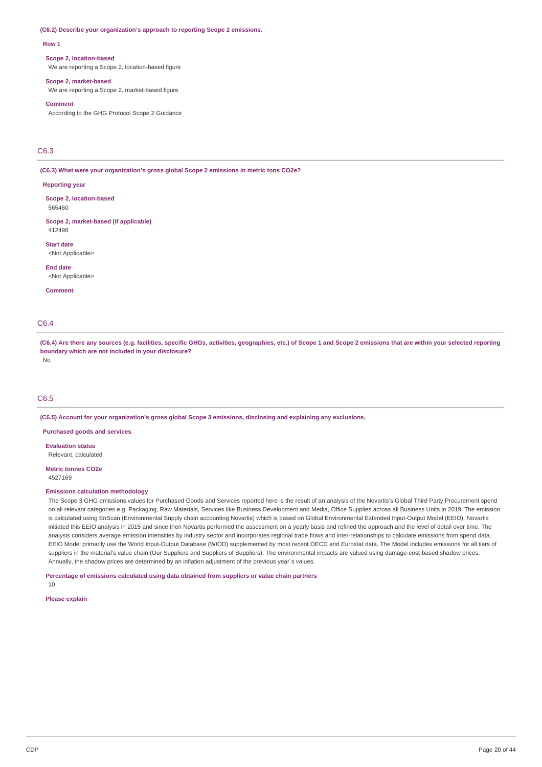#### **(C6.2) Describe your organization's approach to reporting Scope 2 emissions.**

#### **Row 1**

#### **Scope 2, location-based**

We are reporting a Scope 2, location-based figure

#### **Scope 2, market-based**

We are reporting a Scope 2, market-based figure

### **Comment**

According to the GHG Protocol Scope 2 Guidance

## C6.3

**(C6.3) What were your organization's gross global Scope 2 emissions in metric tons CO2e?**

### **Reporting year**

**Scope 2, location-based** 565460

#### **Scope 2, market-based (if applicable)** 412498

**Start date** <Not Applicable>

**End date**

<Not Applicable>

**Comment**

## C6.4

(C6.4) Are there any sources (e.g. facilities, specific GHGs, activities, geographies, etc.) of Scope 1 and Scope 2 emissions that are within your selected reporting **boundary which are not included in your disclosure?**

No

### C6.5

**(C6.5) Account for your organization's gross global Scope 3 emissions, disclosing and explaining any exclusions.**

**Purchased goods and services**

**Evaluation status** Relevant, calculated

**Metric tonnes CO2e** 4527169

#### **Emissions calculation methodology**

The Scope 3 GHG emissions values for Purchased Goods and Services reported here is the result of an analysis of the Novartis's Global Third Party Procurement spend on all relevant categories e.g. Packaging, Raw Materials, Services like Business Development and Media, Office Supplies across all Business Units in 2019. The emission is calculated using EnScan (Environmental Supply chain accounting Novartis) which is based on Global Environmental Extended Input-Output Model (EEIO). Novartis initiated this EEIO analysis in 2015 and since then Novartis performed the assessment on a yearly basis and refined the approach and the level of detail over time. The analysis considers average emission intensities by industry sector and incorporates regional trade flows and inter-relationships to calculate emissions from spend data. EEIO Model primarily use the World Input-Output Database (WIOD) supplemented by most recent OECD and Eurostat data. The Model includes emissions for all tiers of suppliers in the material's value chain (Our Suppliers and Suppliers of Suppliers). The environmental impacts are valued using damage-cost-based shadow prices. Annually, the shadow prices are determined by an inflation adjustment of the previous year´s values.

**Percentage of emissions calculated using data obtained from suppliers or value chain partners**

10

**Please explain**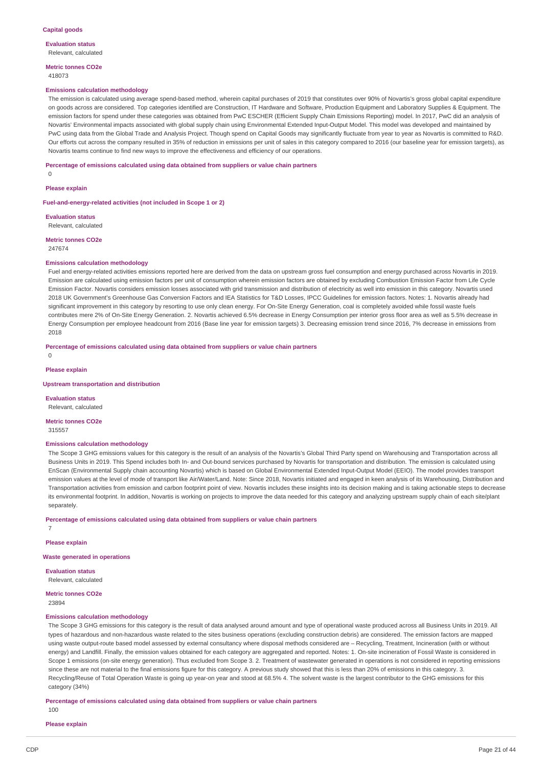**Evaluation status** Relevant, calculated

**Metric tonnes CO2e** 418073

#### **Emissions calculation methodology**

The emission is calculated using average spend-based method, wherein capital purchases of 2019 that constitutes over 90% of Novartis's gross global capital expenditure on goods across are considered. Top categories identified are Construction, IT Hardware and Software, Production Equipment and Laboratory Supplies & Equipment. The emission factors for spend under these categories was obtained from PwC ESCHER (Efficient Supply Chain Emissions Reporting) model. In 2017, PwC did an analysis of Novartis' Environmental impacts associated with global supply chain using Environmental Extended Input-Output Model. This model was developed and maintained by PwC using data from the Global Trade and Analysis Project. Though spend on Capital Goods may significantly fluctuate from year to year as Novartis is committed to R&D. Our efforts cut across the company resulted in 35% of reduction in emissions per unit of sales in this category compared to 2016 (our baseline year for emission targets), as Novartis teams continue to find new ways to improve the effectiveness and efficiency of our operations.

**Percentage of emissions calculated using data obtained from suppliers or value chain partners**

0

**Please explain**

**Fuel-and-energy-related activities (not included in Scope 1 or 2)**

**Evaluation status** Relevant, calculated

**Metric tonnes CO2e** 247674

# **Emissions calculation methodology**

Fuel and energy-related activities emissions reported here are derived from the data on upstream gross fuel consumption and energy purchased across Novartis in 2019. Emission are calculated using emission factors per unit of consumption wherein emission factors are obtained by excluding Combustion Emission Factor from Life Cycle Emission Factor. Novartis considers emission losses associated with grid transmission and distribution of electricity as well into emission in this category. Novartis used 2018 UK Government's Greenhouse Gas Conversion Factors and IEA Statistics for T&D Losses, IPCC Guidelines for emission factors. Notes: 1. Novartis already had significant improvement in this category by resorting to use only clean energy. For On-Site Energy Generation, coal is completely avoided while fossil waste fuels contributes mere 2% of On-Site Energy Generation. 2. Novartis achieved 6.5% decrease in Energy Consumption per interior gross floor area as well as 5.5% decrease in Energy Consumption per employee headcount from 2016 (Base line year for emission targets) 3. Decreasing emission trend since 2016, 7% decrease in emissions from 2018

#### **Percentage of emissions calculated using data obtained from suppliers or value chain partners**

0

#### **Please explain**

#### **Upstream transportation and distribution**

**Evaluation status** Relevant, calculated

**Metric tonnes CO2e**

315557

#### **Emissions calculation methodology**

The Scope 3 GHG emissions values for this category is the result of an analysis of the Novartis's Global Third Party spend on Warehousing and Transportation across all Business Units in 2019. This Spend includes both In- and Out-bound services purchased by Novartis for transportation and distribution. The emission is calculated using EnScan (Environmental Supply chain accounting Novartis) which is based on Global Environmental Extended Input-Output Model (EEIO). The model provides transport emission values at the level of mode of transport like Air/Water/Land. Note: Since 2018, Novartis initiated and engaged in keen analysis of its Warehousing, Distribution and Transportation activities from emission and carbon footprint point of view. Novartis includes these insights into its decision making and is taking actionable steps to decrease its environmental footprint. In addition, Novartis is working on projects to improve the data needed for this category and analyzing upstream supply chain of each site/plant separately.

**Percentage of emissions calculated using data obtained from suppliers or value chain partners**

**Please explain**

7

**Waste generated in operations**

**Evaluation status** Relevant, calculated

## **Metric tonnes CO2e**

23894

## **Emissions calculation methodology**

The Scope 3 GHG emissions for this category is the result of data analysed around amount and type of operational waste produced across all Business Units in 2019. All types of hazardous and non-hazardous waste related to the sites business operations (excluding construction debris) are considered. The emission factors are mapped using waste output-route based model assessed by external consultancy where disposal methods considered are – Recycling, Treatment, Incineration (with or without energy) and Landfill. Finally, the emission values obtained for each category are aggregated and reported. Notes: 1. On-site incineration of Fossil Waste is considered in Scope 1 emissions (on-site energy generation). Thus excluded from Scope 3. 2. Treatment of wastewater generated in operations is not considered in reporting emissions since these are not material to the final emissions figure for this category. A previous study showed that this is less than 20% of emissions in this category. 3. Recycling/Reuse of Total Operation Waste is going up year-on year and stood at 68.5% 4. The solvent waste is the largest contributor to the GHG emissions for this category (34%)

**Percentage of emissions calculated using data obtained from suppliers or value chain partners**

100

**Please explain**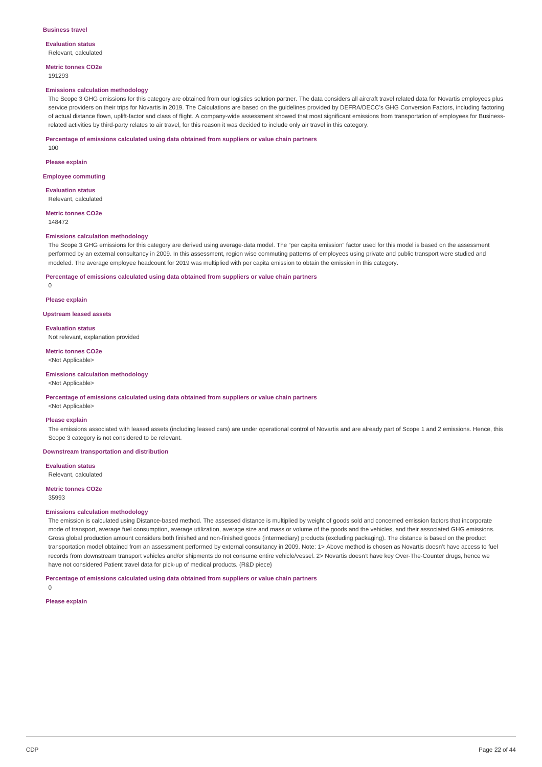#### **Evaluation status** Relevant, calculated

**Metric tonnes CO2e**

### 191293

### **Emissions calculation methodology**

The Scope 3 GHG emissions for this category are obtained from our logistics solution partner. The data considers all aircraft travel related data for Novartis employees plus service providers on their trips for Novartis in 2019. The Calculations are based on the guidelines provided by DEFRA/DECC's GHG Conversion Factors, including factoring of actual distance flown, uplift-factor and class of flight. A company-wide assessment showed that most significant emissions from transportation of employees for Businessrelated activities by third-party relates to air travel, for this reason it was decided to include only air travel in this category.

#### **Percentage of emissions calculated using data obtained from suppliers or value chain partners**

100

#### **Please explain**

#### **Employee commuting**

**Evaluation status** Relevant, calculated

### **Metric tonnes CO2e**

148472

#### **Emissions calculation methodology**

The Scope 3 GHG emissions for this category are derived using average-data model. The "per capita emission" factor used for this model is based on the assessment performed by an external consultancy in 2009. In this assessment, region wise commuting patterns of employees using private and public transport were studied and modeled. The average employee headcount for 2019 was multiplied with per capita emission to obtain the emission in this category.

#### **Percentage of emissions calculated using data obtained from suppliers or value chain partners**

 $\Omega$ 

#### **Please explain**

### **Upstream leased assets**

**Evaluation status**

Not relevant, explanation provided

**Metric tonnes CO2e** <Not Applicable>

### **Emissions calculation methodology**

### <Not Applicable>

#### **Percentage of emissions calculated using data obtained from suppliers or value chain partners**

<Not Applicable>

#### **Please explain**

The emissions associated with leased assets (including leased cars) are under operational control of Novartis and are already part of Scope 1 and 2 emissions. Hence, this Scope 3 category is not considered to be relevant.

#### **Downstream transportation and distribution**

**Evaluation status** Relevant, calculated

#### **Metric tonnes CO2e**

35993

#### **Emissions calculation methodology**

The emission is calculated using Distance-based method. The assessed distance is multiplied by weight of goods sold and concerned emission factors that incorporate mode of transport, average fuel consumption, average utilization, average size and mass or volume of the goods and the vehicles, and their associated GHG emissions. Gross global production amount considers both finished and non-finished goods (intermediary) products (excluding packaging). The distance is based on the product transportation model obtained from an assessment performed by external consultancy in 2009. Note: 1> Above method is chosen as Novartis doesn't have access to fuel records from downstream transport vehicles and/or shipments do not consume entire vehicle/vessel. 2> Novartis doesn't have key Over-The-Counter drugs, hence we have not considered Patient travel data for pick-up of medical products. {R&D piece}

**Percentage of emissions calculated using data obtained from suppliers or value chain partners**

 $\Omega$ 

#### **Please explain**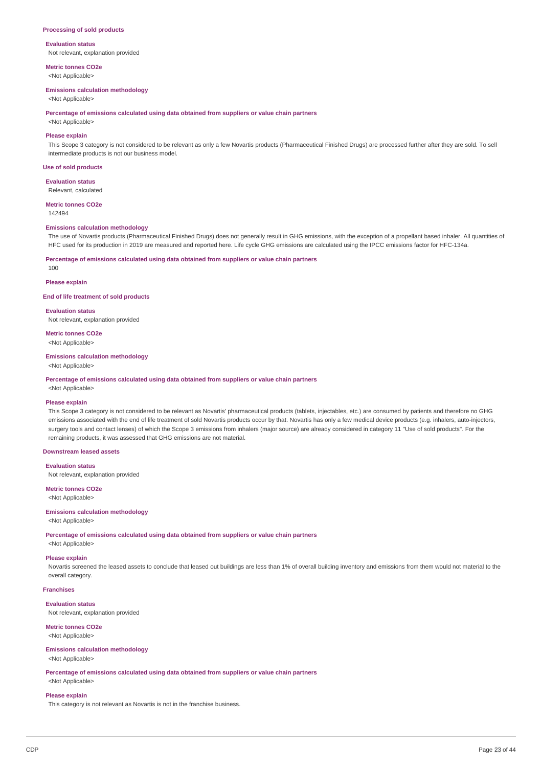#### **Processing of sold products**

#### **Evaluation status**

Not relevant, explanation provided

**Metric tonnes CO2e** <Not Applicable>

#### **Emissions calculation methodology**

<Not Applicable>

**Percentage of emissions calculated using data obtained from suppliers or value chain partners**

<Not Applicable>

## **Please explain**

This Scope 3 category is not considered to be relevant as only a few Novartis products (Pharmaceutical Finished Drugs) are processed further after they are sold. To sell intermediate products is not our business model.

### **Use of sold products**

**Evaluation status**

Relevant, calculated

**Metric tonnes CO2e**

142494

## **Emissions calculation methodology**

The use of Novartis products (Pharmaceutical Finished Drugs) does not generally result in GHG emissions, with the exception of a propellant based inhaler. All quantities of HFC used for its production in 2019 are measured and reported here. Life cycle GHG emissions are calculated using the IPCC emissions factor for HFC-134a.

#### **Percentage of emissions calculated using data obtained from suppliers or value chain partners**

#### **Please explain**

100

**End of life treatment of sold products**

**Evaluation status** Not relevant, explanation provided

**Metric tonnes CO2e**

<Not Applicable>

## **Emissions calculation methodology**

<Not Applicable>

**Percentage of emissions calculated using data obtained from suppliers or value chain partners**

<Not Applicable>

#### **Please explain**

This Scope 3 category is not considered to be relevant as Novartis' pharmaceutical products (tablets, injectables, etc.) are consumed by patients and therefore no GHG emissions associated with the end of life treatment of sold Novartis products occur by that. Novartis has only a few medical device products (e.g. inhalers, auto-injectors, surgery tools and contact lenses) of which the Scope 3 emissions from inhalers (major source) are already considered in category 11 "Use of sold products". For the remaining products, it was assessed that GHG emissions are not material.

## **Downstream leased assets**

#### **Evaluation status**

Not relevant, explanation provided

**Metric tonnes CO2e**

<Not Applicable>

#### **Emissions calculation methodology**

#### <Not Applicable>

**Percentage of emissions calculated using data obtained from suppliers or value chain partners**

<Not Applicable>

### **Please explain**

Novartis screened the leased assets to conclude that leased out buildings are less than 1% of overall building inventory and emissions from them would not material to the overall category.

#### **Franchises**

**Evaluation status** Not relevant, explanation provided

## **Metric tonnes CO2e**

<Not Applicable>

### **Emissions calculation methodology**

<Not Applicable>

**Percentage of emissions calculated using data obtained from suppliers or value chain partners**

## <Not Applicable> **Please explain**

This category is not relevant as Novartis is not in the franchise business.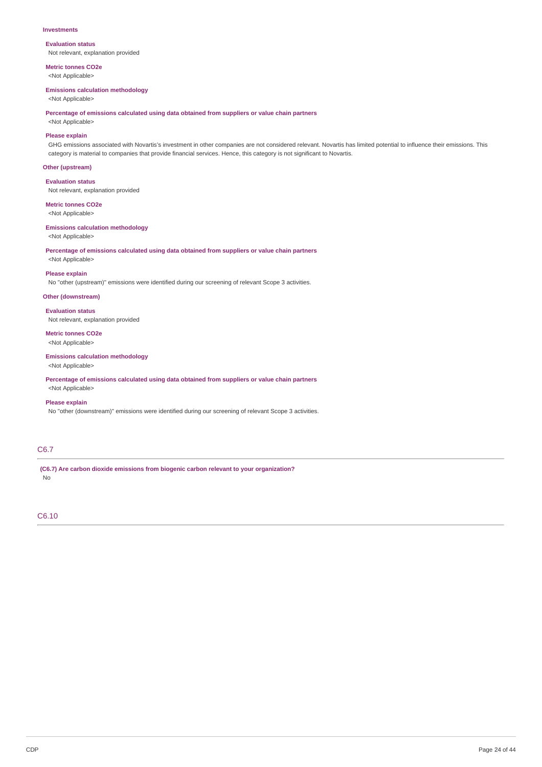#### **Investments**

**Evaluation status** Not relevant, explanation provided

**Metric tonnes CO2e** <Not Applicable>

#### **Emissions calculation methodology**

<Not Applicable>

**Percentage of emissions calculated using data obtained from suppliers or value chain partners**

## <Not Applicable> **Please explain**

GHG emissions associated with Novartis's investment in other companies are not considered relevant. Novartis has limited potential to influence their emissions. This category is material to companies that provide financial services. Hence, this category is not significant to Novartis.

## **Other (upstream)**

**Evaluation status**

Not relevant, explanation provided

**Metric tonnes CO2e**

<Not Applicable>

#### **Emissions calculation methodology** <Not Applicable>

**Percentage of emissions calculated using data obtained from suppliers or value chain partners** <Not Applicable>

## **Please explain**

No "other (upstream)" emissions were identified during our screening of relevant Scope 3 activities.

## **Other (downstream)**

**Evaluation status** Not relevant, explanation provided

#### **Metric tonnes CO2e** <Not Applicable>

# **Emissions calculation methodology**

<Not Applicable>

**Percentage of emissions calculated using data obtained from suppliers or value chain partners** <Not Applicable>

### **Please explain**

No "other (downstream)" emissions were identified during our screening of relevant Scope 3 activities.

## C6.7

**(C6.7) Are carbon dioxide emissions from biogenic carbon relevant to your organization?** No

C6.10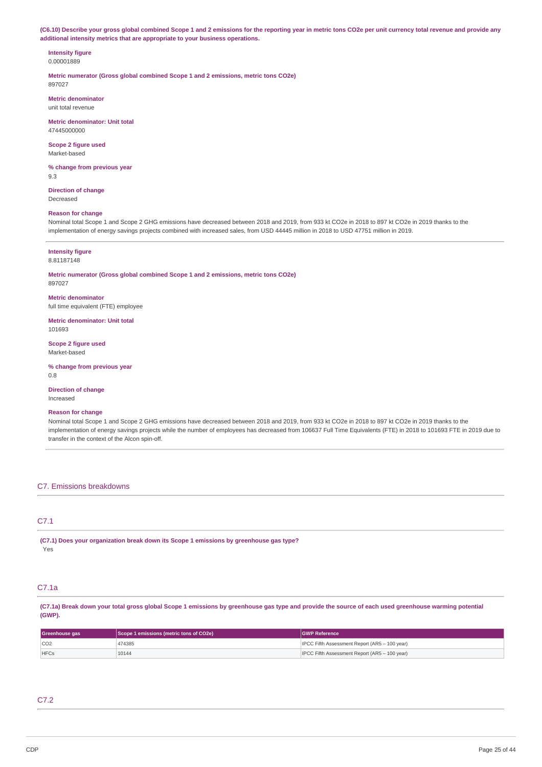(C6.10) Describe your gross global combined Scope 1 and 2 emissions for the reporting year in metric tons CO2e per unit currency total revenue and provide any **additional intensity metrics that are appropriate to your business operations.**

#### **Intensity figure** 0.00001889

**Metric numerator (Gross global combined Scope 1 and 2 emissions, metric tons CO2e)** 897027

**Metric denominator** unit total revenue

**Metric denominator: Unit total** 47445000000

**Scope 2 figure used** Market-based

**% change from previous year** 9.3

**Direction of change** Decreased

### **Reason for change**

Nominal total Scope 1 and Scope 2 GHG emissions have decreased between 2018 and 2019, from 933 kt CO2e in 2018 to 897 kt CO2e in 2019 thanks to the implementation of energy savings projects combined with increased sales, from USD 44445 million in 2018 to USD 47751 million in 2019.

### **Intensity figure**

8.81187148

**Metric numerator (Gross global combined Scope 1 and 2 emissions, metric tons CO2e)** 897027

**Metric denominator** full time equivalent (FTE) employee

**Metric denominator: Unit total** 101693

**Scope 2 figure used** Market-based

**% change from previous year** 0.8

**Direction of change** Increased

### **Reason for change**

Nominal total Scope 1 and Scope 2 GHG emissions have decreased between 2018 and 2019, from 933 kt CO2e in 2018 to 897 kt CO2e in 2019 thanks to the implementation of energy savings projects while the number of employees has decreased from 106637 Full Time Equivalents (FTE) in 2018 to 101693 FTE in 2019 due to transfer in the context of the Alcon spin-off.

## C7. Emissions breakdowns

## C7.1

|     |  | (C7.1) Does your organization break down its Scope 1 emissions by greenhouse gas type? |
|-----|--|----------------------------------------------------------------------------------------|
| Yes |  |                                                                                        |

## C7.1a

(C7.1a) Break down your total gross global Scope 1 emissions by greenhouse gas type and provide the source of each used greenhouse warming potential **(GWP).**

| Greenhouse gas | Scope 1 emissions (metric tons of CO2e) | <b>IGWP Reference</b>                                |
|----------------|-----------------------------------------|------------------------------------------------------|
| CO2            | 474385                                  | <b>IPCC Fifth Assessment Report (AR5 - 100 year)</b> |
| <b>HFCs</b>    | 10144                                   | <b>IPCC Fifth Assessment Report (AR5 - 100 year)</b> |

## C7.2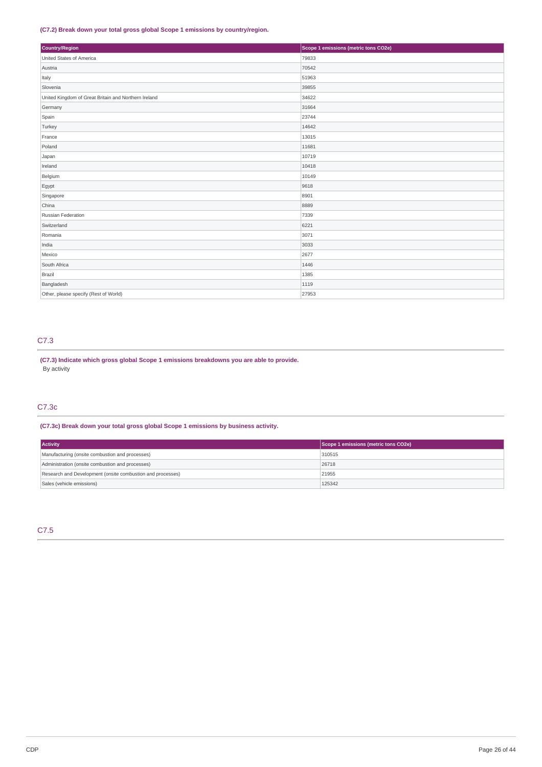## **(C7.2) Break down your total gross global Scope 1 emissions by country/region.**

| Country/Region                                       | Scope 1 emissions (metric tons CO2e) |
|------------------------------------------------------|--------------------------------------|
| United States of America                             | 79833                                |
| Austria                                              | 70542                                |
| Italy                                                | 51963                                |
| Slovenia                                             | 39855                                |
| United Kingdom of Great Britain and Northern Ireland | 34622                                |
| Germany                                              | 31664                                |
| Spain                                                | 23744                                |
| Turkey                                               | 14642                                |
| France                                               | 13015                                |
| Poland                                               | 11681                                |
| Japan                                                | 10719                                |
| Ireland                                              | 10418                                |
| Belgium                                              | 10149                                |
| Egypt                                                | 9618                                 |
| Singapore                                            | 8901                                 |
| China                                                | 8889                                 |
| Russian Federation                                   | 7339                                 |
| Switzerland                                          | 6221                                 |
| Romania                                              | 3071                                 |
| India                                                | 3033                                 |
| Mexico                                               | 2677                                 |
| South Africa                                         | 1446                                 |
| Brazil                                               | 1385                                 |
| Bangladesh                                           | 1119                                 |
| Other, please specify (Rest of World)                | 27953                                |

## C7.3

**(C7.3) Indicate which gross global Scope 1 emissions breakdowns you are able to provide.** By activity

## C7.3c

**(C7.3c) Break down your total gross global Scope 1 emissions by business activity.**

| <b>Activity</b>                                            | Scope 1 emissions (metric tons CO2e) |
|------------------------------------------------------------|--------------------------------------|
| Manufacturing (onsite combustion and processes)            | 310515                               |
| Administration (onsite combustion and processes)           | 26718                                |
| Research and Development (onsite combustion and processes) | 21955                                |
| Sales (vehicle emissions)                                  | 125342                               |

## C7.5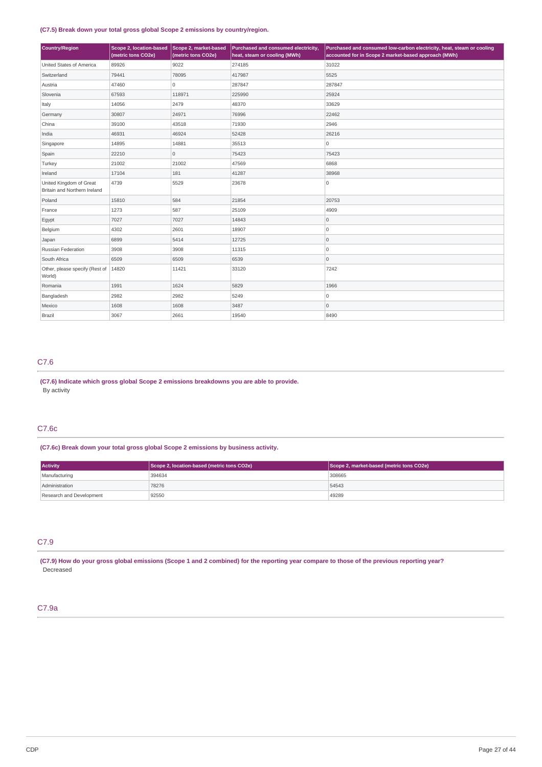## **(C7.5) Break down your total gross global Scope 2 emissions by country/region.**

| Country/Region                                          | Scope 2, location-based<br>(metric tons CO2e) | Scope 2, market-based<br>(metric tons CO2e) | Purchased and consumed electricity,<br>heat, steam or cooling (MWh) | Purchased and consumed low-carbon electricity, heat, steam or cooling<br>accounted for in Scope 2 market-based approach (MWh) |
|---------------------------------------------------------|-----------------------------------------------|---------------------------------------------|---------------------------------------------------------------------|-------------------------------------------------------------------------------------------------------------------------------|
| United States of America                                | 89926                                         | 9022                                        | 274185                                                              | 31022                                                                                                                         |
| Switzerland                                             | 79441                                         | 78095                                       | 417987                                                              | 5525                                                                                                                          |
| Austria                                                 | 47460                                         | 0                                           | 287847                                                              | 287847                                                                                                                        |
| Slovenia                                                | 67593                                         | 118971                                      | 225990                                                              | 25924                                                                                                                         |
| Italy                                                   | 14056                                         | 2479                                        | 48370                                                               | 33629                                                                                                                         |
| Germany                                                 | 30807                                         | 24971                                       | 76996                                                               | 22462                                                                                                                         |
| China                                                   | 39100                                         | 43518                                       | 71930                                                               | 2946                                                                                                                          |
| India                                                   | 46931                                         | 46924                                       | 52428                                                               | 26216                                                                                                                         |
| Singapore                                               | 14895                                         | 14881                                       | 35513                                                               | 0                                                                                                                             |
| Spain                                                   | 22210                                         | 0                                           | 75423                                                               | 75423                                                                                                                         |
| Turkey                                                  | 21002                                         | 21002                                       | 47569                                                               | 6868                                                                                                                          |
| Ireland                                                 | 17104                                         | 181                                         | 41287                                                               | 38968                                                                                                                         |
| United Kingdom of Great<br>Britain and Northern Ireland | 4739                                          | 5529                                        | 23678                                                               | 0                                                                                                                             |
| Poland                                                  | 15810                                         | 584                                         | 21854                                                               | 20753                                                                                                                         |
| France                                                  | 1273                                          | 587                                         | 25109                                                               | 4909                                                                                                                          |
| Egypt                                                   | 7027                                          | 7027                                        | 14843                                                               | $\overline{0}$                                                                                                                |
| Belgium                                                 | 4302                                          | 2601                                        | 18907                                                               | 0                                                                                                                             |
| Japan                                                   | 6899                                          | 5414                                        | 12725                                                               | 0                                                                                                                             |
| Russian Federation                                      | 3908                                          | 3908                                        | 11315                                                               | $\overline{0}$                                                                                                                |
| South Africa                                            | 6509                                          | 6509                                        | 6539                                                                | $\overline{0}$                                                                                                                |
| Other, please specify (Rest of<br>World)                | 14820                                         | 11421                                       | 33120                                                               | 7242                                                                                                                          |
| Romania                                                 | 1991                                          | 1624                                        | 5829                                                                | 1966                                                                                                                          |
| Bangladesh                                              | 2982                                          | 2982                                        | 5249                                                                | 0                                                                                                                             |
| Mexico                                                  | 1608                                          | 1608                                        | 3487                                                                | $\overline{0}$                                                                                                                |
| Brazil                                                  | 3067                                          | 2661                                        | 19540                                                               | 8490                                                                                                                          |

## C7.6

**(C7.6) Indicate which gross global Scope 2 emissions breakdowns you are able to provide.** By activity

## C7.6c

**(C7.6c) Break down your total gross global Scope 2 emissions by business activity.**

| <b>Activity</b>          | Scope 2, location-based (metric tons CO2e) | Scope 2, market-based (metric tons CO2e) |
|--------------------------|--------------------------------------------|------------------------------------------|
| Manufacturing            | 394634                                     | 308665                                   |
| Administration           | 78276                                      | 54543                                    |
| Research and Development | 92550                                      | 49289                                    |

## C7.9

(C7.9) How do your gross global emissions (Scope 1 and 2 combined) for the reporting year compare to those of the previous reporting year? Decreased

## C7.9a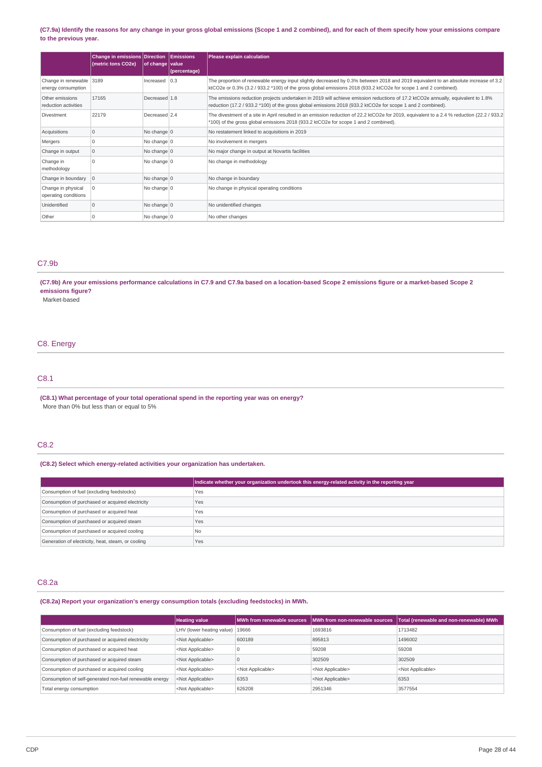### (C7.9a) Identify the reasons for any change in your gross global emissions (Scope 1 and 2 combined), and for each of them specify how your emissions compare **to the previous year.**

|                                                | <b>Change in emissions Direction</b><br>(metric tons CO2e) | of change value | Emissions<br>(percentage) | Please explain calculation                                                                                                                                                                                                                                   |
|------------------------------------------------|------------------------------------------------------------|-----------------|---------------------------|--------------------------------------------------------------------------------------------------------------------------------------------------------------------------------------------------------------------------------------------------------------|
| Change in renewable 3189<br>energy consumption |                                                            | Increased       | 0.3                       | The proportion of renewable energy input slightly decreased by 0.3% between 2018 and 2019 equivalent to an absolute increase of 3.2<br>ktCO2e or $0.3\%$ (3.2 / 933.2 $*100$ ) of the gross global emissions 2018 (933.2 ktCO2e for scope 1 and 2 combined). |
| Other emissions<br>reduction activities        | 17165                                                      | Decreased 1.8   |                           | The emissions reduction projects undertaken in 2019 will achieve emission reductions of 17.2 ktCO2e annually, equivalent to 1.8%<br>reduction (17.2 / 933.2 *100) of the gross global emissions 2018 (933.2 ktCO2e for scope 1 and 2 combined).              |
| Divestment                                     | 22179                                                      | Decreased 2.4   |                           | The divestment of a site in April resulted in an emission reduction of 22.2 ktCO2e for 2019, equivalent to a 2.4 % reduction (22.2 / 933.2)<br>*100) of the gross global emissions 2018 (933.2 ktCO2e for scope 1 and 2 combined).                           |
| Acquisitions                                   | 0                                                          | No change $ 0 $ |                           | No restatement linked to acquisitions in 2019                                                                                                                                                                                                                |
| Mergers                                        | $\Omega$                                                   | No change   0   |                           | No involvement in mergers                                                                                                                                                                                                                                    |
| Change in output                               | $\mathbf 0$                                                | No change $ 0 $ |                           | No major change in output at Novartis facilities                                                                                                                                                                                                             |
| Change in<br>methodology                       | $\Omega$                                                   | No change $ 0 $ |                           | No change in methodology                                                                                                                                                                                                                                     |
| Change in boundary                             | $ 0\rangle$                                                | No change $ 0 $ |                           | No change in boundary                                                                                                                                                                                                                                        |
| Change in physical<br>operating conditions     | $\overline{0}$                                             | No change $ 0 $ |                           | No change in physical operating conditions                                                                                                                                                                                                                   |
| Unidentified                                   | $\mathbf 0$                                                | No change $ 0$  |                           | No unidentified changes                                                                                                                                                                                                                                      |
| Other                                          | $\Omega$                                                   | No change $ 0 $ |                           | No other changes                                                                                                                                                                                                                                             |

## C7.9b

### (C7.9b) Are your emissions performance calculations in C7.9 and C7.9a based on a location-based Scope 2 emissions figure or a market-based Scope 2 **emissions figure?**

Market-based

## C8. Energy

## C8.1

**(C8.1) What percentage of your total operational spend in the reporting year was on energy?** More than 0% but less than or equal to 5%

## C8.2

## **(C8.2) Select which energy-related activities your organization has undertaken.**

|                                                    | Indicate whether your organization undertook this energy-related activity in the reporting year |
|----------------------------------------------------|-------------------------------------------------------------------------------------------------|
| Consumption of fuel (excluding feedstocks)         | Yes                                                                                             |
| Consumption of purchased or acquired electricity   | Yes                                                                                             |
| Consumption of purchased or acquired heat          | <b>Yes</b>                                                                                      |
| Consumption of purchased or acquired steam         | Yes                                                                                             |
| Consumption of purchased or acquired cooling       | <b>No</b>                                                                                       |
| Generation of electricity, heat, steam, or cooling | Yes                                                                                             |

## C8.2a

**(C8.2a) Report your organization's energy consumption totals (excluding feedstocks) in MWh.**

|                                                                        | <b>Heating value</b>      | MWh from renewable sources | <b>IMWh from non-renewable sources</b> | Total (renewable and non-renewable) MWh |
|------------------------------------------------------------------------|---------------------------|----------------------------|----------------------------------------|-----------------------------------------|
| LHV (lower heating value)<br>Consumption of fuel (excluding feedstock) |                           | 19666                      | 1693816                                | 1713482                                 |
| Consumption of purchased or acquired electricity                       | <not applicable=""></not> | 600189                     | 895813                                 | 1496002                                 |
| Consumption of purchased or acquired heat                              | <not applicable=""></not> |                            | 59208                                  | 59208                                   |
| Consumption of purchased or acquired steam                             | <not applicable=""></not> |                            | 302509                                 | 302509                                  |
| Consumption of purchased or acquired cooling                           | <not applicable=""></not> | <not applicable=""></not>  | <not applicable=""></not>              | <not applicable=""></not>               |
| Consumption of self-generated non-fuel renewable energy                | <not applicable=""></not> | 6353                       | <not applicable=""></not>              | 6353                                    |
| Total energy consumption                                               | <not applicable=""></not> | 626208                     | 2951346                                | 3577554                                 |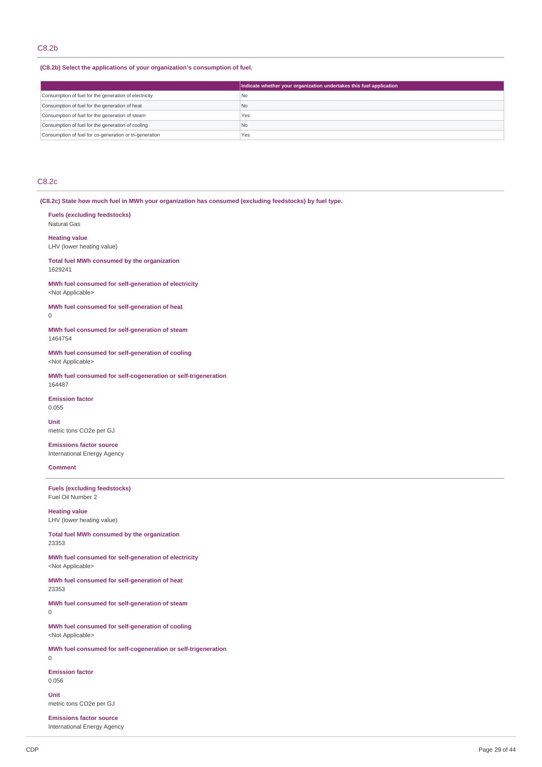## C8.2b

**(C8.2b) Select the applications of your organization's consumption of fuel.**

|                                                         | Indicate whether your organization undertakes this fuel application |
|---------------------------------------------------------|---------------------------------------------------------------------|
| Consumption of fuel for the generation of electricity   | l No                                                                |
| Consumption of fuel for the generation of heat          | N <sub>o</sub>                                                      |
| Consumption of fuel for the generation of steam         | Yes                                                                 |
| Consumption of fuel for the generation of cooling       | N <sub>o</sub>                                                      |
| Consumption of fuel for co-generation or tri-generation | Yes                                                                 |

## C8.2c

**(C8.2c) State how much fuel in MWh your organization has consumed (excluding feedstocks) by fuel type.**

**Fuels (excluding feedstocks)** Natural Gas

**Heating value** LHV (lower heating value)

**Total fuel MWh consumed by the organization** 1629241

**MWh fuel consumed for self-generation of electricity** <Not Applicable>

**MWh fuel consumed for self-generation of heat**  $\theta$ 

**MWh fuel consumed for self-generation of steam** 1464754

**MWh fuel consumed for self-generation of cooling** <Not Applicable>

**MWh fuel consumed for self-cogeneration or self-trigeneration** 164487

**Emission factor** 0.055

**Unit** metric tons CO2e per GJ

**Emissions factor source** International Energy Agency

## **Comment**

**Fuels (excluding feedstocks)** Fuel Oil Number 2

**Heating value** LHV (lower heating value)

**Total fuel MWh consumed by the organization** 23353

**MWh fuel consumed for self-generation of electricity** <Not Applicable>

**MWh fuel consumed for self-generation of heat** 23353

**MWh fuel consumed for self-generation of steam**  $\Omega$ 

**MWh fuel consumed for self-generation of cooling** <Not Applicable>

**MWh fuel consumed for self-cogeneration or self-trigeneration**  $\Omega$ 

**Emission factor** 0.056

**Unit** metric tons CO2e per GJ

**Emissions factor source** International Energy Agency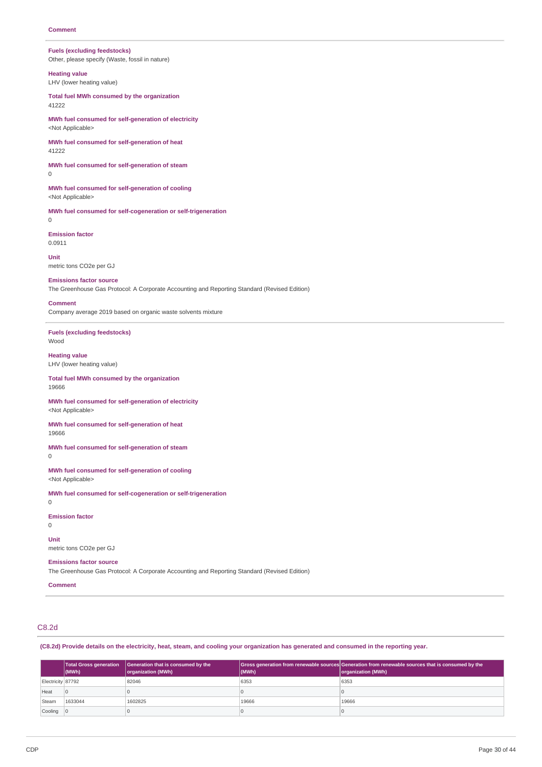## **Fuels (excluding feedstocks)**

Other, please specify (Waste, fossil in nature)

**Heating value** LHV (lower heating value)

**Total fuel MWh consumed by the organization** 41222

**MWh fuel consumed for self-generation of electricity** <Not Applicable>

**MWh fuel consumed for self-generation of heat** 41222

**MWh fuel consumed for self-generation of steam**  $\overline{0}$ 

**MWh fuel consumed for self-generation of cooling** <Not Applicable>

**MWh fuel consumed for self-cogeneration or self-trigeneration**  $\Omega$ 

**Emission factor** 0.0911

**Unit** metric tons CO2e per GJ

**Emissions factor source**

The Greenhouse Gas Protocol: A Corporate Accounting and Reporting Standard (Revised Edition)

#### **Comment**

Company average 2019 based on organic waste solvents mixture

**Fuels (excluding feedstocks)** Wood

**Heating value** LHV (lower heating value)

### **Total fuel MWh consumed by the organization**

19666

**MWh fuel consumed for self-generation of electricity** <Not Applicable>

**MWh fuel consumed for self-generation of heat** 19666

**MWh fuel consumed for self-generation of steam**  $\Omega$ 

**MWh fuel consumed for self-generation of cooling** <Not Applicable>

**MWh fuel consumed for self-cogeneration or self-trigeneration**

 $\overline{0}$ 

0

**Emission factor**

**Unit**

metric tons CO2e per GJ

## **Emissions factor source**

The Greenhouse Gas Protocol: A Corporate Accounting and Reporting Standard (Revised Edition)

**Comment**

C8.2d

(C8.2d) Provide details on the electricity, heat, steam, and cooling your organization has generated and consumed in the reporting year.

|                   | <b>Total Gross generation</b><br>$ $ (MWh) | Generation that is consumed by the<br>organization (MWh) | $ $ (MWh) | Gross generation from renewable sources Generation from renewable sources that is consumed by the<br>organization (MWh) |
|-------------------|--------------------------------------------|----------------------------------------------------------|-----------|-------------------------------------------------------------------------------------------------------------------------|
| Electricity 87792 |                                            | 82046                                                    | 6353      | 6353                                                                                                                    |
| Heat              |                                            |                                                          |           |                                                                                                                         |
| Steam             | 1633044                                    | 1602825                                                  | 19666     | 19666                                                                                                                   |
| Cooling           |                                            |                                                          |           |                                                                                                                         |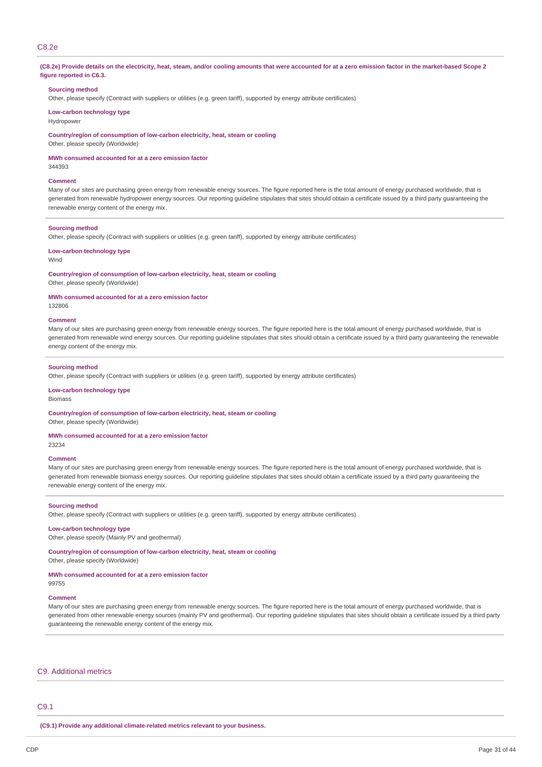## C8.2e

#### (C8.2e) Provide details on the electricity, heat, steam, and/or cooling amounts that were accounted for at a zero emission factor in the market-based Scope 2 **figure reported in C6.3.**

#### **Sourcing method**

Other, please specify (Contract with suppliers or utilities (e.g. green tariff), supported by energy attribute certificates)

## **Low-carbon technology type**

**Hydropower** 

**Country/region of consumption of low-carbon electricity, heat, steam or cooling** Other, please specify (Worldwide)

**MWh consumed accounted for at a zero emission factor**

344393

#### **Comment**

Many of our sites are purchasing green energy from renewable energy sources. The figure reported here is the total amount of energy purchased worldwide, that is generated from renewable hydropower energy sources. Our reporting guideline stipulates that sites should obtain a certificate issued by a third party guaranteeing the renewable energy content of the energy mix.

### **Sourcing method**

Other, please specify (Contract with suppliers or utilities (e.g. green tariff), supported by energy attribute certificates)

#### **Low-carbon technology type**

#### Wind

**Country/region of consumption of low-carbon electricity, heat, steam or cooling**

Other, please specify (Worldwide)

### **MWh consumed accounted for at a zero emission factor**

132806

#### **Comment**

Many of our sites are purchasing green energy from renewable energy sources. The figure reported here is the total amount of energy purchased worldwide, that is generated from renewable wind energy sources. Our reporting guideline stipulates that sites should obtain a certificate issued by a third party guaranteeing the renewable energy content of the energy mix.

#### **Sourcing method**

Other, please specify (Contract with suppliers or utilities (e.g. green tariff), supported by energy attribute certificates)

#### **Low-carbon technology type**

Biomass

**Country/region of consumption of low-carbon electricity, heat, steam or cooling**

Other, please specify (Worldwide)

#### **MWh consumed accounted for at a zero emission factor**

23234

#### **Comment**

Many of our sites are purchasing green energy from renewable energy sources. The figure reported here is the total amount of energy purchased worldwide, that is generated from renewable biomass energy sources. Our reporting guideline stipulates that sites should obtain a certificate issued by a third party guaranteeing the renewable energy content of the energy mix.

#### **Sourcing method**

Other, please specify (Contract with suppliers or utilities (e.g. green tariff), supported by energy attribute certificates)

### **Low-carbon technology type**

Other, please specify (Mainly PV and geothermal)

**Country/region of consumption of low-carbon electricity, heat, steam or cooling**

Other, please specify (Worldwide)

### **MWh consumed accounted for at a zero emission factor**

#### **Comment**

99755

Many of our sites are purchasing green energy from renewable energy sources. The figure reported here is the total amount of energy purchased worldwide, that is generated from other renewable energy sources (mainly PV and geothermal). Our reporting guideline stipulates that sites should obtain a certificate issued by a third party guaranteeing the renewable energy content of the energy mix.

### C9. Additional metrics

### C9.1

**(C9.1) Provide any additional climate-related metrics relevant to your business.**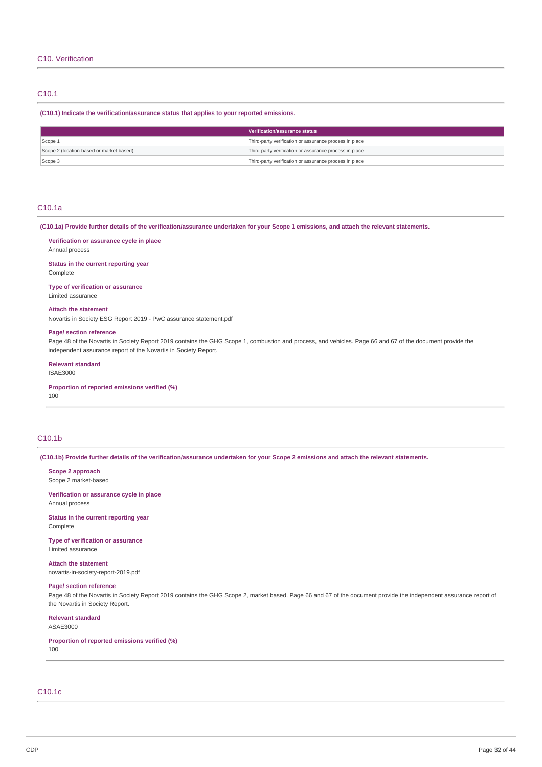## C10.1

**(C10.1) Indicate the verification/assurance status that applies to your reported emissions.**

|                                          | Verification/assurance status                          |
|------------------------------------------|--------------------------------------------------------|
| Scope 1                                  | Third-party verification or assurance process in place |
| Scope 2 (location-based or market-based) | Third-party verification or assurance process in place |
| Scope 3                                  | Third-party verification or assurance process in place |

## C10.1a

(C10.1a) Provide further details of the verification/assurance undertaken for your Scope 1 emissions, and attach the relevant statements.

# **Verification or assurance cycle in place**

Annual process

**Status in the current reporting year** Complete

**Type of verification or assurance** Limited assurance

#### **Attach the statement**

Novartis in Society ESG Report 2019 - PwC assurance statement.pdf

### **Page/ section reference**

Page 48 of the Novartis in Society Report 2019 contains the GHG Scope 1, combustion and process, and vehicles. Page 66 and 67 of the document provide the independent assurance report of the Novartis in Society Report.

#### **Relevant standard**

ISAE3000

**Proportion of reported emissions verified (%)**

# 100

## C10.1b

(C10.1b) Provide further details of the verification/assurance undertaken for your Scope 2 emissions and attach the relevant statements.

**Scope 2 approach** Scope 2 market-based

**Verification or assurance cycle in place** Annual process

**Status in the current reporting year** Complete

**Type of verification or assurance** Limited assurance

**Attach the statement** novartis-in-society-report-2019.pdf

## **Page/ section reference**

Page 48 of the Novartis in Society Report 2019 contains the GHG Scope 2, market based. Page 66 and 67 of the document provide the independent assurance report of the Novartis in Society Report.

#### **Relevant standard** ASAE3000

**Proportion of reported emissions verified (%)**

100

# C10.1c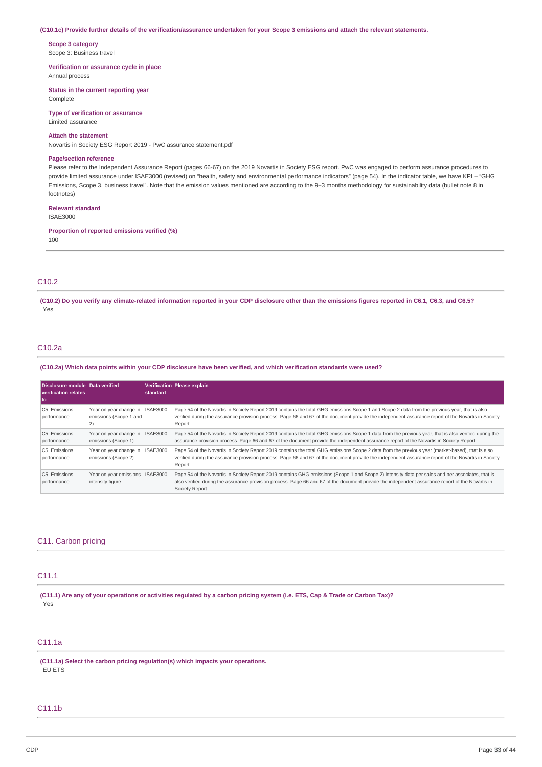#### (C10.1c) Provide further details of the verification/assurance undertaken for your Scope 3 emissions and attach the relevant statements.

**Scope 3 category** Scope 3: Business travel

**Verification or assurance cycle in place** Annual process

**Status in the current reporting year**

Complete

**Type of verification or assurance** Limited assurance

### **Attach the statement**

Novartis in Society ESG Report 2019 - PwC assurance statement.pdf

#### **Page/section reference**

Please refer to the Independent Assurance Report (pages 66-67) on the 2019 Novartis in Society ESG report. PwC was engaged to perform assurance procedures to provide limited assurance under ISAE3000 (revised) on "health, safety and environmental performance indicators" (page 54). In the indicator table, we have KPI – "GHG Emissions, Scope 3, business travel". Note that the emission values mentioned are according to the 9+3 months methodology for sustainability data (bullet note 8 in footnotes)

### **Relevant standard**

ISAE3000

**Proportion of reported emissions verified (%)**

100

## C10.2

(C10.2) Do you verify any climate-related information reported in your CDP disclosure other than the emissions figures reported in C6.1, C6.3, and C6.5? Yes

## C10.2a

(C10.2a) Which data points within your CDP disclosure have been verified, and which verification standards were used?

| Disclosure module Data verified<br>verification relates<br>l to |                                                  | <b>Istandard</b> | Verification Please explain                                                                                                                                                                                                                                                                                             |
|-----------------------------------------------------------------|--------------------------------------------------|------------------|-------------------------------------------------------------------------------------------------------------------------------------------------------------------------------------------------------------------------------------------------------------------------------------------------------------------------|
| C5. Emissions<br>performance                                    | Year on year change in<br>emissions (Scope 1 and | <b>ISAE3000</b>  | Page 54 of the Novartis in Society Report 2019 contains the total GHG emissions Scope 1 and Scope 2 data from the previous year, that is also<br>verified during the assurance provision process. Page 66 and 67 of the document provide the independent assurance report of the Novartis in Society<br>Report.         |
| C5. Emissions<br>performance                                    | Year on year change in<br>emissions (Scope 1)    | <b>ISAE3000</b>  | Page 54 of the Novartis in Society Report 2019 contains the total GHG emissions Scope 1 data from the previous year, that is also verified during the<br>assurance provision process. Page 66 and 67 of the document provide the independent assurance report of the Novartis in Society Report.                        |
| C5. Emissions<br>performance                                    | Year on year change in<br>emissions (Scope 2)    | <b>ISAE3000</b>  | Page 54 of the Novartis in Society Report 2019 contains the total GHG emissions Scope 2 data from the previous year (market-based), that is also<br>verified during the assurance provision process. Page 66 and 67 of the document provide the independent assurance report of the Novartis in Society<br>Report.      |
| C5. Emissions<br>performance                                    | Year on year emissions<br>intensity figure       | <b>ISAE3000</b>  | Page 54 of the Novartis in Society Report 2019 contains GHG emissions (Scope 1 and Scope 2) intensity data per sales and per associates, that is<br>also verified during the assurance provision process. Page 66 and 67 of the document provide the independent assurance report of the Novartis in<br>Society Report. |

## C11. Carbon pricing

## C11.1

(C11.1) Are any of your operations or activities regulated by a carbon pricing system (i.e. ETS, Cap & Trade or Carbon Tax)? Yes

# C11.1a

**(C11.1a) Select the carbon pricing regulation(s) which impacts your operations.** EU ETS

## C11.1b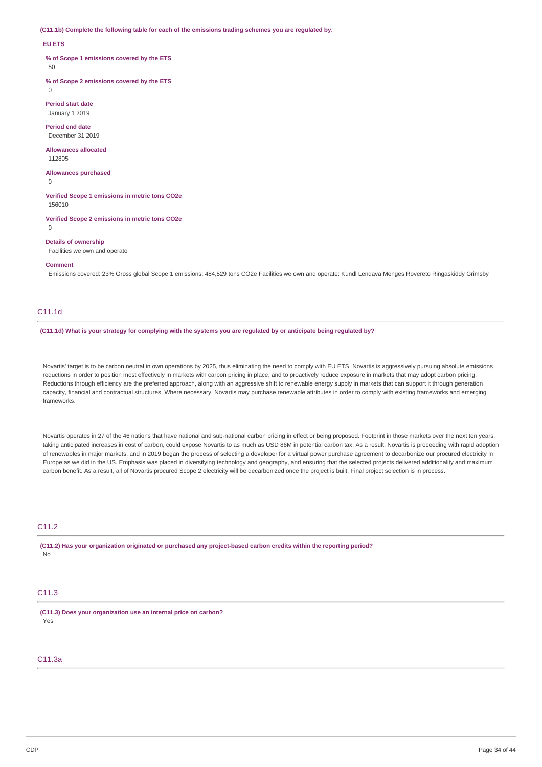**(C11.1b) Complete the following table for each of the emissions trading schemes you are regulated by.**

#### **EU ETS**

**% of Scope 1 emissions covered by the ETS**

50

 $\Omega$ 

**% of Scope 2 emissions covered by the ETS**

**Period start date** January 1 2019

**Period end date** December 31 2019

**Allowances allocated** 112805

**Allowances purchased**

 $\Omega$ 

**Verified Scope 1 emissions in metric tons CO2e** 156010

**Verified Scope 2 emissions in metric tons CO2e**  $\overline{0}$ 

**Details of ownership**

Facilities we own and operate

**Comment**

Emissions covered: 23% Gross global Scope 1 emissions: 484,529 tons CO2e Facilities we own and operate: Kundl Lendava Menges Rovereto Ringaskiddy Grimsby

## C11.1d

#### (C11.1d) What is your strategy for complying with the systems you are regulated by or anticipate being regulated by?

Novartis' target is to be carbon neutral in own operations by 2025, thus eliminating the need to comply with EU ETS. Novartis is aggressively pursuing absolute emissions reductions in order to position most effectively in markets with carbon pricing in place, and to proactively reduce exposure in markets that may adopt carbon pricing. Reductions through efficiency are the preferred approach, along with an aggressive shift to renewable energy supply in markets that can support it through generation capacity, financial and contractual structures. Where necessary, Novartis may purchase renewable attributes in order to comply with existing frameworks and emerging frameworks.

Novartis operates in 27 of the 46 nations that have national and sub-national carbon pricing in effect or being proposed. Footprint in those markets over the next ten years, taking anticipated increases in cost of carbon, could expose Novartis to as much as USD 86M in potential carbon tax. As a result, Novartis is proceeding with rapid adoption of renewables in major markets, and in 2019 began the process of selecting a developer for a virtual power purchase agreement to decarbonize our procured electricity in Europe as we did in the US. Emphasis was placed in diversifying technology and geography, and ensuring that the selected projects delivered additionality and maximum carbon benefit. As a result, all of Novartis procured Scope 2 electricity will be decarbonized once the project is built. Final project selection is in process.

## C11.2

**(C11.2) Has your organization originated or purchased any project-based carbon credits within the reporting period?** No

## C11.3

**(C11.3) Does your organization use an internal price on carbon?** Yes

## C11.3a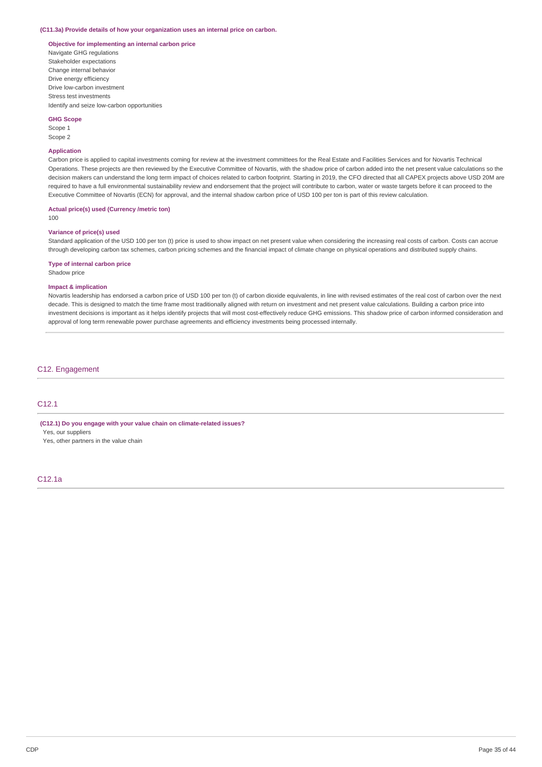#### **(C11.3a) Provide details of how your organization uses an internal price on carbon.**

## **Objective for implementing an internal carbon price**

Navigate GHG regulations Stakeholder expectations Change internal behavior Drive energy efficiency Drive low-carbon investment Stress test investments Identify and seize low-carbon opportunities

#### **GHG Scope**

Scope 1 Scope 2

### **Application**

Carbon price is applied to capital investments coming for review at the investment committees for the Real Estate and Facilities Services and for Novartis Technical Operations. These projects are then reviewed by the Executive Committee of Novartis, with the shadow price of carbon added into the net present value calculations so the decision makers can understand the long term impact of choices related to carbon footprint. Starting in 2019, the CFO directed that all CAPEX projects above USD 20M are required to have a full environmental sustainability review and endorsement that the project will contribute to carbon, water or waste targets before it can proceed to the Executive Committee of Novartis (ECN) for approval, and the internal shadow carbon price of USD 100 per ton is part of this review calculation.

#### **Actual price(s) used (Currency /metric ton)**

100

### **Variance of price(s) used**

Standard application of the USD 100 per ton (t) price is used to show impact on net present value when considering the increasing real costs of carbon. Costs can accrue through developing carbon tax schemes, carbon pricing schemes and the financial impact of climate change on physical operations and distributed supply chains.

## **Type of internal carbon price**

Shadow price

### **Impact & implication**

Novartis leadership has endorsed a carbon price of USD 100 per ton (t) of carbon dioxide equivalents, in line with revised estimates of the real cost of carbon over the next decade. This is designed to match the time frame most traditionally aligned with return on investment and net present value calculations. Building a carbon price into investment decisions is important as it helps identify projects that will most cost-effectively reduce GHG emissions. This shadow price of carbon informed consideration and approval of long term renewable power purchase agreements and efficiency investments being processed internally.

### C12. Engagement

## C12.1

**(C12.1) Do you engage with your value chain on climate-related issues?**

Yes, our suppliers

Yes, other partners in the value chain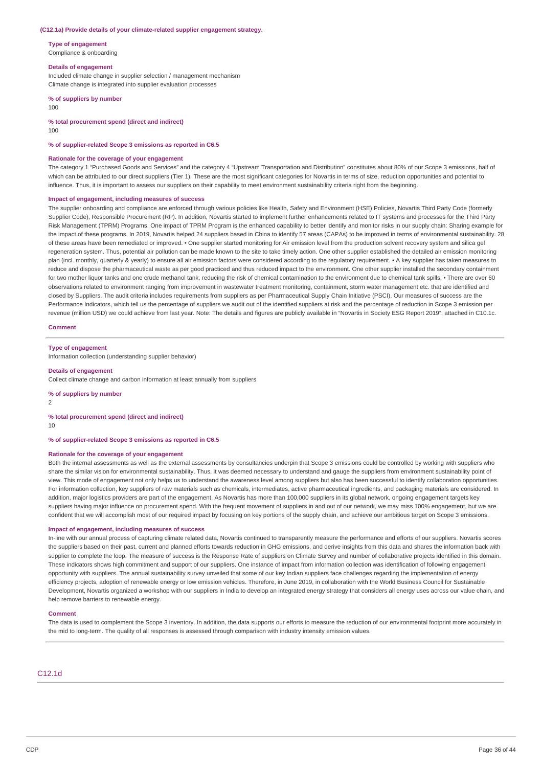#### **(C12.1a) Provide details of your climate-related supplier engagement strategy.**

**Type of engagement**

Compliance & onboarding

#### **Details of engagement**

Included climate change in supplier selection / management mechanism Climate change is integrated into supplier evaluation processes

**% of suppliers by number**

100

**% total procurement spend (direct and indirect)**

100

#### **% of supplier-related Scope 3 emissions as reported in C6.5**

#### **Rationale for the coverage of your engagement**

The category 1 "Purchased Goods and Services" and the category 4 "Upstream Transportation and Distribution" constitutes about 80% of our Scope 3 emissions, half of which can be attributed to our direct suppliers (Tier 1). These are the most significant categories for Novartis in terms of size, reduction opportunities and potential to influence. Thus, it is important to assess our suppliers on their capability to meet environment sustainability criteria right from the beginning.

#### **Impact of engagement, including measures of success**

The supplier onboarding and compliance are enforced through various policies like Health, Safety and Environment (HSE) Policies, Novartis Third Party Code (formerly Supplier Code), Responsible Procurement (RP). In addition, Novartis started to implement further enhancements related to IT systems and processes for the Third Party Risk Management (TPRM) Programs. One impact of TPRM Program is the enhanced capability to better identify and monitor risks in our supply chain: Sharing example for the impact of these programs. In 2019, Novartis helped 24 suppliers based in China to identify 57 areas (CAPAs) to be improved in terms of environmental sustainability. 28 of these areas have been remediated or improved. • One supplier started monitoring for Air emission level from the production solvent recovery system and silica gel regeneration system. Thus, potential air pollution can be made known to the site to take timely action. One other supplier established the detailed air emission monitoring plan (incl. monthly, quarterly & yearly) to ensure all air emission factors were considered according to the regulatory requirement. • A key supplier has taken measures to reduce and dispose the pharmaceutical waste as per good practiced and thus reduced impact to the environment. One other supplier installed the secondary containment for two mother liquor tanks and one crude methanol tank, reducing the risk of chemical contamination to the environment due to chemical tank spills. • There are over 60 observations related to environment ranging from improvement in wastewater treatment monitoring, containment, storm water management etc. that are identified and closed by Suppliers. The audit criteria includes requirements from suppliers as per Pharmaceutical Supply Chain Initiative (PSCI). Our measures of success are the Performance Indicators, which tell us the percentage of suppliers we audit out of the identified suppliers at risk and the percentage of reduction in Scope 3 emission per revenue (million USD) we could achieve from last year. Note: The details and figures are publicly available in "Novartis in Society ESG Report 2019", attached in C10.1c.

#### **Comment**

#### **Type of engagement**

Information collection (understanding supplier behavior)

#### **Details of engagement**

Collect climate change and carbon information at least annually from suppliers

**% of suppliers by number**

2

### **% total procurement spend (direct and indirect)**

10

#### **% of supplier-related Scope 3 emissions as reported in C6.5**

#### **Rationale for the coverage of your engagement**

Both the internal assessments as well as the external assessments by consultancies underpin that Scope 3 emissions could be controlled by working with suppliers who share the similar vision for environmental sustainability. Thus, it was deemed necessary to understand and gauge the suppliers from environment sustainability point of view. This mode of engagement not only helps us to understand the awareness level among suppliers but also has been successful to identify collaboration opportunities. For information collection, key suppliers of raw materials such as chemicals, intermediates, active pharmaceutical ingredients, and packaging materials are considered. In addition, major logistics providers are part of the engagement. As Novartis has more than 100,000 suppliers in its global network, ongoing engagement targets key suppliers having major influence on procurement spend. With the frequent movement of suppliers in and out of our network, we may miss 100% engagement, but we are confident that we will accomplish most of our required impact by focusing on key portions of the supply chain, and achieve our ambitious target on Scope 3 emissions.

#### **Impact of engagement, including measures of success**

In-line with our annual process of capturing climate related data, Novartis continued to transparently measure the performance and efforts of our suppliers. Novartis scores the suppliers based on their past, current and planned efforts towards reduction in GHG emissions, and derive insights from this data and shares the information back with supplier to complete the loop. The measure of success is the Response Rate of suppliers on Climate Survey and number of collaborative projects identified in this domain. These indicators shows high commitment and support of our suppliers. One instance of impact from information collection was identification of following engagement opportunity with suppliers. The annual sustainability survey unveiled that some of our key Indian suppliers face challenges regarding the implementation of energy efficiency projects, adoption of renewable energy or low emission vehicles. Therefore, in June 2019, in collaboration with the World Business Council for Sustainable Development, Novartis organized a workshop with our suppliers in India to develop an integrated energy strategy that considers all energy uses across our value chain, and help remove barriers to renewable energy.

#### **Comment**

The data is used to complement the Scope 3 inventory. In addition, the data supports our efforts to measure the reduction of our environmental footprint more accurately in the mid to long-term. The quality of all responses is assessed through comparison with industry intensity emission values.

## C12.1d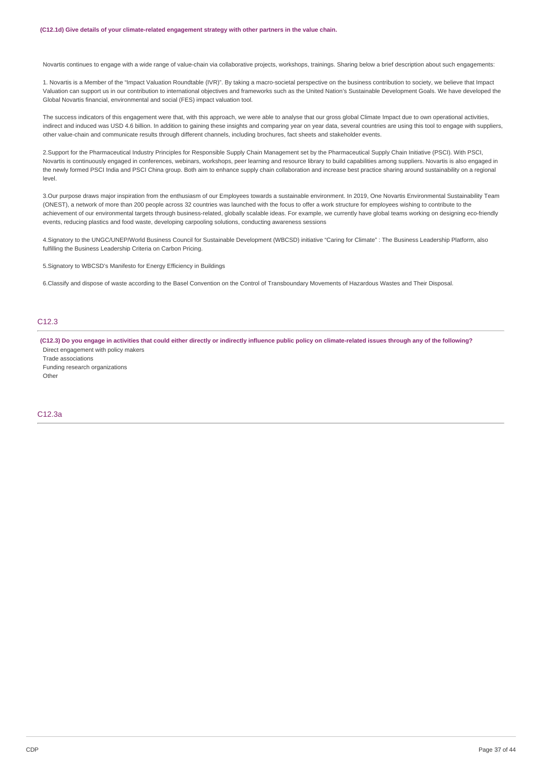Novartis continues to engage with a wide range of value-chain via collaborative projects, workshops, trainings. Sharing below a brief description about such engagements:

1. Novartis is a Member of the "Impact Valuation Roundtable (IVR)". By taking a macro-societal perspective on the business contribution to society, we believe that Impact Valuation can support us in our contribution to international objectives and frameworks such as the United Nation's Sustainable Development Goals. We have developed the Global Novartis financial, environmental and social (FES) impact valuation tool.

The success indicators of this engagement were that, with this approach, we were able to analyse that our gross global Climate Impact due to own operational activities, indirect and induced was USD 4.6 billion. In addition to gaining these insights and comparing year on year data, several countries are using this tool to engage with suppliers, other value-chain and communicate results through different channels, including brochures, fact sheets and stakeholder events.

2.Support for the Pharmaceutical Industry Principles for Responsible Supply Chain Management set by the Pharmaceutical Supply Chain Initiative (PSCI). With PSCI, Novartis is continuously engaged in conferences, webinars, workshops, peer learning and resource library to build capabilities among suppliers. Novartis is also engaged in the newly formed PSCI India and PSCI China group. Both aim to enhance supply chain collaboration and increase best practice sharing around sustainability on a regional level.

3.Our purpose draws major inspiration from the enthusiasm of our Employees towards a sustainable environment. In 2019, One Novartis Environmental Sustainability Team (ONEST), a network of more than 200 people across 32 countries was launched with the focus to offer a work structure for employees wishing to contribute to the achievement of our environmental targets through business-related, globally scalable ideas. For example, we currently have global teams working on designing eco-friendly events, reducing plastics and food waste, developing carpooling solutions, conducting awareness sessions

4.Signatory to the UNGC/UNEP/World Business Council for Sustainable Development (WBCSD) initiative "Caring for Climate" : The Business Leadership Platform, also fulfilling the Business Leadership Criteria on Carbon Pricing.

5.Signatory to WBCSD's Manifesto for Energy Efficiency in Buildings

6.Classify and dispose of waste according to the Basel Convention on the Control of Transboundary Movements of Hazardous Wastes and Their Disposal.

## C12.3

(C12.3) Do you engage in activities that could either directly or indirectly influence public policy on climate-related issues through any of the following? Direct engagement with policy makers

Trade associations Funding research organizations Other

## C12.3a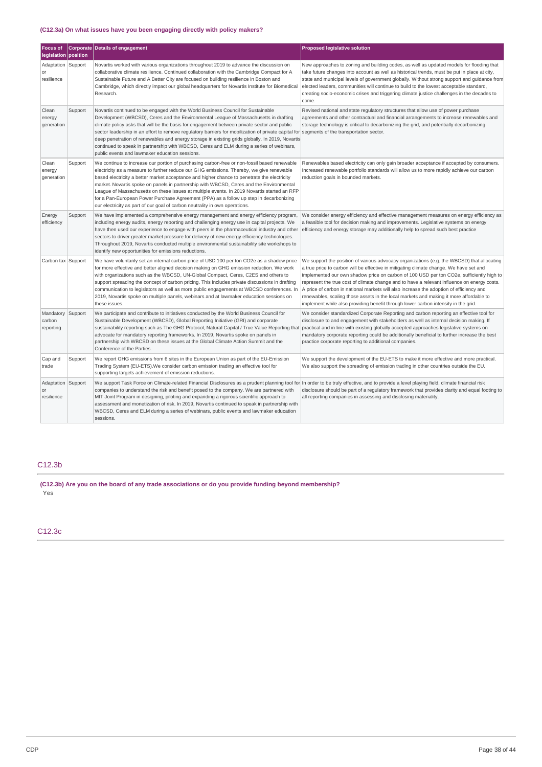## **(C12.3a) On what issues have you been engaging directly with policy makers?**

| <b>Focus of</b><br>legislation position |         | Corporate Details of engagement                                                                                                                                                                                                                                                                                                                                                                                                                                                                                                                                                                                                                                         | <b>Proposed legislative solution</b>                                                                                                                                                                                                                                                                                                                                                                                                                                                                                                                                                                                                                       |
|-----------------------------------------|---------|-------------------------------------------------------------------------------------------------------------------------------------------------------------------------------------------------------------------------------------------------------------------------------------------------------------------------------------------------------------------------------------------------------------------------------------------------------------------------------------------------------------------------------------------------------------------------------------------------------------------------------------------------------------------------|------------------------------------------------------------------------------------------------------------------------------------------------------------------------------------------------------------------------------------------------------------------------------------------------------------------------------------------------------------------------------------------------------------------------------------------------------------------------------------------------------------------------------------------------------------------------------------------------------------------------------------------------------------|
| Adaptation Support<br>or<br>resilience  |         | Novartis worked with various organizations throughout 2019 to advance the discussion on<br>collaborative climate resilience. Continued collaboration with the Cambridge Compact for A<br>Sustainable Future and A Better City are focused on building resilience in Boston and<br>Cambridge, which directly impact our global headquarters for Novartis Institute for Biomedical<br>Research.                                                                                                                                                                                                                                                                           | New approaches to zoning and building codes, as well as updated models for flooding that<br>take future changes into account as well as historical trends, must be put in place at city,<br>state and municipal levels of government globally. Without strong support and guidance from<br>elected leaders, communities will continue to build to the lowest acceptable standard,<br>creating socio-economic crises and triggering climate justice challenges in the decades to<br>come.                                                                                                                                                                   |
| Clean<br>energy<br>generation           | Support | Novartis continued to be engaged with the World Business Council for Sustainable<br>Development (WBCSD), Ceres and the Environmental League of Massachusetts in drafting<br>climate policy asks that will be the basis for engagement between private sector and public<br>sector leadership in an effort to remove regulatory barriers for mobilization of private capital for segments of the transportation sector.<br>deep penetration of renewables and energy storage in existing grids globally. In 2019, Novartis<br>continued to speak in partnership with WBCSD, Ceres and ELM during a series of webinars,<br>public events and lawmaker education sessions. | Revised national and state regulatory structures that allow use of power purchase<br>agreements and other contractual and financial arrangements to increase renewables and<br>storage technology is critical to decarbonizing the grid, and potentially decarbonizing                                                                                                                                                                                                                                                                                                                                                                                     |
| Clean<br>energy<br>qeneration           | Support | We continue to increase our portion of purchasing carbon-free or non-fossil based renewable<br>electricity as a measure to further reduce our GHG emissions. Thereby, we give renewable<br>based electricity a better market acceptance and higher chance to penetrate the electricity<br>market. Novartis spoke on panels in partnership with WBCSD, Ceres and the Environmental<br>League of Massachusetts on these issues at multiple events. In 2019 Novartis started an RFP<br>for a Pan-European Power Purchase Agreement (PPA) as a follow up step in decarbonizing<br>our electricity as part of our goal of carbon neutrality in own operations.               | Renewables based electricity can only gain broader acceptance if accepted by consumers.<br>Increased renewable portfolio standards will allow us to more rapidly achieve our carbon<br>reduction goals in bounded markets.                                                                                                                                                                                                                                                                                                                                                                                                                                 |
| Energy<br>efficiency                    | Support | We have implemented a comprehensive energy management and energy efficiency program,<br>including energy audits, energy reporting and challenging energy use in capital projects. We<br>have then used our experience to engage with peers in the pharmaceutical industry and other<br>sectors to driver greater market pressure for delivery of new energy efficiency technologies.<br>Throughout 2019, Novartis conducted multiple environmental sustainability site workshops to<br>identify new opportunities for emissions reductions.                                                                                                                             | We consider energy efficiency and effective management measures on energy efficiency as<br>a feasible tool for decision making and improvements. Legislative systems on energy<br>efficiency and energy storage may additionally help to spread such best practice                                                                                                                                                                                                                                                                                                                                                                                         |
| Carbon tax Support                      |         | We have voluntarily set an internal carbon price of USD 100 per ton CO2e as a shadow price<br>for more effective and better aligned decision making on GHG emission reduction. We work<br>with organizations such as the WBCSD, UN-Global Compact, Ceres, C2ES and others to<br>support spreading the concept of carbon pricing. This includes private discussions in drafting<br>communication to legislators as well as more public engagements at WBCSD conferences. In<br>2019, Novartis spoke on multiple panels, webinars and at lawmaker education sessions on<br>these issues.                                                                                  | We support the position of various advocacy organizations (e.g. the WBCSD) that allocating<br>a true price to carbon will be effective in mitigating climate change. We have set and<br>implemented our own shadow price on carbon of 100 USD per ton CO2e, sufficiently high to<br>represent the true cost of climate change and to have a relevant influence on energy costs.<br>A price of carbon in national markets will also increase the adoption of efficiency and<br>renewables, scaling those assets in the local markets and making it more affordable to<br>implement while also providing benefit through lower carbon intensity in the grid. |
| Mandatory<br>carbon<br>reporting        | Support | We participate and contribute to initiatives conducted by the World Business Council for<br>Sustainable Development (WBCSD), Global Reporting Initiative (GRI) and corporate<br>sustainability reporting such as The GHG Protocol, Natural Capital / True Value Reporting that practical and in line with existing globally accepted approaches legislative systems on<br>advocate for mandatory reporting frameworks. In 2019, Novartis spoke on panels in<br>partnership with WBCSD on these issues at the Global Climate Action Summit and the<br>Conference of the Parties.                                                                                         | We consider standardized Corporate Reporting and carbon reporting an effective tool for<br>disclosure to and engagement with stakeholders as well as internal decision making. If<br>mandatory corporate reporting could be additionally beneficial to further increase the best<br>practice corporate reporting to additional companies.                                                                                                                                                                                                                                                                                                                  |
| Cap and<br>trade                        | Support | We report GHG emissions from 6 sites in the European Union as part of the EU-Emission<br>Trading System (EU-ETS). We consider carbon emission trading an effective tool for<br>supporting targets achievement of emission reductions.                                                                                                                                                                                                                                                                                                                                                                                                                                   | We support the development of the EU-ETS to make it more effective and more practical.<br>We also support the spreading of emission trading in other countries outside the EU.                                                                                                                                                                                                                                                                                                                                                                                                                                                                             |
| Adaptation Support<br>or<br>resilience  |         | We support Task Force on Climate-related Financial Disclosures as a prudent planning tool for In order to be truly effective, and to provide a level playing field, climate financial risk<br>companies to understand the risk and benefit posed to the company. We are partnered with<br>MIT Joint Program in designing, piloting and expanding a rigorous scientific approach to<br>assessment and monetization of risk. In 2019, Novartis continued to speak in partnership with<br>WBCSD, Ceres and ELM during a series of webinars, public events and lawmaker education<br>sessions.                                                                              | disclosure should be part of a regulatory framework that provides clarity and equal footing to<br>all reporting companies in assessing and disclosing materiality.                                                                                                                                                                                                                                                                                                                                                                                                                                                                                         |

# C12.3b

**(C12.3b) Are you on the board of any trade associations or do you provide funding beyond membership?** Yes

C12.3c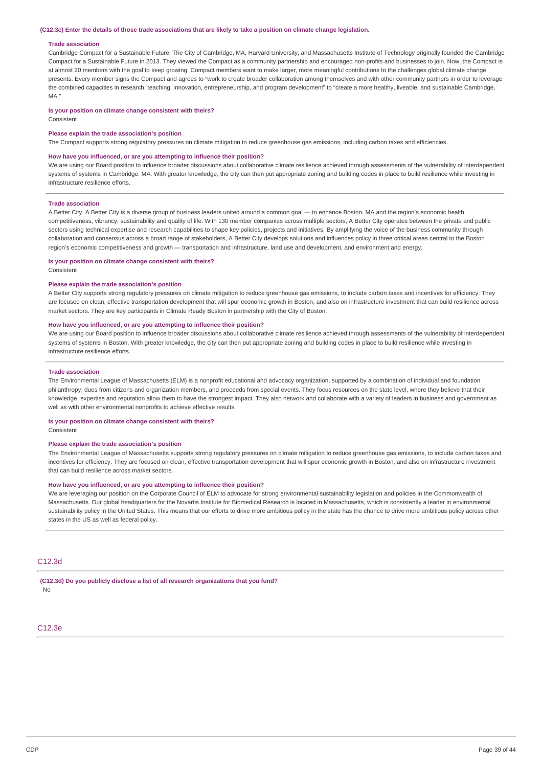#### (C12.3c) Enter the details of those trade associations that are likely to take a position on climate change legislation.

#### **Trade association**

Cambridge Compact for a Sustainable Future. The City of Cambridge, MA, Harvard University, and Massachusetts Institute of Technology originally founded the Cambridge Compact for a Sustainable Future in 2013. They viewed the Compact as a community partnership and encouraged non-profits and businesses to join. Now, the Compact is at almost 20 members with the goal to keep growing. Compact members want to make larger, more meaningful contributions to the challenges global climate change presents. Every member signs the Compact and agrees to "work to create broader collaboration among themselves and with other community partners in order to leverage the combined capacities in research, teaching, innovation, entrepreneurship, and program development" to "create a more healthy, liveable, and sustainable Cambridge, MA."

#### **Is your position on climate change consistent with theirs?**

Consistent

#### **Please explain the trade association's position**

The Compact supports strong regulatory pressures on climate mitigation to reduce greenhouse gas emissions, including carbon taxes and efficiencies.

#### **How have you influenced, or are you attempting to influence their position?**

We are using our Board position to influence broader discussions about collaborative climate resilience achieved through assessments of the vulnerability of interdependent systems of systems in Cambridge, MA. With greater knowledge, the city can then put appropriate zoning and building codes in place to build resilience while investing in infrastructure resilience efforts.

#### **Trade association**

A Better City. A Better City is a diverse group of business leaders united around a common goal — to enhance Boston, MA and the region's economic health, competitiveness, vibrancy, sustainability and quality of life. With 130 member companies across multiple sectors, A Better City operates between the private and public sectors using technical expertise and research capabilities to shape key policies, projects and initiatives. By amplifying the voice of the business community through collaboration and consensus across a broad range of stakeholders, A Better City develops solutions and influences policy in three critical areas central to the Boston region's economic competitiveness and growth — transportation and infrastructure, land use and development, and environment and energy.

#### **Is your position on climate change consistent with theirs?**

Consistent

#### **Please explain the trade association's position**

A Better City supports strong regulatory pressures on climate mitigation to reduce greenhouse gas emissions, to include carbon taxes and incentives for efficiency. They are focused on clean, effective transportation development that will spur economic growth in Boston, and also on infrastructure investment that can build resilience across market sectors. They are key participants in Climate Ready Boston in partnership with the City of Boston.

### **How have you influenced, or are you attempting to influence their position?**

We are using our Board position to influence broader discussions about collaborative climate resilience achieved through assessments of the vulnerability of interdependent systems of systems in Boston. With greater knowledge, the city can then put appropriate zoning and building codes in place to build resilience while investing in infrastructure resilience efforts.

#### **Trade association**

The Environmental League of Massachusetts (ELM) is a nonprofit educational and advocacy organization, supported by a combination of individual and foundation philanthropy, dues from citizens and organization members, and proceeds from special events. They focus resources on the state level, where they believe that their knowledge, expertise and reputation allow them to have the strongest impact. They also network and collaborate with a variety of leaders in business and government as well as with other environmental nonprofits to achieve effective results.

#### **Is your position on climate change consistent with theirs?**

Consistent

#### **Please explain the trade association's position**

The Environmental League of Massachusetts supports strong regulatory pressures on climate mitigation to reduce greenhouse gas emissions, to include carbon taxes and incentives for efficiency. They are focused on clean, effective transportation development that will spur economic growth in Boston, and also on infrastructure investment that can build resilience across market sectors.

#### **How have you influenced, or are you attempting to influence their position?**

We are leveraging our position on the Corporate Council of ELM to advocate for strong environmental sustainability legislation and policies in the Commonwealth of Massachusetts. Our global headquarters for the Novartis Institute for Biomedical Research is located in Massachusetts, which is consistently a leader in environmental sustainability policy in the United States. This means that our efforts to drive more ambitious policy in the state has the chance to drive more ambitious policy across other states in the US as well as federal policy.

## C12.3d

**(C12.3d) Do you publicly disclose a list of all research organizations that you fund?** No

 $C12.3e$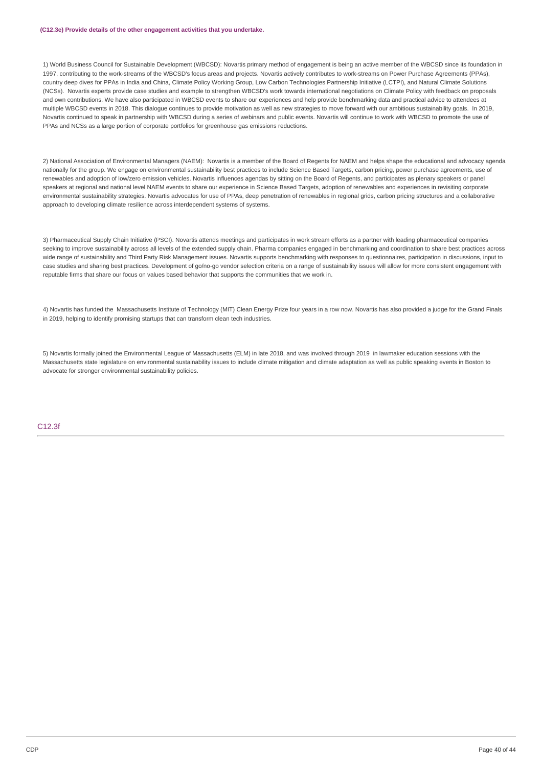#### **(C12.3e) Provide details of the other engagement activities that you undertake.**

1) World Business Council for Sustainable Development (WBCSD): Novartis primary method of engagement is being an active member of the WBCSD since its foundation in 1997, contributing to the work-streams of the WBCSD's focus areas and projects. Novartis actively contributes to work-streams on Power Purchase Agreements (PPAs), country deep dives for PPAs in India and China, Climate Policy Working Group, Low Carbon Technologies Partnership Initiative (LCTPI), and Natural Climate Solutions (NCSs). Novartis experts provide case studies and example to strengthen WBCSD's work towards international negotiations on Climate Policy with feedback on proposals and own contributions. We have also participated in WBCSD events to share our experiences and help provide benchmarking data and practical advice to attendees at multiple WBCSD events in 2018. This dialogue continues to provide motivation as well as new strategies to move forward with our ambitious sustainability goals. In 2019, Novartis continued to speak in partnership with WBCSD during a series of webinars and public events. Novartis will continue to work with WBCSD to promote the use of PPAs and NCSs as a large portion of corporate portfolios for greenhouse gas emissions reductions.

2) National Association of Environmental Managers (NAEM): Novartis is a member of the Board of Regents for NAEM and helps shape the educational and advocacy agenda nationally for the group. We engage on environmental sustainability best practices to include Science Based Targets, carbon pricing, power purchase agreements, use of renewables and adoption of low/zero emission vehicles. Novartis influences agendas by sitting on the Board of Regents, and participates as plenary speakers or panel speakers at regional and national level NAEM events to share our experience in Science Based Targets, adoption of renewables and experiences in revisiting corporate environmental sustainability strategies. Novartis advocates for use of PPAs, deep penetration of renewables in regional grids, carbon pricing structures and a collaborative approach to developing climate resilience across interdependent systems of systems.

3) Pharmaceutical Supply Chain Initiative (PSCI). Novartis attends meetings and participates in work stream efforts as a partner with leading pharmaceutical companies seeking to improve sustainability across all levels of the extended supply chain. Pharma companies engaged in benchmarking and coordination to share best practices across wide range of sustainability and Third Party Risk Management issues. Novartis supports benchmarking with responses to questionnaires, participation in discussions, input to case studies and sharing best practices. Development of go/no-go vendor selection criteria on a range of sustainability issues will allow for more consistent engagement with reputable firms that share our focus on values based behavior that supports the communities that we work in.

4) Novartis has funded the Massachusetts Institute of Technology (MIT) Clean Energy Prize four years in a row now. Novartis has also provided a judge for the Grand Finals in 2019, helping to identify promising startups that can transform clean tech industries.

5) Novartis formally joined the Environmental League of Massachusetts (ELM) in late 2018, and was involved through 2019 in lawmaker education sessions with the Massachusetts state legislature on environmental sustainability issues to include climate mitigation and climate adaptation as well as public speaking events in Boston to advocate for stronger environmental sustainability policies.

## C12.3f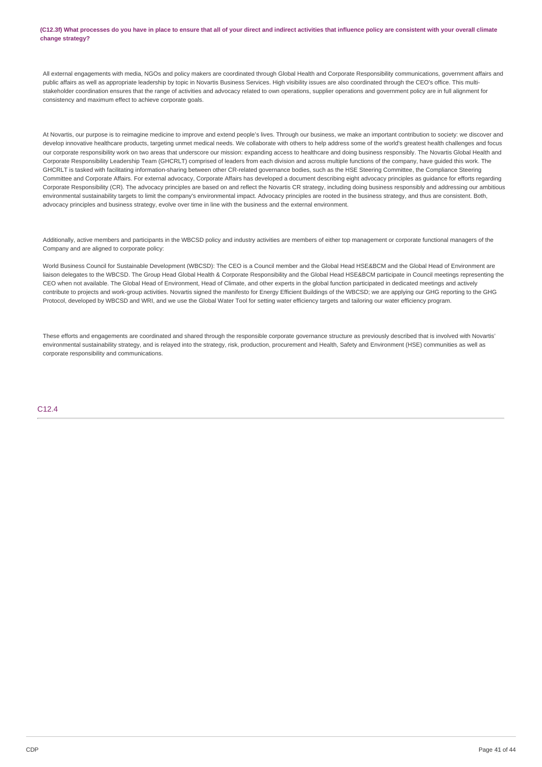(C12.3f) What processes do you have in place to ensure that all of your direct and indirect activities that influence policy are consistent with your overall climate **change strategy?**

All external engagements with media, NGOs and policy makers are coordinated through Global Health and Corporate Responsibility communications, government affairs and public affairs as well as appropriate leadership by topic in Novartis Business Services. High visibility issues are also coordinated through the CEO's office. This multistakeholder coordination ensures that the range of activities and advocacy related to own operations, supplier operations and government policy are in full alignment for consistency and maximum effect to achieve corporate goals.

At Novartis, our purpose is to reimagine medicine to improve and extend people's lives. Through our business, we make an important contribution to society: we discover and develop innovative healthcare products, targeting unmet medical needs. We collaborate with others to help address some of the world's greatest health challenges and focus our corporate responsibility work on two areas that underscore our mission: expanding access to healthcare and doing business responsibly. The Novartis Global Health and Corporate Responsibility Leadership Team (GHCRLT) comprised of leaders from each division and across multiple functions of the company, have guided this work. The GHCRLT is tasked with facilitating information-sharing between other CR-related governance bodies, such as the HSE Steering Committee, the Compliance Steering Committee and Corporate Affairs. For external advocacy, Corporate Affairs has developed a document describing eight advocacy principles as guidance for efforts regarding Corporate Responsibility (CR). The advocacy principles are based on and reflect the Novartis CR strategy, including doing business responsibly and addressing our ambitious environmental sustainability targets to limit the company's environmental impact. Advocacy principles are rooted in the business strategy, and thus are consistent. Both, advocacy principles and business strategy, evolve over time in line with the business and the external environment.

Additionally, active members and participants in the WBCSD policy and industry activities are members of either top management or corporate functional managers of the Company and are aligned to corporate policy:

World Business Council for Sustainable Development (WBCSD): The CEO is a Council member and the Global Head HSE&BCM and the Global Head of Environment are liaison delegates to the WBCSD. The Group Head Global Health & Corporate Responsibility and the Global Head HSE&BCM participate in Council meetings representing the CEO when not available. The Global Head of Environment, Head of Climate, and other experts in the global function participated in dedicated meetings and actively contribute to projects and work-group activities. Novartis signed the manifesto for Energy Efficient Buildings of the WBCSD; we are applying our GHG reporting to the GHG Protocol, developed by WBCSD and WRI, and we use the Global Water Tool for setting water efficiency targets and tailoring our water efficiency program.

These efforts and engagements are coordinated and shared through the responsible corporate governance structure as previously described that is involved with Novartis' environmental sustainability strategy, and is relayed into the strategy, risk, production, procurement and Health, Safety and Environment (HSE) communities as well as corporate responsibility and communications.

## C12.4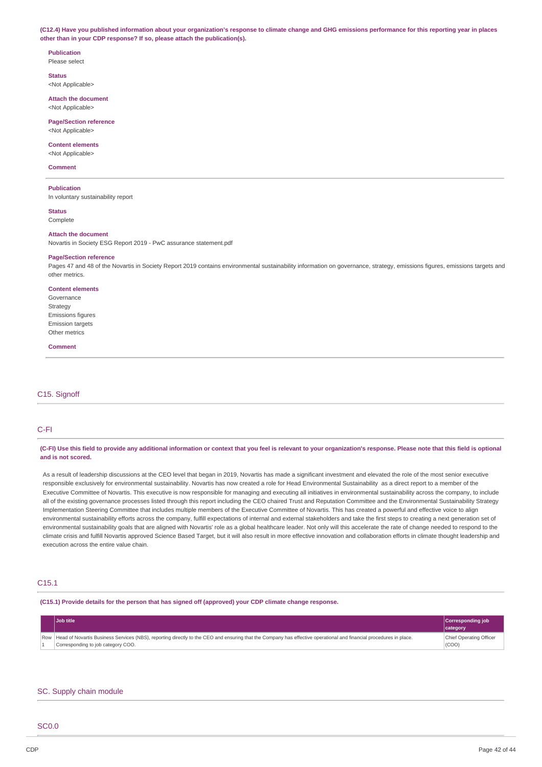(C12.4) Have you published information about your organization's response to climate change and GHG emissions performance for this reporting year in places **other than in your CDP response? If so, please attach the publication(s).**

#### **Publication** Please select

**Status**

<Not Applicable>

**Attach the document** <Not Applicable>

**Page/Section reference** <Not Applicable>

# **Content elements**

<Not Applicable>

## **Comment**

**Publication**

In voluntary sustainability report

**Status** Complete

### **Attach the document**

Novartis in Society ESG Report 2019 - PwC assurance statement.pdf

### **Page/Section reference**

Pages 47 and 48 of the Novartis in Society Report 2019 contains environmental sustainability information on governance, strategy, emissions figures, emissions targets and other metrics.

#### **Content elements**

Governance Strategy Emissions figures **Emission targets** Other metrics

#### **Comment**

## C15. Signoff

## C-FI

### (C-FI) Use this field to provide any additional information or context that you feel is relevant to your organization's response. Please note that this field is optional **and is not scored.**

As a result of leadership discussions at the CEO level that began in 2019, Novartis has made a significant investment and elevated the role of the most senior executive responsible exclusively for environmental sustainability. Novartis has now created a role for Head Environmental Sustainability as a direct report to a member of the Executive Committee of Novartis. This executive is now responsible for managing and executing all initiatives in environmental sustainability across the company, to include all of the existing governance processes listed through this report including the CEO chaired Trust and Reputation Committee and the Environmental Sustainability Strategy Implementation Steering Committee that includes multiple members of the Executive Committee of Novartis. This has created a powerful and effective voice to align environmental sustainability efforts across the company, fulfill expectations of internal and external stakeholders and take the first steps to creating a next generation set of environmental sustainability goals that are aligned with Novartis' role as a global healthcare leader. Not only will this accelerate the rate of change needed to respond to the climate crisis and fulfill Novartis approved Science Based Target, but it will also result in more effective innovation and collaboration efforts in climate thought leadership and execution across the entire value chain.

## C15.1

## **(C15.1) Provide details for the person that has signed off (approved) your CDP climate change response.**

| Job title                                                                                                                                                                                                    | Corresponding job<br>category    |
|--------------------------------------------------------------------------------------------------------------------------------------------------------------------------------------------------------------|----------------------------------|
| Row Head of Novartis Business Services (NBS), reporting directly to the CEO and ensuring that the Company has effective operational and financial procedures in place.<br>Corresponding to job category COO. | Chief Operating Officer<br>(COO) |

## SC. Supply chain module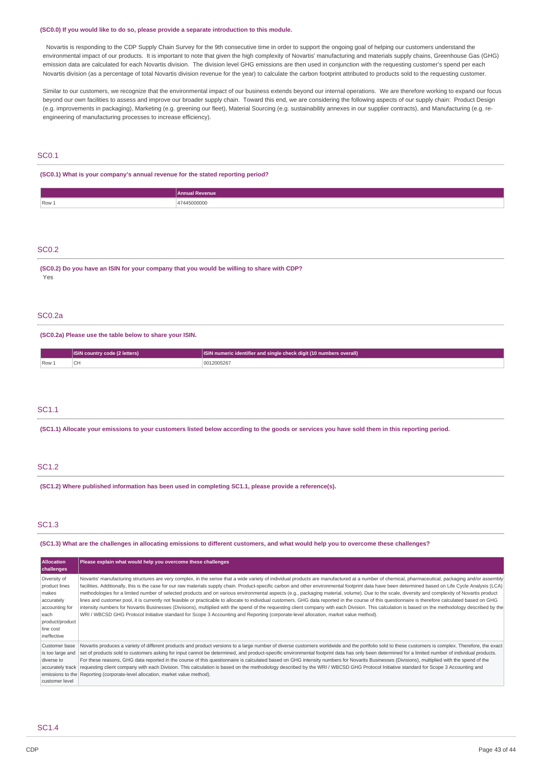#### **(SC0.0) If you would like to do so, please provide a separate introduction to this module.**

Novartis is responding to the CDP Supply Chain Survey for the 9th consecutive time in order to support the ongoing goal of helping our customers understand the environmental impact of our products. It is important to note that given the high complexity of Novartis' manufacturing and materials supply chains, Greenhouse Gas (GHG) emission data are calculated for each Novartis division. The division level GHG emissions are then used in conjunction with the requesting customer's spend per each Novartis division (as a percentage of total Novartis division revenue for the year) to calculate the carbon footprint attributed to products sold to the requesting customer.

Similar to our customers, we recognize that the environmental impact of our business extends beyond our internal operations. We are therefore working to expand our focus beyond our own facilities to assess and improve our broader supply chain. Toward this end, we are considering the following aspects of our supply chain: Product Design (e.g. improvements in packaging), Marketing (e.g. greening our fleet), Material Sourcing (e.g. sustainability annexes in our supplier contracts), and Manufacturing (e.g. reengineering of manufacturing processes to increase efficiency).

## SC0.1

**(SC0.1) What is your company's annual revenue for the stated reporting period?**

|       | <b>Annual Revenue</b> |
|-------|-----------------------|
| Row 1 | 15000000<br>.         |

### SC0.2

**(SC0.2) Do you have an ISIN for your company that you would be willing to share with CDP?** Yes

## SC0.2a

**(SC0.2a) Please use the table below to share your ISIN.**

|                  | <b>ISIN country code (2 letters)</b> | <b>ISIN</b> numeric identifier and single check digit (10 numbers overall) |
|------------------|--------------------------------------|----------------------------------------------------------------------------|
| Row <sub>1</sub> | $\sim$<br>'CH                        | 12005267                                                                   |

## SC1.1

(SC1.1) Allocate your emissions to your customers listed below according to the goods or services you have sold them in this reporting period.

## SC1.2

**(SC1.2) Where published information has been used in completing SC1.1, please provide a reference(s).**

## SC1.3

(SC1.3) What are the challenges in allocating emissions to different customers, and what would help you to overcome these challenges?

| <b>Allocation</b><br>challenges                                                                                               | Please explain what would help you overcome these challenges                                                                                                                                                                                                                                                                                                                                                                                                                                                                                                                                                                                                                                                                                                                                                                                                                                                                                                                                                                                                                                                                                                        |
|-------------------------------------------------------------------------------------------------------------------------------|---------------------------------------------------------------------------------------------------------------------------------------------------------------------------------------------------------------------------------------------------------------------------------------------------------------------------------------------------------------------------------------------------------------------------------------------------------------------------------------------------------------------------------------------------------------------------------------------------------------------------------------------------------------------------------------------------------------------------------------------------------------------------------------------------------------------------------------------------------------------------------------------------------------------------------------------------------------------------------------------------------------------------------------------------------------------------------------------------------------------------------------------------------------------|
| Diversity of<br>product lines<br>makes<br>accurately<br>accounting for<br>each<br>product/product<br>line cost<br>ineffective | Novartis' manufacturing structures are very complex, in the sense that a wide variety of individual products are manufactured at a number of chemical, pharmaceutical, packaging and/or assembly<br>facilities. Additionally, this is the case for our raw materials supply chain. Product-specific carbon and other environmental footprint data have been determined based on Life Cycle Analysis (LCA)<br>methodologies for a limited number of selected products and on various environmental aspects (e.g., packaging material, volume). Due to the scale, diversity and complexity of Novartis product<br>lines and customer pool, it is currently not feasible or practicable to allocate to individual customers. GHG data reported in the course of this questionnaire is therefore calculated based on GHG<br>intensity numbers for Novartis Businesses (Divisions), multiplied with the spend of the requesting client company with each Division. This calculation is based on the methodology described by the<br>WRI / WBCSD GHG Protocol Initiative standard for Scope 3 Accounting and Reporting (corporate-level allocation, market value method). |
| Customer base<br>is too large and<br>diverse to<br>accurately track<br>customer level                                         | Novartis produces a variety of different products and product versions to a large number of diverse customers worldwide and the portfolio sold to these customers is complex. Therefore, the exact<br>set of products sold to customers asking for input cannot be determined, and product-specific environmental footprint data has only been determined for a limited number of individual products.<br>For these reasons, GHG data reported in the course of this questionnaire is calculated based on GHG intensity numbers for Novartis Businesses (Divisions), multiplied with the spend of the<br>requesting client company with each Division. This calculation is based on the methodology described by the WRI / WBCSD GHG Protocol Initiative standard for Scope 3 Accounting and<br>emissions to the Reporting (corporate-level allocation, market value method).                                                                                                                                                                                                                                                                                       |